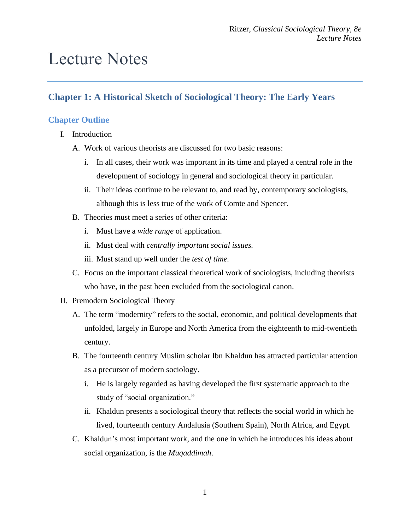# Lecture Notes

### **Chapter 1: A Historical Sketch of Sociological Theory: The Early Years**

#### **Chapter Outline**

- I. Introduction
	- A. Work of various theorists are discussed for two basic reasons:
		- i. In all cases, their work was important in its time and played a central role in the development of sociology in general and sociological theory in particular.
		- ii. Their ideas continue to be relevant to, and read by, contemporary sociologists, although this is less true of the work of Comte and Spencer.
	- B. Theories must meet a series of other criteria:
		- i. Must have a *wide range* of application.
		- ii. Must deal with *centrally important social issues.*
		- iii. Must stand up well under the *test of time.*
	- C. Focus on the important classical theoretical work of sociologists, including theorists who have, in the past been excluded from the sociological canon.
- II. Premodern Sociological Theory
	- A. The term "modernity" refers to the social, economic, and political developments that unfolded, largely in Europe and North America from the eighteenth to mid-twentieth century.
	- B. The fourteenth century Muslim scholar Ibn Khaldun has attracted particular attention as a precursor of modern sociology.
		- i. He is largely regarded as having developed the first systematic approach to the study of "social organization."
		- ii. Khaldun presents a sociological theory that reflects the social world in which he lived, fourteenth century Andalusia (Southern Spain), North Africa, and Egypt.
	- C. Khaldun's most important work, and the one in which he introduces his ideas about social organization, is the *Muqaddimah*.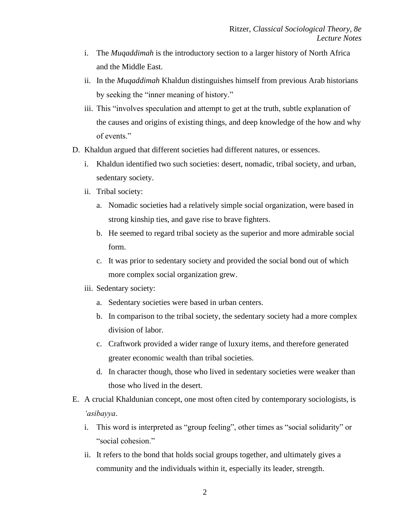- i. The *Muqaddimah* is the introductory section to a larger history of North Africa and the Middle East.
- ii. In the *Muqaddimah* Khaldun distinguishes himself from previous Arab historians by seeking the "inner meaning of history."
- iii. This "involves speculation and attempt to get at the truth, subtle explanation of the causes and origins of existing things, and deep knowledge of the how and why of events."
- D. Khaldun argued that different societies had different natures, or essences.
	- i. Khaldun identified two such societies: desert, nomadic, tribal society, and urban, sedentary society.
	- ii. Tribal society:
		- a. Nomadic societies had a relatively simple social organization, were based in strong kinship ties, and gave rise to brave fighters.
		- b. He seemed to regard tribal society as the superior and more admirable social form.
		- c. It was prior to sedentary society and provided the social bond out of which more complex social organization grew.
	- iii. Sedentary society:
		- a. Sedentary societies were based in urban centers.
		- b. In comparison to the tribal society, the sedentary society had a more complex division of labor.
		- c. Craftwork provided a wider range of luxury items, and therefore generated greater economic wealth than tribal societies.
		- d. In character though, those who lived in sedentary societies were weaker than those who lived in the desert.
- E. A crucial Khaldunian concept, one most often cited by contemporary sociologists, is *'asibayya*.
	- i. This word is interpreted as "group feeling", other times as "social solidarity" or "social cohesion."
	- ii. It refers to the bond that holds social groups together, and ultimately gives a community and the individuals within it, especially its leader, strength.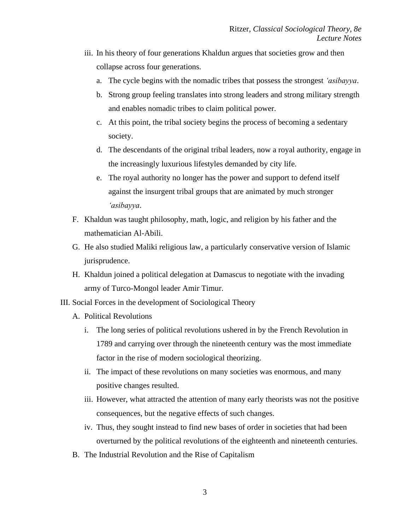- iii. In his theory of four generations Khaldun argues that societies grow and then collapse across four generations.
	- a. The cycle begins with the nomadic tribes that possess the strongest *'asibayya*.
	- b. Strong group feeling translates into strong leaders and strong military strength and enables nomadic tribes to claim political power.
	- c. At this point, the tribal society begins the process of becoming a sedentary society.
	- d. The descendants of the original tribal leaders, now a royal authority, engage in the increasingly luxurious lifestyles demanded by city life.
	- e. The royal authority no longer has the power and support to defend itself against the insurgent tribal groups that are animated by much stronger *'asibayya*.
- F. Khaldun was taught philosophy, math, logic, and religion by his father and the mathematician Al-Abili.
- G. He also studied Maliki religious law, a particularly conservative version of Islamic jurisprudence.
- H. Khaldun joined a political delegation at Damascus to negotiate with the invading army of Turco-Mongol leader Amir Timur.
- III. Social Forces in the development of Sociological Theory
	- A. Political Revolutions
		- i. The long series of political revolutions ushered in by the French Revolution in 1789 and carrying over through the nineteenth century was the most immediate factor in the rise of modern sociological theorizing.
		- ii. The impact of these revolutions on many societies was enormous, and many positive changes resulted.
		- iii. However, what attracted the attention of many early theorists was not the positive consequences, but the negative effects of such changes.
		- iv. Thus, they sought instead to find new bases of order in societies that had been overturned by the political revolutions of the eighteenth and nineteenth centuries.
	- B. The Industrial Revolution and the Rise of Capitalism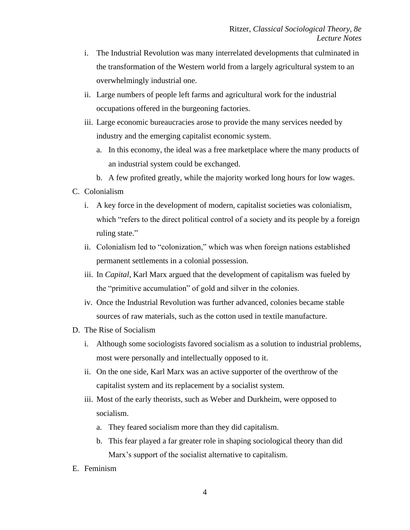- i. The Industrial Revolution was many interrelated developments that culminated in the transformation of the Western world from a largely agricultural system to an overwhelmingly industrial one.
- ii. Large numbers of people left farms and agricultural work for the industrial occupations offered in the burgeoning factories.
- iii. Large economic bureaucracies arose to provide the many services needed by industry and the emerging capitalist economic system.
	- a. In this economy, the ideal was a free marketplace where the many products of an industrial system could be exchanged.
	- b. A few profited greatly, while the majority worked long hours for low wages.
- C. Colonialism
	- i. A key force in the development of modern, capitalist societies was colonialism, which "refers to the direct political control of a society and its people by a foreign ruling state."
	- ii. Colonialism led to "colonization," which was when foreign nations established permanent settlements in a colonial possession.
	- iii. In *Capital*, Karl Marx argued that the development of capitalism was fueled by the "primitive accumulation" of gold and silver in the colonies.
	- iv. Once the Industrial Revolution was further advanced, colonies became stable sources of raw materials, such as the cotton used in textile manufacture.
- D. The Rise of Socialism
	- i. Although some sociologists favored socialism as a solution to industrial problems, most were personally and intellectually opposed to it.
	- ii. On the one side, Karl Marx was an active supporter of the overthrow of the capitalist system and its replacement by a socialist system.
	- iii. Most of the early theorists, such as Weber and Durkheim, were opposed to socialism.
		- a. They feared socialism more than they did capitalism.
		- b. This fear played a far greater role in shaping sociological theory than did Marx's support of the socialist alternative to capitalism.
- E. Feminism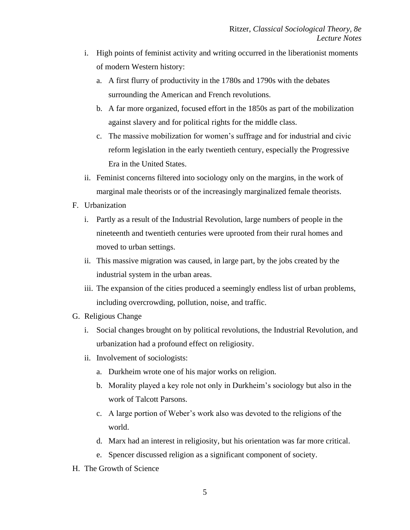- i. High points of feminist activity and writing occurred in the liberationist moments of modern Western history:
	- a. A first flurry of productivity in the 1780s and 1790s with the debates surrounding the American and French revolutions.
	- b. A far more organized, focused effort in the 1850s as part of the mobilization against slavery and for political rights for the middle class.
	- c. The massive mobilization for women's suffrage and for industrial and civic reform legislation in the early twentieth century, especially the Progressive Era in the United States.
- ii. Feminist concerns filtered into sociology only on the margins, in the work of marginal male theorists or of the increasingly marginalized female theorists.
- F. Urbanization
	- i. Partly as a result of the Industrial Revolution, large numbers of people in the nineteenth and twentieth centuries were uprooted from their rural homes and moved to urban settings.
	- ii. This massive migration was caused, in large part, by the jobs created by the industrial system in the urban areas.
	- iii. The expansion of the cities produced a seemingly endless list of urban problems, including overcrowding, pollution, noise, and traffic.
- G. Religious Change
	- i. Social changes brought on by political revolutions, the Industrial Revolution, and urbanization had a profound effect on religiosity.
	- ii. Involvement of sociologists:
		- a. Durkheim wrote one of his major works on religion.
		- b. Morality played a key role not only in Durkheim's sociology but also in the work of Talcott Parsons.
		- c. A large portion of Weber's work also was devoted to the religions of the world.
		- d. Marx had an interest in religiosity, but his orientation was far more critical.
		- e. Spencer discussed religion as a significant component of society.
- H. The Growth of Science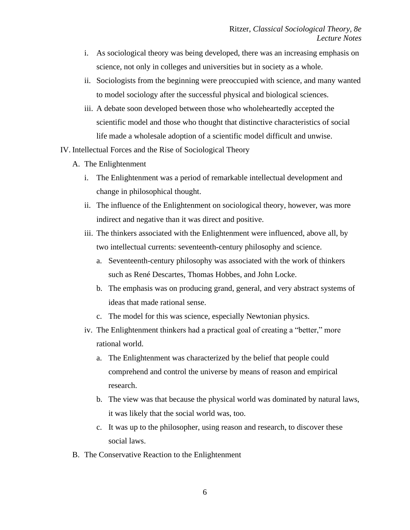- i. As sociological theory was being developed, there was an increasing emphasis on science, not only in colleges and universities but in society as a whole.
- ii. Sociologists from the beginning were preoccupied with science, and many wanted to model sociology after the successful physical and biological sciences.
- iii. A debate soon developed between those who wholeheartedly accepted the scientific model and those who thought that distinctive characteristics of social life made a wholesale adoption of a scientific model difficult and unwise.

IV. Intellectual Forces and the Rise of Sociological Theory

- A. The Enlightenment
	- i. The Enlightenment was a period of remarkable intellectual development and change in philosophical thought.
	- ii. The influence of the Enlightenment on sociological theory, however, was more indirect and negative than it was direct and positive.
	- iii. The thinkers associated with the Enlightenment were influenced, above all, by two intellectual currents: seventeenth-century philosophy and science.
		- a. Seventeenth-century philosophy was associated with the work of thinkers such as René Descartes, Thomas Hobbes, and John Locke.
		- b. The emphasis was on producing grand, general, and very abstract systems of ideas that made rational sense.
		- c. The model for this was science, especially Newtonian physics.
	- iv. The Enlightenment thinkers had a practical goal of creating a "better," more rational world.
		- a. The Enlightenment was characterized by the belief that people could comprehend and control the universe by means of reason and empirical research.
		- b. The view was that because the physical world was dominated by natural laws, it was likely that the social world was, too.
		- c. It was up to the philosopher, using reason and research, to discover these social laws.
- B. The Conservative Reaction to the Enlightenment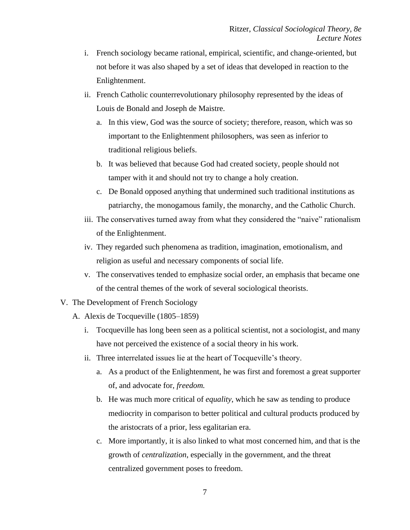- i. French sociology became rational, empirical, scientific, and change-oriented, but not before it was also shaped by a set of ideas that developed in reaction to the Enlightenment.
- ii. French Catholic counterrevolutionary philosophy represented by the ideas of Louis de Bonald and Joseph de Maistre.
	- a. In this view, God was the source of society; therefore, reason, which was so important to the Enlightenment philosophers, was seen as inferior to traditional religious beliefs.
	- b. It was believed that because God had created society, people should not tamper with it and should not try to change a holy creation.
	- c. De Bonald opposed anything that undermined such traditional institutions as patriarchy, the monogamous family, the monarchy, and the Catholic Church.
- iii. The conservatives turned away from what they considered the "naive" rationalism of the Enlightenment.
- iv. They regarded such phenomena as tradition, imagination, emotionalism, and religion as useful and necessary components of social life.
- v. The conservatives tended to emphasize social order, an emphasis that became one of the central themes of the work of several sociological theorists.
- V. The Development of French Sociology
	- A. Alexis de Tocqueville (1805–1859)
		- i. Tocqueville has long been seen as a political scientist, not a sociologist, and many have not perceived the existence of a social theory in his work.
		- ii. Three interrelated issues lie at the heart of Tocqueville's theory.
			- a. As a product of the Enlightenment, he was first and foremost a great supporter of, and advocate for, *freedom.*
			- b. He was much more critical of *equality*, which he saw as tending to produce mediocrity in comparison to better political and cultural products produced by the aristocrats of a prior, less egalitarian era.
			- c. More importantly, it is also linked to what most concerned him, and that is the growth of *centralization*, especially in the government, and the threat centralized government poses to freedom.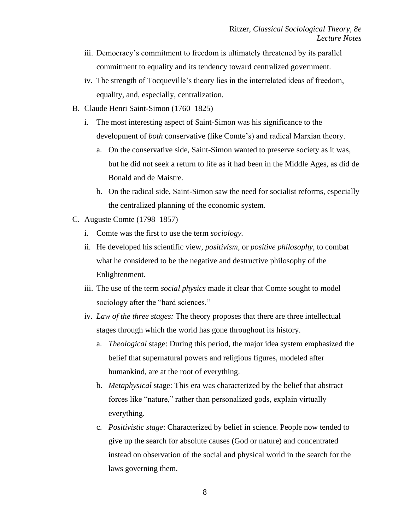- iii. Democracy's commitment to freedom is ultimately threatened by its parallel commitment to equality and its tendency toward centralized government.
- iv. The strength of Tocqueville's theory lies in the interrelated ideas of freedom, equality, and, especially, centralization.
- B. Claude Henri Saint-Simon (1760–1825)
	- i. The most interesting aspect of Saint-Simon was his significance to the development of *both* conservative (like Comte's) and radical Marxian theory.
		- a. On the conservative side, Saint-Simon wanted to preserve society as it was, but he did not seek a return to life as it had been in the Middle Ages, as did de Bonald and de Maistre.
		- b. On the radical side, Saint-Simon saw the need for socialist reforms, especially the centralized planning of the economic system.
- C. Auguste Comte (1798–1857)
	- i. Comte was the first to use the term *sociology.*
	- ii. He developed his scientific view, *positivism*, or *positive philosophy*, to combat what he considered to be the negative and destructive philosophy of the Enlightenment.
	- iii. The use of the term *social physics* made it clear that Comte sought to model sociology after the "hard sciences."
	- iv. *Law of the three stages:* The theory proposes that there are three intellectual stages through which the world has gone throughout its history.
		- a. *Theological* stage: During this period, the major idea system emphasized the belief that supernatural powers and religious figures, modeled after humankind, are at the root of everything.
		- b. *Metaphysical* stage: This era was characterized by the belief that abstract forces like "nature," rather than personalized gods, explain virtually everything.
		- c. *Positivistic stage*: Characterized by belief in science. People now tended to give up the search for absolute causes (God or nature) and concentrated instead on observation of the social and physical world in the search for the laws governing them.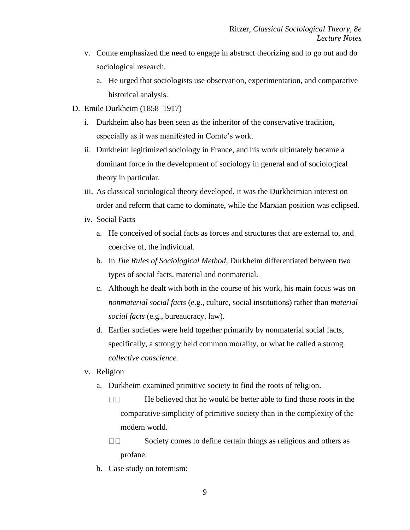- v. Comte emphasized the need to engage in abstract theorizing and to go out and do sociological research.
	- a. He urged that sociologists use observation, experimentation, and comparative historical analysis.
- D. Emile Durkheim (1858–1917)
	- i. Durkheim also has been seen as the inheritor of the conservative tradition, especially as it was manifested in Comte's work.
	- ii. Durkheim legitimized sociology in France, and his work ultimately became a dominant force in the development of sociology in general and of sociological theory in particular.
	- iii. As classical sociological theory developed, it was the Durkheimian interest on order and reform that came to dominate, while the Marxian position was eclipsed.
	- iv. Social Facts
		- a. He conceived of social facts as forces and structures that are external to, and coercive of, the individual.
		- b. In *The Rules of Sociological Method*, Durkheim differentiated between two types of social facts, material and nonmaterial.
		- c. Although he dealt with both in the course of his work, his main focus was on *nonmaterial social facts* (e.g., culture, social institutions) rather than *material social facts* (e.g., bureaucracy, law).
		- d. Earlier societies were held together primarily by nonmaterial social facts, specifically, a strongly held common morality, or what he called a strong *collective conscience.*
	- v. Religion
		- a. Durkheim examined primitive society to find the roots of religion.
			- $\Box$ He believed that he would be better able to find those roots in the comparative simplicity of primitive society than in the complexity of the modern world.
			- $\Box$ Box Society comes to define certain things as religious and others as profane.
		- b. Case study on totemism: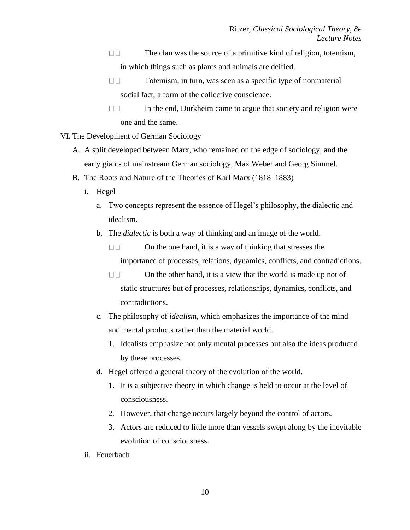- $\Box$ The clan was the source of a primitive kind of religion, totemism, in which things such as plants and animals are deified.
- $\Box$  $\Box$ Totemism, in turn, was seen as a specific type of nonmaterial social fact, a form of the collective conscience.
- In the end, Durkheim came to argue that society and religion were **TIP** one and the same.
- VI. The Development of German Sociology
	- A. A split developed between Marx, who remained on the edge of sociology, and the early giants of mainstream German sociology, Max Weber and Georg Simmel.
	- B. The Roots and Nature of the Theories of Karl Marx (1818–1883)
		- i. Hegel
			- a. Two concepts represent the essence of Hegel's philosophy, the dialectic and idealism.
			- b. The *dialectic* is both a way of thinking and an image of the world.
				- $\Box \Box$ On the one hand, it is a way of thinking that stresses the importance of processes, relations, dynamics, conflicts, and contradictions.
				- $\Box$ On the other hand, it is a view that the world is made up not of static structures but of processes, relationships, dynamics, conflicts, and contradictions.
			- c. The philosophy of *idealism*, which emphasizes the importance of the mind and mental products rather than the material world.
				- 1. Idealists emphasize not only mental processes but also the ideas produced by these processes.
			- d. Hegel offered a general theory of the evolution of the world.
				- 1. It is a subjective theory in which change is held to occur at the level of consciousness.
				- 2. However, that change occurs largely beyond the control of actors.
				- 3. Actors are reduced to little more than vessels swept along by the inevitable evolution of consciousness.
		- ii. Feuerbach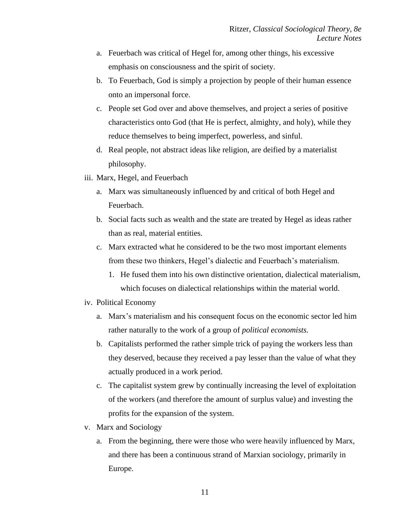- a. Feuerbach was critical of Hegel for, among other things, his excessive emphasis on consciousness and the spirit of society.
- b. To Feuerbach, God is simply a projection by people of their human essence onto an impersonal force.
- c. People set God over and above themselves, and project a series of positive characteristics onto God (that He is perfect, almighty, and holy), while they reduce themselves to being imperfect, powerless, and sinful.
- d. Real people, not abstract ideas like religion, are deified by a materialist philosophy.
- iii. Marx, Hegel, and Feuerbach
	- a. Marx was simultaneously influenced by and critical of both Hegel and Feuerbach.
	- b. Social facts such as wealth and the state are treated by Hegel as ideas rather than as real, material entities.
	- c. Marx extracted what he considered to be the two most important elements from these two thinkers, Hegel's dialectic and Feuerbach's materialism.
		- 1. He fused them into his own distinctive orientation, dialectical materialism, which focuses on dialectical relationships within the material world.
- iv. Political Economy
	- a. Marx's materialism and his consequent focus on the economic sector led him rather naturally to the work of a group of *political economists.*
	- b. Capitalists performed the rather simple trick of paying the workers less than they deserved, because they received a pay lesser than the value of what they actually produced in a work period.
	- c. The capitalist system grew by continually increasing the level of exploitation of the workers (and therefore the amount of surplus value) and investing the profits for the expansion of the system.
- v. Marx and Sociology
	- a. From the beginning, there were those who were heavily influenced by Marx, and there has been a continuous strand of Marxian sociology, primarily in Europe.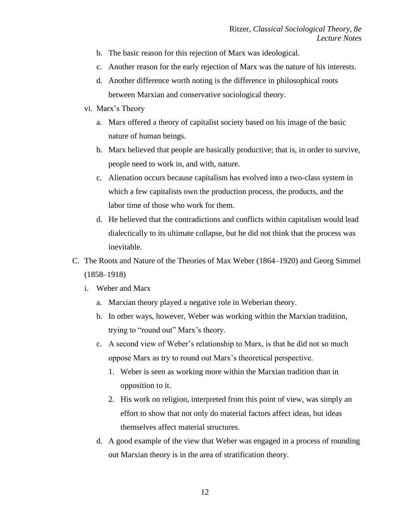- b. The basic reason for this rejection of Marx was ideological.
- c. Another reason for the early rejection of Marx was the nature of his interests.
- d. Another difference worth noting is the difference in philosophical roots between Marxian and conservative sociological theory.
- vi. Marx's Theory
	- a. Marx offered a theory of capitalist society based on his image of the basic nature of human beings.
	- b. Marx believed that people are basically productive; that is, in order to survive, people need to work in, and with, nature.
	- c. Alienation occurs because capitalism has evolved into a two-class system in which a few capitalists own the production process, the products, and the labor time of those who work for them.
	- d. He believed that the contradictions and conflicts within capitalism would lead dialectically to its ultimate collapse, but he did not think that the process was inevitable.
- C. The Roots and Nature of the Theories of Max Weber (1864–1920) and Georg Simmel (1858–1918)
	- i. Weber and Marx
		- a. Marxian theory played a negative role in Weberian theory.
		- b. In other ways, however, Weber was working within the Marxian tradition, trying to "round out" Marx's theory.
		- c. A second view of Weber's relationship to Marx, is that he did not so much oppose Marx as try to round out Marx's theoretical perspective.
			- 1. Weber is seen as working more within the Marxian tradition than in opposition to it.
			- 2. His work on religion, interpreted from this point of view, was simply an effort to show that not only do material factors affect ideas, but ideas themselves affect material structures.
		- d. A good example of the view that Weber was engaged in a process of rounding out Marxian theory is in the area of stratification theory.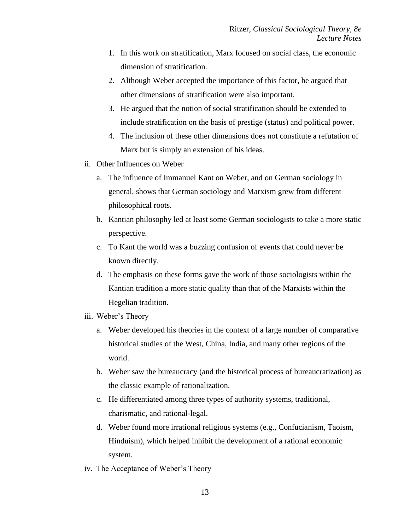- 1. In this work on stratification, Marx focused on social class, the economic dimension of stratification.
- 2. Although Weber accepted the importance of this factor, he argued that other dimensions of stratification were also important.
- 3. He argued that the notion of social stratification should be extended to include stratification on the basis of prestige (status) and political power.
- 4. The inclusion of these other dimensions does not constitute a refutation of Marx but is simply an extension of his ideas.
- ii. Other Influences on Weber
	- a. The influence of Immanuel Kant on Weber, and on German sociology in general, shows that German sociology and Marxism grew from different philosophical roots.
	- b. Kantian philosophy led at least some German sociologists to take a more static perspective.
	- c. To Kant the world was a buzzing confusion of events that could never be known directly.
	- d. The emphasis on these forms gave the work of those sociologists within the Kantian tradition a more static quality than that of the Marxists within the Hegelian tradition.
- iii. Weber's Theory
	- a. Weber developed his theories in the context of a large number of comparative historical studies of the West, China, India, and many other regions of the world.
	- b. Weber saw the bureaucracy (and the historical process of bureaucratization) as the classic example of rationalization.
	- c. He differentiated among three types of authority systems, traditional, charismatic, and rational-legal.
	- d. Weber found more irrational religious systems (e.g., Confucianism, Taoism, Hinduism), which helped inhibit the development of a rational economic system.
- iv. The Acceptance of Weber's Theory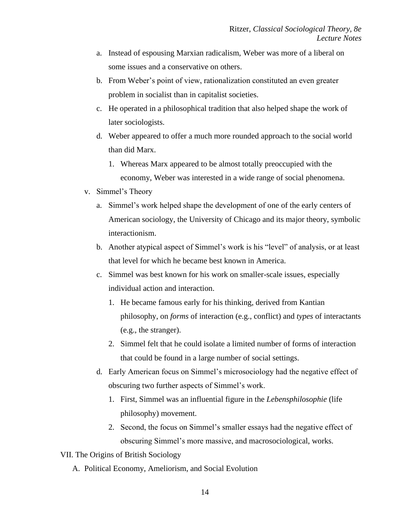- a. Instead of espousing Marxian radicalism, Weber was more of a liberal on some issues and a conservative on others.
- b. From Weber's point of view, rationalization constituted an even greater problem in socialist than in capitalist societies.
- c. He operated in a philosophical tradition that also helped shape the work of later sociologists.
- d. Weber appeared to offer a much more rounded approach to the social world than did Marx.
	- 1. Whereas Marx appeared to be almost totally preoccupied with the economy, Weber was interested in a wide range of social phenomena.
- v. Simmel's Theory
	- a. Simmel's work helped shape the development of one of the early centers of American sociology, the University of Chicago and its major theory, symbolic interactionism.
	- b. Another atypical aspect of Simmel's work is his "level" of analysis, or at least that level for which he became best known in America.
	- c. Simmel was best known for his work on smaller-scale issues, especially individual action and interaction.
		- 1. He became famous early for his thinking, derived from Kantian philosophy, on *forms* of interaction (e.g., conflict) and *types* of interactants (e.g., the stranger).
		- 2. Simmel felt that he could isolate a limited number of forms of interaction that could be found in a large number of social settings.
	- d. Early American focus on Simmel's microsociology had the negative effect of obscuring two further aspects of Simmel's work.
		- 1. First, Simmel was an influential figure in the *Lebensphilosophie* (life philosophy) movement.
		- 2. Second, the focus on Simmel's smaller essays had the negative effect of obscuring Simmel's more massive, and macrosociological, works.

VII. The Origins of British Sociology

A. Political Economy, Ameliorism, and Social Evolution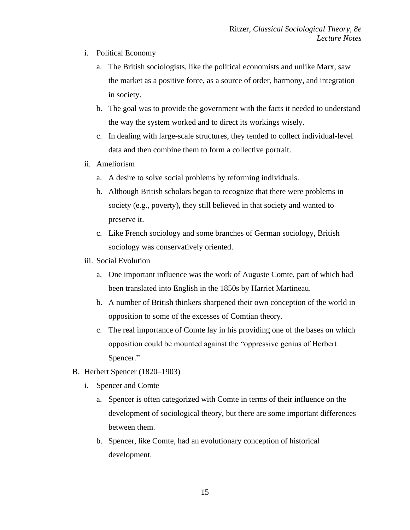- i. Political Economy
	- a. The British sociologists, like the political economists and unlike Marx, saw the market as a positive force, as a source of order, harmony, and integration in society.
	- b. The goal was to provide the government with the facts it needed to understand the way the system worked and to direct its workings wisely.
	- c. In dealing with large-scale structures, they tended to collect individual-level data and then combine them to form a collective portrait.
- ii. Ameliorism
	- a. A desire to solve social problems by reforming individuals.
	- b. Although British scholars began to recognize that there were problems in society (e.g., poverty), they still believed in that society and wanted to preserve it.
	- c. Like French sociology and some branches of German sociology, British sociology was conservatively oriented.
- iii. Social Evolution
	- a. One important influence was the work of Auguste Comte, part of which had been translated into English in the 1850s by Harriet Martineau.
	- b. A number of British thinkers sharpened their own conception of the world in opposition to some of the excesses of Comtian theory.
	- c. The real importance of Comte lay in his providing one of the bases on which opposition could be mounted against the "oppressive genius of Herbert Spencer."
- B. Herbert Spencer (1820–1903)
	- i. Spencer and Comte
		- a. Spencer is often categorized with Comte in terms of their influence on the development of sociological theory, but there are some important differences between them.
		- b. Spencer, like Comte, had an evolutionary conception of historical development.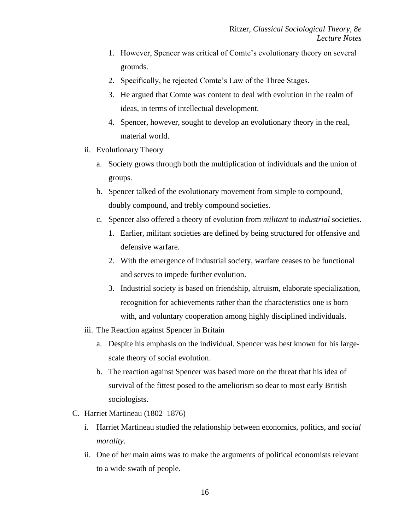- 1. However, Spencer was critical of Comte's evolutionary theory on several grounds.
- 2. Specifically, he rejected Comte's Law of the Three Stages.
- 3. He argued that Comte was content to deal with evolution in the realm of ideas, in terms of intellectual development.
- 4. Spencer, however, sought to develop an evolutionary theory in the real, material world.
- ii. Evolutionary Theory
	- a. Society grows through both the multiplication of individuals and the union of groups.
	- b. Spencer talked of the evolutionary movement from simple to compound, doubly compound, and trebly compound societies.
	- c. Spencer also offered a theory of evolution from *militant* to *industrial* societies.
		- 1. Earlier, militant societies are defined by being structured for offensive and defensive warfare.
		- 2. With the emergence of industrial society, warfare ceases to be functional and serves to impede further evolution.
		- 3. Industrial society is based on friendship, altruism, elaborate specialization, recognition for achievements rather than the characteristics one is born with, and voluntary cooperation among highly disciplined individuals.
- iii. The Reaction against Spencer in Britain
	- a. Despite his emphasis on the individual, Spencer was best known for his largescale theory of social evolution.
	- b. The reaction against Spencer was based more on the threat that his idea of survival of the fittest posed to the ameliorism so dear to most early British sociologists.
- C. Harriet Martineau (1802–1876)
	- i. Harriet Martineau studied the relationship between economics, politics, and *social morality*.
	- ii. One of her main aims was to make the arguments of political economists relevant to a wide swath of people.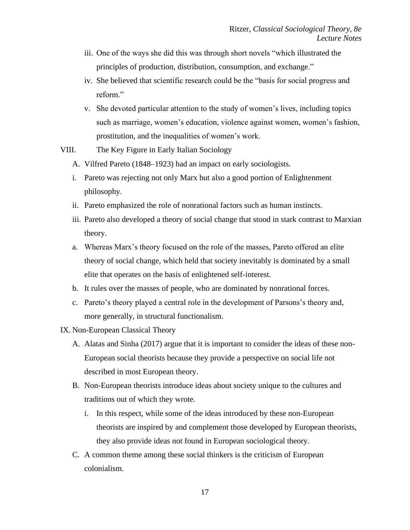- iii. One of the ways she did this was through short novels "which illustrated the principles of production, distribution, consumption, and exchange."
- iv. She believed that scientific research could be the "basis for social progress and reform."
- v. She devoted particular attention to the study of women's lives, including topics such as marriage, women's education, violence against women, women's fashion, prostitution, and the inequalities of women's work.
- VIII. The Key Figure in Early Italian Sociology
	- A. Vilfred Pareto (1848–1923) had an impact on early sociologists.
	- i. Pareto was rejecting not only Marx but also a good portion of Enlightenment philosophy.
	- ii. Pareto emphasized the role of nonrational factors such as human instincts.
	- iii. Pareto also developed a theory of social change that stood in stark contrast to Marxian theory.
	- a. Whereas Marx's theory focused on the role of the masses, Pareto offered an elite theory of social change, which held that society inevitably is dominated by a small elite that operates on the basis of enlightened self-interest.
	- b. It rules over the masses of people, who are dominated by nonrational forces.
	- c. Pareto's theory played a central role in the development of Parsons's theory and, more generally, in structural functionalism.

IX. Non-European Classical Theory

- A. Alatas and Sinha (2017) argue that it is important to consider the ideas of these non-European social theorists because they provide a perspective on social life not described in most European theory.
- B. Non-European theorists introduce ideas about society unique to the cultures and traditions out of which they wrote.
	- i. In this respect, while some of the ideas introduced by these non-European theorists are inspired by and complement those developed by European theorists, they also provide ideas not found in European sociological theory.
- C. A common theme among these social thinkers is the criticism of European colonialism.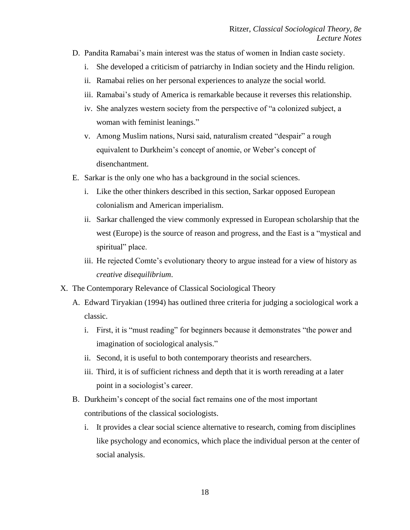- D. Pandita Ramabai's main interest was the status of women in Indian caste society.
	- i. She developed a criticism of patriarchy in Indian society and the Hindu religion.
	- ii. Ramabai relies on her personal experiences to analyze the social world.
	- iii. Ramabai's study of America is remarkable because it reverses this relationship.
	- iv. She analyzes western society from the perspective of "a colonized subject, a woman with feminist leanings."
	- v. Among Muslim nations, Nursi said, naturalism created "despair" a rough equivalent to Durkheim's concept of anomie, or Weber's concept of disenchantment.
- E. Sarkar is the only one who has a background in the social sciences.
	- i. Like the other thinkers described in this section, Sarkar opposed European colonialism and American imperialism.
	- ii. Sarkar challenged the view commonly expressed in European scholarship that the west (Europe) is the source of reason and progress, and the East is a "mystical and spiritual" place.
	- iii. He rejected Comte's evolutionary theory to argue instead for a view of history as *creative disequilibrium*.
- X. The Contemporary Relevance of Classical Sociological Theory
	- A. Edward Tiryakian (1994) has outlined three criteria for judging a sociological work a classic.
		- i. First, it is "must reading" for beginners because it demonstrates "the power and imagination of sociological analysis."
		- ii. Second, it is useful to both contemporary theorists and researchers.
		- iii. Third, it is of sufficient richness and depth that it is worth rereading at a later point in a sociologist's career.
	- B. Durkheim's concept of the social fact remains one of the most important contributions of the classical sociologists.
		- i. It provides a clear social science alternative to research, coming from disciplines like psychology and economics, which place the individual person at the center of social analysis.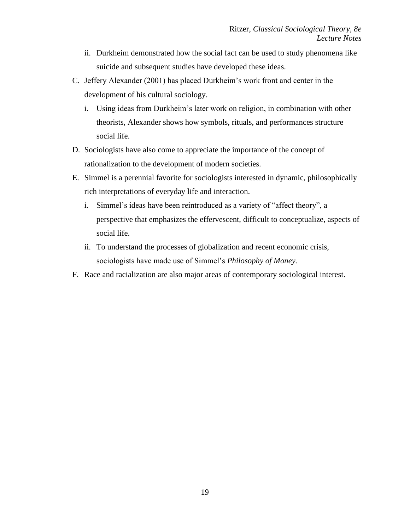- ii. Durkheim demonstrated how the social fact can be used to study phenomena like suicide and subsequent studies have developed these ideas.
- C. Jeffery Alexander (2001) has placed Durkheim's work front and center in the development of his cultural sociology.
	- i. Using ideas from Durkheim's later work on religion, in combination with other theorists, Alexander shows how symbols, rituals, and performances structure social life.
- D. Sociologists have also come to appreciate the importance of the concept of rationalization to the development of modern societies.
- E. Simmel is a perennial favorite for sociologists interested in dynamic, philosophically rich interpretations of everyday life and interaction.
	- i. Simmel's ideas have been reintroduced as a variety of "affect theory", a perspective that emphasizes the effervescent, difficult to conceptualize, aspects of social life.
	- ii. To understand the processes of globalization and recent economic crisis, sociologists have made use of Simmel's *Philosophy of Money.*
- F. Race and racialization are also major areas of contemporary sociological interest.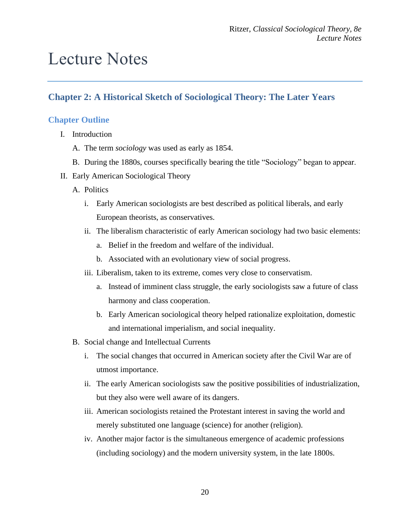# Lecture Notes

### **Chapter 2: A Historical Sketch of Sociological Theory: The Later Years**

#### **Chapter Outline**

- I. Introduction
	- A. The term *sociology* was used as early as 1854.
	- B. During the 1880s, courses specifically bearing the title "Sociology" began to appear.
- II. Early American Sociological Theory
	- A. Politics
		- i. Early American sociologists are best described as political liberals, and early European theorists, as conservatives.
		- ii. The liberalism characteristic of early American sociology had two basic elements:
			- a. Belief in the freedom and welfare of the individual.
			- b. Associated with an evolutionary view of social progress.
		- iii. Liberalism, taken to its extreme, comes very close to conservatism.
			- a. Instead of imminent class struggle, the early sociologists saw a future of class harmony and class cooperation.
			- b. Early American sociological theory helped rationalize exploitation, domestic and international imperialism, and social inequality.
	- B. Social change and Intellectual Currents
		- i. The social changes that occurred in American society after the Civil War are of utmost importance.
		- ii. The early American sociologists saw the positive possibilities of industrialization, but they also were well aware of its dangers.
		- iii. American sociologists retained the Protestant interest in saving the world and merely substituted one language (science) for another (religion).
		- iv. Another major factor is the simultaneous emergence of academic professions (including sociology) and the modern university system, in the late 1800s.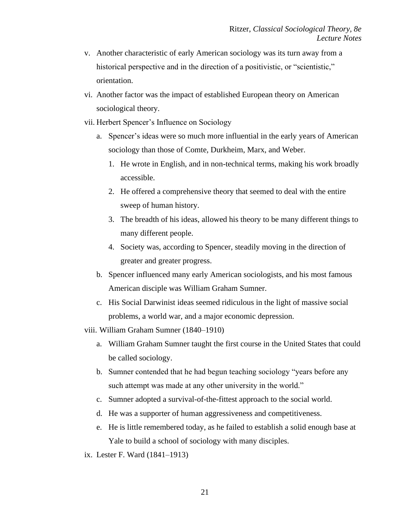- v. Another characteristic of early American sociology was its turn away from a historical perspective and in the direction of a positivistic, or "scientistic," orientation.
- vi. Another factor was the impact of established European theory on American sociological theory.
- vii. Herbert Spencer's Influence on Sociology
	- a. Spencer's ideas were so much more influential in the early years of American sociology than those of Comte, Durkheim, Marx, and Weber.
		- 1. He wrote in English, and in non-technical terms, making his work broadly accessible.
		- 2. He offered a comprehensive theory that seemed to deal with the entire sweep of human history.
		- 3. The breadth of his ideas, allowed his theory to be many different things to many different people.
		- 4. Society was, according to Spencer, steadily moving in the direction of greater and greater progress.
	- b. Spencer influenced many early American sociologists, and his most famous American disciple was William Graham Sumner.
	- c. His Social Darwinist ideas seemed ridiculous in the light of massive social problems, a world war, and a major economic depression.
- viii. William Graham Sumner (1840–1910)
	- a. William Graham Sumner taught the first course in the United States that could be called sociology.
	- b. Sumner contended that he had begun teaching sociology "years before any such attempt was made at any other university in the world."
	- c. Sumner adopted a survival-of-the-fittest approach to the social world.
	- d. He was a supporter of human aggressiveness and competitiveness.
	- e. He is little remembered today, as he failed to establish a solid enough base at Yale to build a school of sociology with many disciples.
- ix. Lester F. Ward (1841–1913)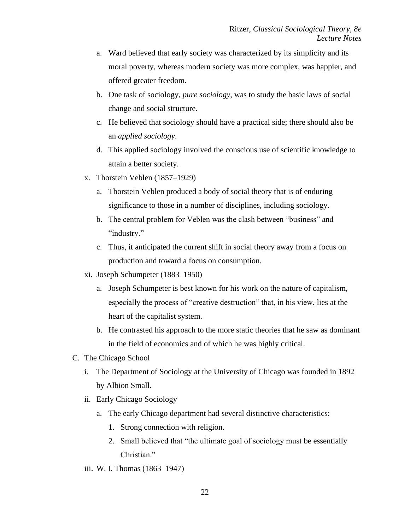- a. Ward believed that early society was characterized by its simplicity and its moral poverty, whereas modern society was more complex, was happier, and offered greater freedom.
- b. One task of sociology, *pure sociology*, was to study the basic laws of social change and social structure.
- c. He believed that sociology should have a practical side; there should also be an *applied sociology*.
- d. This applied sociology involved the conscious use of scientific knowledge to attain a better society.
- x. Thorstein Veblen (1857–1929)
	- a. Thorstein Veblen produced a body of social theory that is of enduring significance to those in a number of disciplines, including sociology.
	- b. The central problem for Veblen was the clash between "business" and "industry."
	- c. Thus, it anticipated the current shift in social theory away from a focus on production and toward a focus on consumption.
- xi. Joseph Schumpeter (1883–1950)
	- a. Joseph Schumpeter is best known for his work on the nature of capitalism, especially the process of "creative destruction" that, in his view, lies at the heart of the capitalist system.
	- b. He contrasted his approach to the more static theories that he saw as dominant in the field of economics and of which he was highly critical.
- C. The Chicago School
	- i. The Department of Sociology at the University of Chicago was founded in 1892 by Albion Small.
	- ii. Early Chicago Sociology
		- a. The early Chicago department had several distinctive characteristics:
			- 1. Strong connection with religion.
			- 2. Small believed that "the ultimate goal of sociology must be essentially Christian."
	- iii. W. I. Thomas (1863–1947)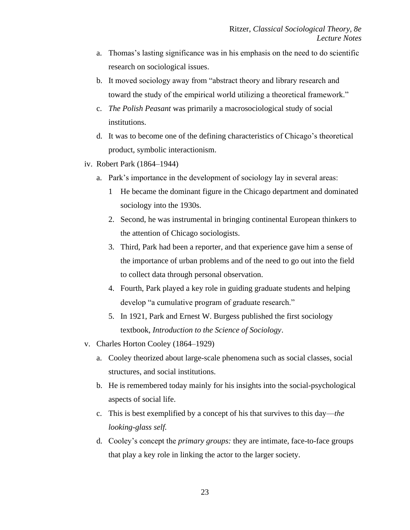- a. Thomas's lasting significance was in his emphasis on the need to do scientific research on sociological issues.
- b. It moved sociology away from "abstract theory and library research and toward the study of the empirical world utilizing a theoretical framework."
- c. *The Polish Peasant* was primarily a macrosociological study of social institutions.
- d. It was to become one of the defining characteristics of Chicago's theoretical product, symbolic interactionism.
- iv. Robert Park (1864–1944)
	- a. Park's importance in the development of sociology lay in several areas:
		- 1 He became the dominant figure in the Chicago department and dominated sociology into the 1930s.
		- 2. Second, he was instrumental in bringing continental European thinkers to the attention of Chicago sociologists.
		- 3. Third, Park had been a reporter, and that experience gave him a sense of the importance of urban problems and of the need to go out into the field to collect data through personal observation.
		- 4. Fourth, Park played a key role in guiding graduate students and helping develop "a cumulative program of graduate research."
		- 5. In 1921, Park and Ernest W. Burgess published the first sociology textbook, *Introduction to the Science of Sociology*.
- v. Charles Horton Cooley (1864–1929)
	- a. Cooley theorized about large-scale phenomena such as social classes, social structures, and social institutions.
	- b. He is remembered today mainly for his insights into the social-psychological aspects of social life.
	- c. This is best exemplified by a concept of his that survives to this day—*the looking-glass self.*
	- d. Cooley's concept the *primary groups:* they are intimate, face-to-face groups that play a key role in linking the actor to the larger society.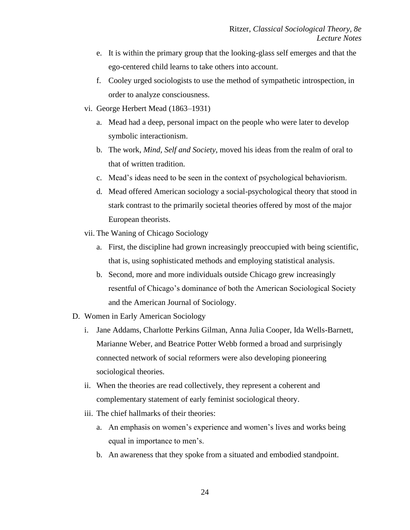- e. It is within the primary group that the looking-glass self emerges and that the ego-centered child learns to take others into account.
- f. Cooley urged sociologists to use the method of sympathetic introspection, in order to analyze consciousness.
- vi. George Herbert Mead (1863–1931)
	- a. Mead had a deep, personal impact on the people who were later to develop symbolic interactionism.
	- b. The work, *Mind, Self and Society*, moved his ideas from the realm of oral to that of written tradition.
	- c. Mead's ideas need to be seen in the context of psychological behaviorism.
	- d. Mead offered American sociology a social-psychological theory that stood in stark contrast to the primarily societal theories offered by most of the major European theorists.
- vii. The Waning of Chicago Sociology
	- a. First, the discipline had grown increasingly preoccupied with being scientific, that is, using sophisticated methods and employing statistical analysis.
	- b. Second, more and more individuals outside Chicago grew increasingly resentful of Chicago's dominance of both the American Sociological Society and the American Journal of Sociology.
- D. Women in Early American Sociology
	- i. Jane Addams, Charlotte Perkins Gilman, Anna Julia Cooper, Ida Wells-Barnett, Marianne Weber, and Beatrice Potter Webb formed a broad and surprisingly connected network of social reformers were also developing pioneering sociological theories.
	- ii. When the theories are read collectively, they represent a coherent and complementary statement of early feminist sociological theory.
	- iii. The chief hallmarks of their theories:
		- a. An emphasis on women's experience and women's lives and works being equal in importance to men's.
		- b. An awareness that they spoke from a situated and embodied standpoint.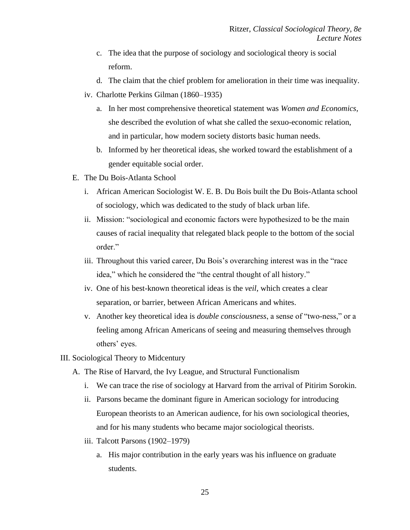- c. The idea that the purpose of sociology and sociological theory is social reform.
- d. The claim that the chief problem for amelioration in their time was inequality.
- iv. Charlotte Perkins Gilman (1860–1935)
	- a. In her most comprehensive theoretical statement was *Women and Economics,*  she described the evolution of what she called the sexuo-economic relation, and in particular, how modern society distorts basic human needs.
	- b. Informed by her theoretical ideas, she worked toward the establishment of a gender equitable social order.
- E. The Du Bois-Atlanta School
	- i. African American Sociologist W. E. B. Du Bois built the Du Bois-Atlanta school of sociology, which was dedicated to the study of black urban life.
	- ii. Mission: "sociological and economic factors were hypothesized to be the main causes of racial inequality that relegated black people to the bottom of the social order."
	- iii. Throughout this varied career, Du Bois's overarching interest was in the "race idea," which he considered the "the central thought of all history."
	- iv. One of his best-known theoretical ideas is the *veil*, which creates a clear separation, or barrier, between African Americans and whites.
	- v. Another key theoretical idea is *double consciousness*, a sense of "two-ness," or a feeling among African Americans of seeing and measuring themselves through others' eyes.
- III. Sociological Theory to Midcentury
	- A. The Rise of Harvard, the Ivy League, and Structural Functionalism
		- i. We can trace the rise of sociology at Harvard from the arrival of Pitirim Sorokin.
		- ii. Parsons became the dominant figure in American sociology for introducing European theorists to an American audience, for his own sociological theories, and for his many students who became major sociological theorists.
		- iii. Talcott Parsons (1902–1979)
			- a. His major contribution in the early years was his influence on graduate students.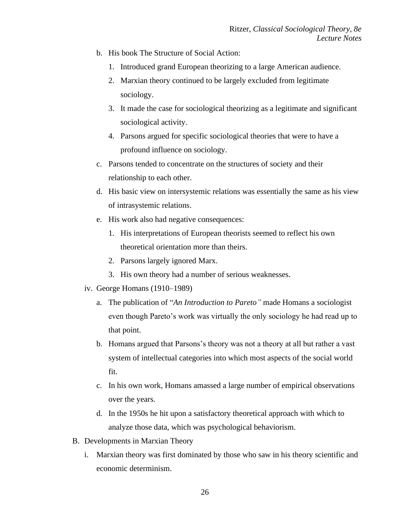- b. His book The Structure of Social Action:
	- 1. Introduced grand European theorizing to a large American audience.
	- 2. Marxian theory continued to be largely excluded from legitimate sociology.
	- 3. It made the case for sociological theorizing as a legitimate and significant sociological activity.
	- 4. Parsons argued for specific sociological theories that were to have a profound influence on sociology.
- c. Parsons tended to concentrate on the structures of society and their relationship to each other.
- d. His basic view on intersystemic relations was essentially the same as his view of intrasystemic relations.
- e. His work also had negative consequences:
	- 1. His interpretations of European theorists seemed to reflect his own theoretical orientation more than theirs.
	- 2. Parsons largely ignored Marx.
	- 3. His own theory had a number of serious weaknesses.
- iv. George Homans (1910–1989)
	- a. The publication of "*An Introduction to Pareto"* made Homans a sociologist even though Pareto's work was virtually the only sociology he had read up to that point.
	- b. Homans argued that Parsons's theory was not a theory at all but rather a vast system of intellectual categories into which most aspects of the social world fit.
	- c. In his own work, Homans amassed a large number of empirical observations over the years.
	- d. In the 1950s he hit upon a satisfactory theoretical approach with which to analyze those data, which was psychological behaviorism.
- B. Developments in Marxian Theory
	- i. Marxian theory was first dominated by those who saw in his theory scientific and economic determinism.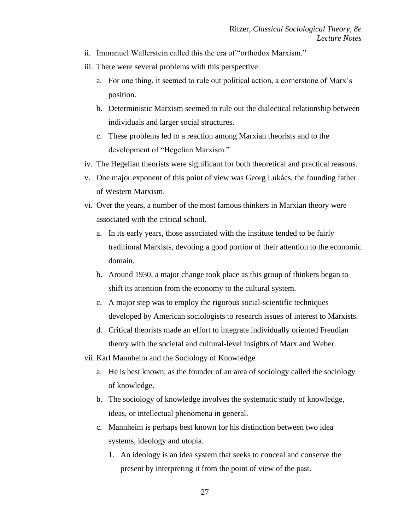- ii. Immanuel Wallerstein called this the era of "orthodox Marxism."
- iii. There were several problems with this perspective:
	- a. For one thing, it seemed to rule out political action, a cornerstone of Marx's position.
	- b. Deterministic Marxism seemed to rule out the dialectical relationship between individuals and larger social structures.
	- c. These problems led to a reaction among Marxian theorists and to the development of "Hegelian Marxism."
- iv. The Hegelian theorists were significant for both theoretical and practical reasons.
- v. One major exponent of this point of view was Georg Lukács, the founding father of Western Marxism.
- vi. Over the years, a number of the most famous thinkers in Marxian theory were associated with the critical school.
	- a. In its early years, those associated with the institute tended to be fairly traditional Marxists, devoting a good portion of their attention to the economic domain.
	- b. Around 1930, a major change took place as this group of thinkers began to shift its attention from the economy to the cultural system.
	- c. A major step was to employ the rigorous social-scientific techniques developed by American sociologists to research issues of interest to Marxists.
	- d. Critical theorists made an effort to integrate individually oriented Freudian theory with the societal and cultural-level insights of Marx and Weber.

vii. Karl Mannheim and the Sociology of Knowledge

- a. He is best known, as the founder of an area of sociology called the sociology of knowledge.
- b. The sociology of knowledge involves the systematic study of knowledge, ideas, or intellectual phenomena in general.
- c. Mannheim is perhaps best known for his distinction between two idea systems, ideology and utopia.
	- 1. An ideology is an idea system that seeks to conceal and conserve the present by interpreting it from the point of view of the past.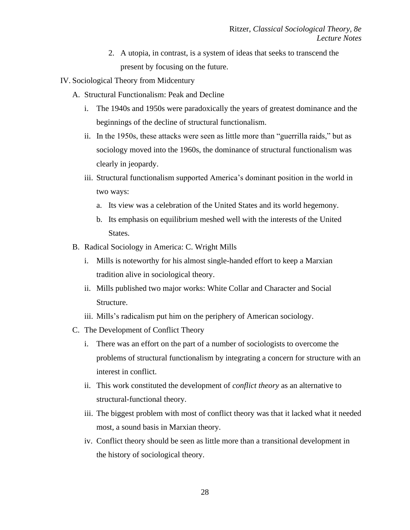- 2. A utopia, in contrast, is a system of ideas that seeks to transcend the present by focusing on the future.
- IV. Sociological Theory from Midcentury
	- A. Structural Functionalism: Peak and Decline
		- i. The 1940s and 1950s were paradoxically the years of greatest dominance and the beginnings of the decline of structural functionalism.
		- ii. In the 1950s, these attacks were seen as little more than "guerrilla raids," but as sociology moved into the 1960s, the dominance of structural functionalism was clearly in jeopardy.
		- iii. Structural functionalism supported America's dominant position in the world in two ways:
			- a. Its view was a celebration of the United States and its world hegemony.
			- b. Its emphasis on equilibrium meshed well with the interests of the United States.
	- B. Radical Sociology in America: C. Wright Mills
		- i. Mills is noteworthy for his almost single-handed effort to keep a Marxian tradition alive in sociological theory.
		- ii. Mills published two major works: White Collar and Character and Social Structure.
		- iii. Mills's radicalism put him on the periphery of American sociology.
	- C. The Development of Conflict Theory
		- i. There was an effort on the part of a number of sociologists to overcome the problems of structural functionalism by integrating a concern for structure with an interest in conflict.
		- ii. This work constituted the development of *conflict theory* as an alternative to structural-functional theory.
		- iii. The biggest problem with most of conflict theory was that it lacked what it needed most, a sound basis in Marxian theory.
		- iv. Conflict theory should be seen as little more than a transitional development in the history of sociological theory.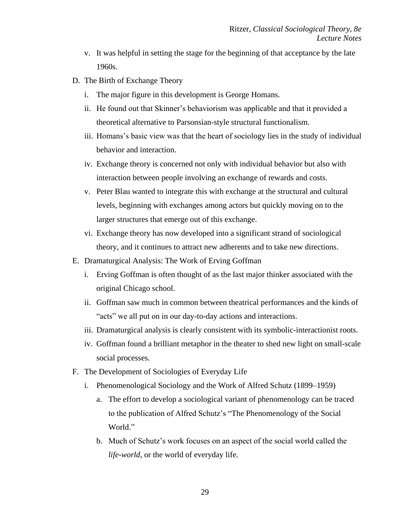- v. It was helpful in setting the stage for the beginning of that acceptance by the late 1960s.
- D. The Birth of Exchange Theory
	- i. The major figure in this development is George Homans.
	- ii. He found out that Skinner's behaviorism was applicable and that it provided a theoretical alternative to Parsonsian-style structural functionalism.
	- iii. Homans's basic view was that the heart of sociology lies in the study of individual behavior and interaction.
	- iv. Exchange theory is concerned not only with individual behavior but also with interaction between people involving an exchange of rewards and costs.
	- v. Peter Blau wanted to integrate this with exchange at the structural and cultural levels, beginning with exchanges among actors but quickly moving on to the larger structures that emerge out of this exchange.
	- vi. Exchange theory has now developed into a significant strand of sociological theory, and it continues to attract new adherents and to take new directions.
- E. Dramaturgical Analysis: The Work of Erving Goffman
	- i. Erving Goffman is often thought of as the last major thinker associated with the original Chicago school.
	- ii. Goffman saw much in common between theatrical performances and the kinds of "acts" we all put on in our day-to-day actions and interactions.
	- iii. Dramaturgical analysis is clearly consistent with its symbolic-interactionist roots.
	- iv. Goffman found a brilliant metaphor in the theater to shed new light on small-scale social processes.
- F. The Development of Sociologies of Everyday Life
	- i. Phenomenological Sociology and the Work of Alfred Schutz (1899–1959)
		- a. The effort to develop a sociological variant of phenomenology can be traced to the publication of Alfred Schutz's "The Phenomenology of the Social World."
		- b. Much of Schutz's work focuses on an aspect of the social world called the *life-world*, or the world of everyday life.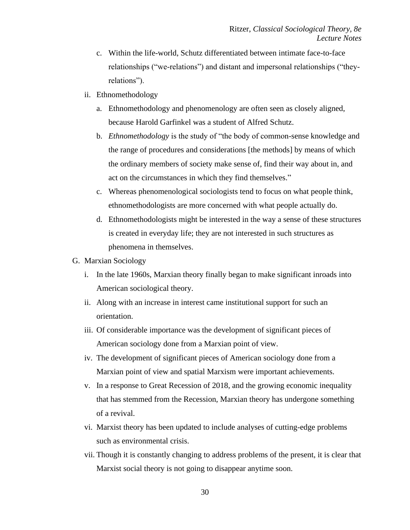- c. Within the life-world, Schutz differentiated between intimate face-to-face relationships ("we-relations") and distant and impersonal relationships ("theyrelations").
- ii. Ethnomethodology
	- a. Ethnomethodology and phenomenology are often seen as closely aligned, because Harold Garfinkel was a student of Alfred Schutz.
	- b. *Ethnomethodology* is the study of "the body of common-sense knowledge and the range of procedures and considerations [the methods] by means of which the ordinary members of society make sense of, find their way about in, and act on the circumstances in which they find themselves."
	- c. Whereas phenomenological sociologists tend to focus on what people think, ethnomethodologists are more concerned with what people actually do.
	- d. Ethnomethodologists might be interested in the way a sense of these structures is created in everyday life; they are not interested in such structures as phenomena in themselves.
- G. Marxian Sociology
	- i. In the late 1960s, Marxian theory finally began to make significant inroads into American sociological theory.
	- ii. Along with an increase in interest came institutional support for such an orientation.
	- iii. Of considerable importance was the development of significant pieces of American sociology done from a Marxian point of view.
	- iv. The development of significant pieces of American sociology done from a Marxian point of view and spatial Marxism were important achievements.
	- v. In a response to Great Recession of 2018, and the growing economic inequality that has stemmed from the Recession, Marxian theory has undergone something of a revival.
	- vi. Marxist theory has been updated to include analyses of cutting-edge problems such as environmental crisis.
	- vii. Though it is constantly changing to address problems of the present, it is clear that Marxist social theory is not going to disappear anytime soon.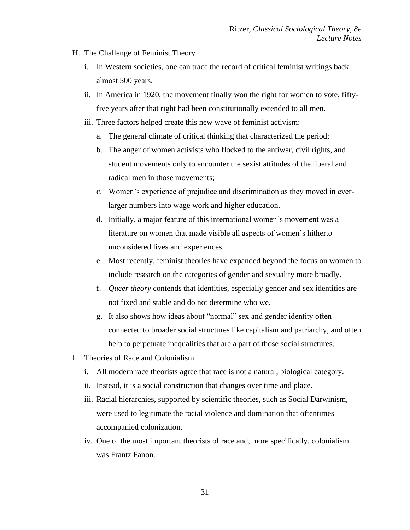- H. The Challenge of Feminist Theory
	- i. In Western societies, one can trace the record of critical feminist writings back almost 500 years.
	- ii. In America in 1920, the movement finally won the right for women to vote, fiftyfive years after that right had been constitutionally extended to all men.
	- iii. Three factors helped create this new wave of feminist activism:
		- a. The general climate of critical thinking that characterized the period;
		- b. The anger of women activists who flocked to the antiwar, civil rights, and student movements only to encounter the sexist attitudes of the liberal and radical men in those movements;
		- c. Women's experience of prejudice and discrimination as they moved in everlarger numbers into wage work and higher education.
		- d. Initially, a major feature of this international women's movement was a literature on women that made visible all aspects of women's hitherto unconsidered lives and experiences.
		- e. Most recently, feminist theories have expanded beyond the focus on women to include research on the categories of gender and sexuality more broadly.
		- f. *Queer theory* contends that identities, especially gender and sex identities are not fixed and stable and do not determine who we.
		- g. It also shows how ideas about "normal" sex and gender identity often connected to broader social structures like capitalism and patriarchy, and often help to perpetuate inequalities that are a part of those social structures.
- I. Theories of Race and Colonialism
	- i. All modern race theorists agree that race is not a natural, biological category.
	- ii. Instead, it is a social construction that changes over time and place.
	- iii. Racial hierarchies, supported by scientific theories, such as Social Darwinism, were used to legitimate the racial violence and domination that oftentimes accompanied colonization.
	- iv. One of the most important theorists of race and, more specifically, colonialism was Frantz Fanon.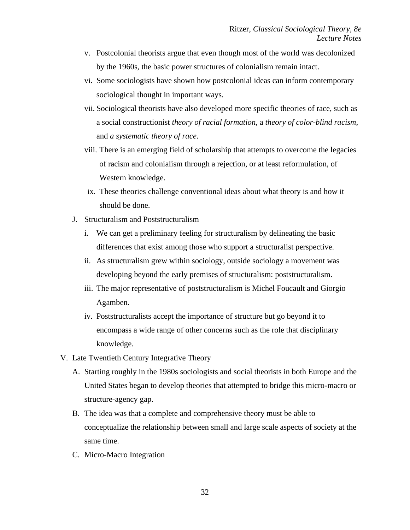- v. Postcolonial theorists argue that even though most of the world was decolonized by the 1960s, the basic power structures of colonialism remain intact.
- vi. Some sociologists have shown how postcolonial ideas can inform contemporary sociological thought in important ways.
- vii. Sociological theorists have also developed more specific theories of race, such as a social constructionist *theory of racial formation*, a *theory of color-blind racism*, and *a systematic theory of race*.
- viii. There is an emerging field of scholarship that attempts to overcome the legacies of racism and colonialism through a rejection, or at least reformulation, of Western knowledge.
- ix. These theories challenge conventional ideas about what theory is and how it should be done.
- J. Structuralism and Poststructuralism
	- i. We can get a preliminary feeling for structuralism by delineating the basic differences that exist among those who support a structuralist perspective.
	- ii. As structuralism grew within sociology, outside sociology a movement was developing beyond the early premises of structuralism: poststructuralism.
	- iii. The major representative of poststructuralism is Michel Foucault and Giorgio Agamben.
	- iv. Poststructuralists accept the importance of structure but go beyond it to encompass a wide range of other concerns such as the role that disciplinary knowledge.
- V. Late Twentieth Century Integrative Theory
	- A. Starting roughly in the 1980s sociologists and social theorists in both Europe and the United States began to develop theories that attempted to bridge this micro-macro or structure-agency gap.
	- B. The idea was that a complete and comprehensive theory must be able to conceptualize the relationship between small and large scale aspects of society at the same time.
	- C. Micro-Macro Integration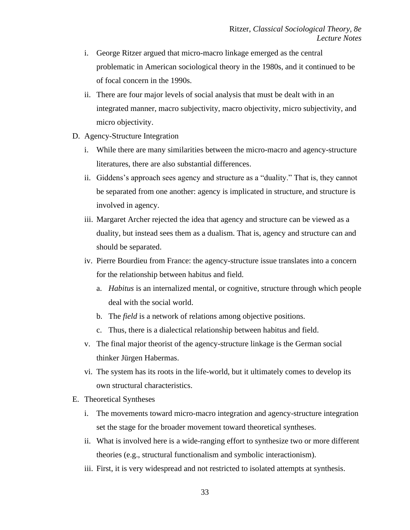- i. George Ritzer argued that micro-macro linkage emerged as the central problematic in American sociological theory in the 1980s, and it continued to be of focal concern in the 1990s.
- ii. There are four major levels of social analysis that must be dealt with in an integrated manner, macro subjectivity, macro objectivity, micro subjectivity, and micro objectivity.
- D. Agency-Structure Integration
	- i. While there are many similarities between the micro-macro and agency-structure literatures, there are also substantial differences.
	- ii. Giddens's approach sees agency and structure as a "duality." That is, they cannot be separated from one another: agency is implicated in structure, and structure is involved in agency.
	- iii. Margaret Archer rejected the idea that agency and structure can be viewed as a duality, but instead sees them as a dualism. That is, agency and structure can and should be separated.
	- iv. Pierre Bourdieu from France: the agency-structure issue translates into a concern for the relationship between habitus and field.
		- a. *Habitus* is an internalized mental, or cognitive, structure through which people deal with the social world.
		- b. The *field* is a network of relations among objective positions.
		- c. Thus, there is a dialectical relationship between habitus and field.
	- v. The final major theorist of the agency-structure linkage is the German social thinker Jürgen Habermas.
	- vi. The system has its roots in the life-world, but it ultimately comes to develop its own structural characteristics.
- E. Theoretical Syntheses
	- i. The movements toward micro-macro integration and agency-structure integration set the stage for the broader movement toward theoretical syntheses.
	- ii. What is involved here is a wide-ranging effort to synthesize two or more different theories (e.g., structural functionalism and symbolic interactionism).
	- iii. First, it is very widespread and not restricted to isolated attempts at synthesis.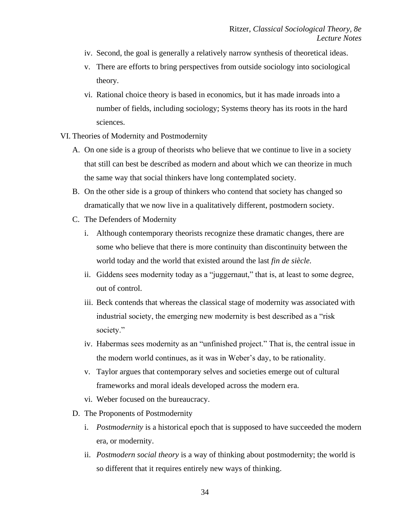- iv. Second, the goal is generally a relatively narrow synthesis of theoretical ideas.
- v. There are efforts to bring perspectives from outside sociology into sociological theory.
- vi. Rational choice theory is based in economics, but it has made inroads into a number of fields, including sociology; Systems theory has its roots in the hard sciences.
- VI. Theories of Modernity and Postmodernity
	- A. On one side is a group of theorists who believe that we continue to live in a society that still can best be described as modern and about which we can theorize in much the same way that social thinkers have long contemplated society.
	- B. On the other side is a group of thinkers who contend that society has changed so dramatically that we now live in a qualitatively different, postmodern society.
	- C. The Defenders of Modernity
		- i. Although contemporary theorists recognize these dramatic changes, there are some who believe that there is more continuity than discontinuity between the world today and the world that existed around the last *fin de siècle.*
		- ii. Giddens sees modernity today as a "juggernaut," that is, at least to some degree, out of control.
		- iii. Beck contends that whereas the classical stage of modernity was associated with industrial society, the emerging new modernity is best described as a "risk society."
		- iv. Habermas sees modernity as an "unfinished project." That is, the central issue in the modern world continues, as it was in Weber's day, to be rationality.
		- v. Taylor argues that contemporary selves and societies emerge out of cultural frameworks and moral ideals developed across the modern era.
		- vi. Weber focused on the bureaucracy.
	- D. The Proponents of Postmodernity
		- i. *Postmodernity* is a historical epoch that is supposed to have succeeded the modern era, or modernity.
		- ii. *Postmodern social theory* is a way of thinking about postmodernity; the world is so different that it requires entirely new ways of thinking.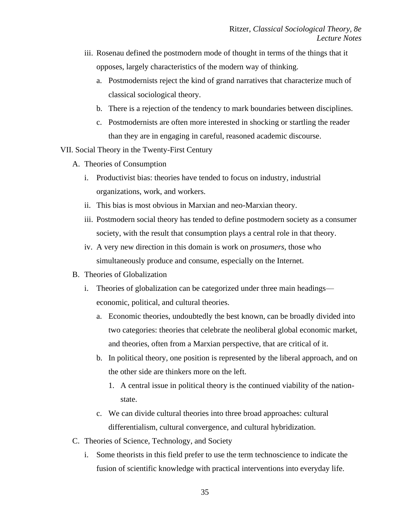- iii. Rosenau defined the postmodern mode of thought in terms of the things that it opposes, largely characteristics of the modern way of thinking.
	- a. Postmodernists reject the kind of grand narratives that characterize much of classical sociological theory.
	- b. There is a rejection of the tendency to mark boundaries between disciplines.
	- c. Postmodernists are often more interested in shocking or startling the reader than they are in engaging in careful, reasoned academic discourse.
- VII. Social Theory in the Twenty-First Century
	- A. Theories of Consumption
		- i. Productivist bias: theories have tended to focus on industry, industrial organizations, work, and workers.
		- ii. This bias is most obvious in Marxian and neo-Marxian theory.
		- iii. Postmodern social theory has tended to define postmodern society as a consumer society, with the result that consumption plays a central role in that theory.
		- iv. A very new direction in this domain is work on *prosumers*, those who simultaneously produce and consume, especially on the Internet.
	- B. Theories of Globalization
		- i. Theories of globalization can be categorized under three main headings economic, political, and cultural theories.
			- a. Economic theories, undoubtedly the best known, can be broadly divided into two categories: theories that celebrate the neoliberal global economic market, and theories, often from a Marxian perspective, that are critical of it.
			- b. In political theory, one position is represented by the liberal approach, and on the other side are thinkers more on the left.
				- 1. A central issue in political theory is the continued viability of the nationstate.
			- c. We can divide cultural theories into three broad approaches: cultural differentialism, cultural convergence, and cultural hybridization.
	- C. Theories of Science, Technology, and Society
		- i. Some theorists in this field prefer to use the term technoscience to indicate the fusion of scientific knowledge with practical interventions into everyday life.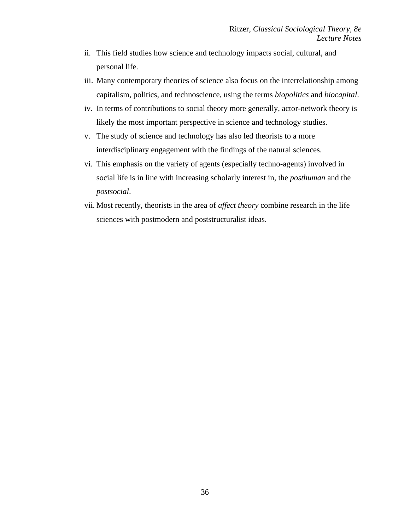- ii. This field studies how science and technology impacts social, cultural, and personal life.
- iii. Many contemporary theories of science also focus on the interrelationship among capitalism, politics, and technoscience, using the terms *biopolitics* and *biocapital*.
- iv. In terms of contributions to social theory more generally, actor-network theory is likely the most important perspective in science and technology studies.
- v. The study of science and technology has also led theorists to a more interdisciplinary engagement with the findings of the natural sciences.
- vi. This emphasis on the variety of agents (especially techno-agents) involved in social life is in line with increasing scholarly interest in, the *posthuman* and the *postsocial*.
- vii. Most recently, theorists in the area of *affect theory* combine research in the life sciences with postmodern and poststructuralist ideas.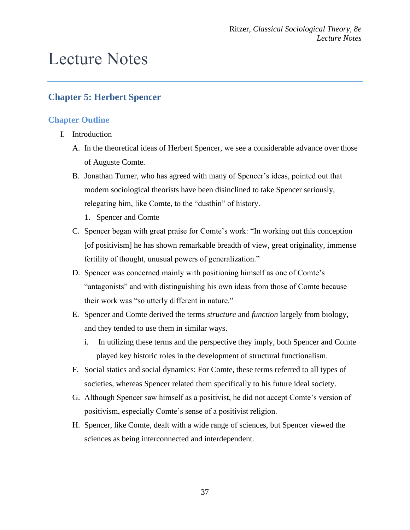# Lecture Notes

# **Chapter 5: Herbert Spencer**

### **Chapter Outline**

- I. Introduction
	- A. In the theoretical ideas of Herbert Spencer, we see a considerable advance over those of Auguste Comte.
	- B. Jonathan Turner, who has agreed with many of Spencer's ideas, pointed out that modern sociological theorists have been disinclined to take Spencer seriously, relegating him, like Comte, to the "dustbin" of history.
		- 1. Spencer and Comte
	- C. Spencer began with great praise for Comte's work: "In working out this conception [of positivism] he has shown remarkable breadth of view, great originality, immense fertility of thought, unusual powers of generalization."
	- D. Spencer was concerned mainly with positioning himself as one of Comte's "antagonists" and with distinguishing his own ideas from those of Comte because their work was "so utterly different in nature."
	- E. Spencer and Comte derived the terms *structure* and *function* largely from biology, and they tended to use them in similar ways.
		- i. In utilizing these terms and the perspective they imply, both Spencer and Comte played key historic roles in the development of structural functionalism.
	- F. Social statics and social dynamics: For Comte, these terms referred to all types of societies, whereas Spencer related them specifically to his future ideal society.
	- G. Although Spencer saw himself as a positivist, he did not accept Comte's version of positivism, especially Comte's sense of a positivist religion.
	- H. Spencer, like Comte, dealt with a wide range of sciences, but Spencer viewed the sciences as being interconnected and interdependent.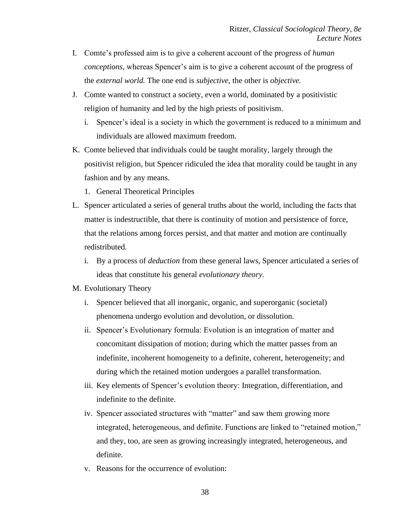- I. Comte's professed aim is to give a coherent account of the progress of *human conceptions,* whereas Spencer's aim is to give a coherent account of the progress of the *external world.* The one end is *subjective,* the other is *objective.*
- J. Comte wanted to construct a society, even a world, dominated by a positivistic religion of humanity and led by the high priests of positivism.
	- i. Spencer's ideal is a society in which the government is reduced to a minimum and individuals are allowed maximum freedom.
- K. Comte believed that individuals could be taught morality, largely through the positivist religion, but Spencer ridiculed the idea that morality could be taught in any fashion and by any means.
	- 1. General Theoretical Principles
- L. Spencer articulated a series of general truths about the world, including the facts that matter is indestructible, that there is continuity of motion and persistence of force, that the relations among forces persist, and that matter and motion are continually redistributed.
	- i. By a process of *deduction* from these general laws, Spencer articulated a series of ideas that constitute his general *evolutionary theory.*
- M. Evolutionary Theory
	- i. Spencer believed that all inorganic, organic, and superorganic (societal) phenomena undergo evolution and devolution, or dissolution.
	- ii. Spencer's Evolutionary formula: Evolution is an integration of matter and concomitant dissipation of motion; during which the matter passes from an indefinite, incoherent homogeneity to a definite, coherent, heterogeneity; and during which the retained motion undergoes a parallel transformation.
	- iii. Key elements of Spencer's evolution theory: Integration, differentiation, and indefinite to the definite.
	- iv. Spencer associated structures with "matter" and saw them growing more integrated, heterogeneous, and definite. Functions are linked to "retained motion," and they, too, are seen as growing increasingly integrated, heterogeneous, and definite.
	- v. Reasons for the occurrence of evolution: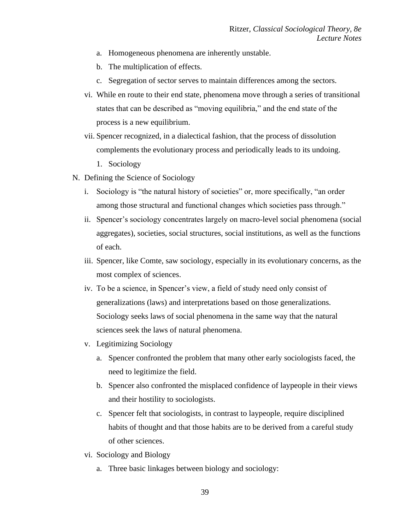- a. Homogeneous phenomena are inherently unstable.
- b. The multiplication of effects.
- c. Segregation of sector serves to maintain differences among the sectors.
- vi. While en route to their end state, phenomena move through a series of transitional states that can be described as "moving equilibria," and the end state of the process is a new equilibrium.
- vii. Spencer recognized, in a dialectical fashion, that the process of dissolution complements the evolutionary process and periodically leads to its undoing.
	- 1. Sociology
- N. Defining the Science of Sociology
	- i. Sociology is "the natural history of societies" or, more specifically, "an order among those structural and functional changes which societies pass through."
	- ii. Spencer's sociology concentrates largely on macro-level social phenomena (social aggregates), societies, social structures, social institutions, as well as the functions of each.
	- iii. Spencer, like Comte, saw sociology, especially in its evolutionary concerns, as the most complex of sciences.
	- iv. To be a science, in Spencer's view, a field of study need only consist of generalizations (laws) and interpretations based on those generalizations. Sociology seeks laws of social phenomena in the same way that the natural sciences seek the laws of natural phenomena.
	- v. Legitimizing Sociology
		- a. Spencer confronted the problem that many other early sociologists faced, the need to legitimize the field.
		- b. Spencer also confronted the misplaced confidence of laypeople in their views and their hostility to sociologists.
		- c. Spencer felt that sociologists, in contrast to laypeople, require disciplined habits of thought and that those habits are to be derived from a careful study of other sciences.
	- vi. Sociology and Biology
		- a. Three basic linkages between biology and sociology: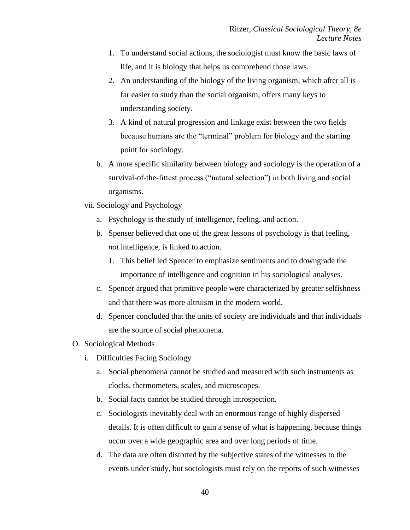- 1. To understand social actions, the sociologist must know the basic laws of life, and it is biology that helps us comprehend those laws.
- 2. An understanding of the biology of the living organism, which after all is far easier to study than the social organism, offers many keys to understanding society.
- 3. A kind of natural progression and linkage exist between the two fields because humans are the "terminal" problem for biology and the starting point for sociology.
- b. A more specific similarity between biology and sociology is the operation of a survival-of-the-fittest process ("natural selection") in both living and social organisms.
- vii. Sociology and Psychology
	- a. Psychology is the study of intelligence, feeling, and action.
	- b. Spenser believed that one of the great lessons of psychology is that feeling, *not* intelligence, is linked to action.
		- 1. This belief led Spencer to emphasize sentiments and to downgrade the importance of intelligence and cognition in his sociological analyses.
	- c. Spencer argued that primitive people were characterized by greater selfishness and that there was more altruism in the modern world.
	- d. Spencer concluded that the units of society are individuals and that individuals are the source of social phenomena.
- O. Sociological Methods
	- i. Difficulties Facing Sociology
		- a. Social phenomena cannot be studied and measured with such instruments as clocks, thermometers, scales, and microscopes.
		- b. Social facts cannot be studied through introspection.
		- c. Sociologists inevitably deal with an enormous range of highly dispersed details. It is often difficult to gain a sense of what is happening, because things occur over a wide geographic area and over long periods of time.
		- d. The data are often distorted by the subjective states of the witnesses to the events under study, but sociologists must rely on the reports of such witnesses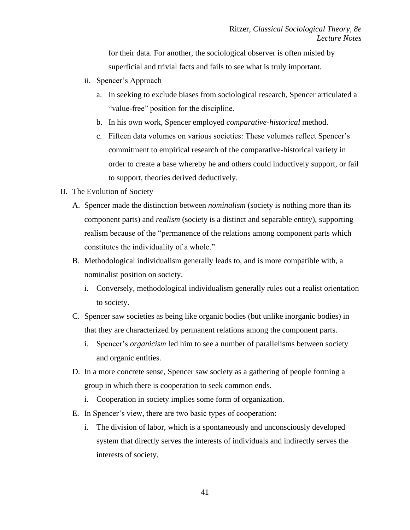for their data. For another, the sociological observer is often misled by superficial and trivial facts and fails to see what is truly important.

- ii. Spencer's Approach
	- a. In seeking to exclude biases from sociological research, Spencer articulated a "value-free" position for the discipline.
	- b. In his own work, Spencer employed *comparative-historical* method.
	- c. Fifteen data volumes on various societies: These volumes reflect Spencer's commitment to empirical research of the comparative-historical variety in order to create a base whereby he and others could inductively support, or fail to support, theories derived deductively.
- II. The Evolution of Society
	- A. Spencer made the distinction between *nominalism* (society is nothing more than its component parts) and *realism* (society is a distinct and separable entity), supporting realism because of the "permanence of the relations among component parts which constitutes the individuality of a whole."
	- B. Methodological individualism generally leads to, and is more compatible with, a nominalist position on society.
		- i. Conversely, methodological individualism generally rules out a realist orientation to society.
	- C. Spencer saw societies as being like organic bodies (but unlike inorganic bodies) in that they are characterized by permanent relations among the component parts.
		- i. Spencer's *organicism* led him to see a number of parallelisms between society and organic entities.
	- D. In a more concrete sense, Spencer saw society as a gathering of people forming a group in which there is cooperation to seek common ends.
		- i. Cooperation in society implies some form of organization.
	- E. In Spencer's view, there are two basic types of cooperation:
		- i. The division of labor, which is a spontaneously and unconsciously developed system that directly serves the interests of individuals and indirectly serves the interests of society.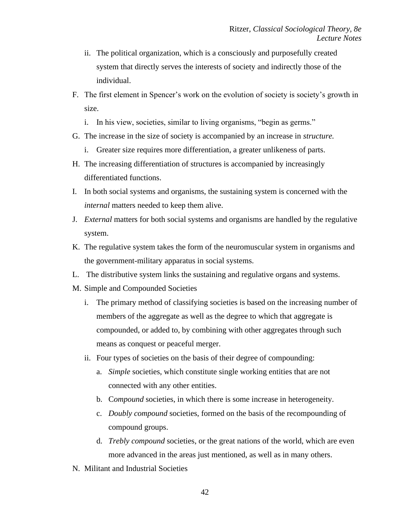- ii. The political organization, which is a consciously and purposefully created system that directly serves the interests of society and indirectly those of the individual.
- F. The first element in Spencer's work on the evolution of society is society's growth in size.
	- i. In his view, societies, similar to living organisms, "begin as germs."
- G. The increase in the size of society is accompanied by an increase in *structure.*
	- i. Greater size requires more differentiation, a greater unlikeness of parts.
- H. The increasing differentiation of structures is accompanied by increasingly differentiated functions.
- I. In both social systems and organisms, the sustaining system is concerned with the *internal* matters needed to keep them alive.
- J. *External* matters for both social systems and organisms are handled by the regulative system.
- K. The regulative system takes the form of the neuromuscular system in organisms and the government-military apparatus in social systems.
- L. The distributive system links the sustaining and regulative organs and systems.
- M. Simple and Compounded Societies
	- i. The primary method of classifying societies is based on the increasing number of members of the aggregate as well as the degree to which that aggregate is compounded, or added to, by combining with other aggregates through such means as conquest or peaceful merger.
	- ii. Four types of societies on the basis of their degree of compounding:
		- a. *Simple* societies, which constitute single working entities that are not connected with any other entities.
		- b. C*ompound* societies, in which there is some increase in heterogeneity.
		- c. *Doubly compound* societies, formed on the basis of the recompounding of compound groups.
		- d. *Trebly compound* societies, or the great nations of the world, which are even more advanced in the areas just mentioned, as well as in many others.
- N. Militant and Industrial Societies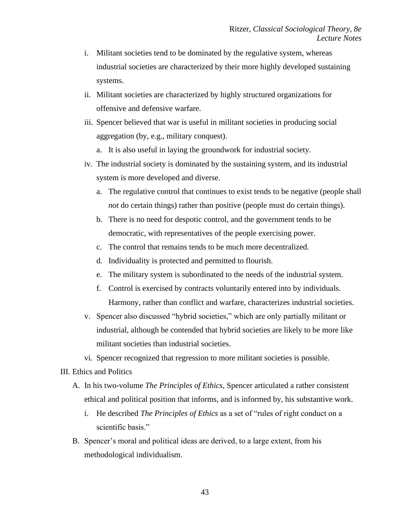- i. Militant societies tend to be dominated by the regulative system, whereas industrial societies are characterized by their more highly developed sustaining systems.
- ii. Militant societies are characterized by highly structured organizations for offensive and defensive warfare.
- iii. Spencer believed that war is useful in militant societies in producing social aggregation (by, e.g., military conquest).
	- a. It is also useful in laying the groundwork for industrial society.
- iv. The industrial society is dominated by the sustaining system, and its industrial system is more developed and diverse.
	- a. The regulative control that continues to exist tends to be negative (people shall *not* do certain things) rather than positive (people must do certain things).
	- b. There is no need for despotic control, and the government tends to be democratic, with representatives of the people exercising power.
	- c. The control that remains tends to be much more decentralized.
	- d. Individuality is protected and permitted to flourish.
	- e. The military system is subordinated to the needs of the industrial system.
	- f. Control is exercised by contracts voluntarily entered into by individuals. Harmony, rather than conflict and warfare, characterizes industrial societies.
- v. Spencer also discussed "hybrid societies," which are only partially militant or industrial, although he contended that hybrid societies are likely to be more like militant societies than industrial societies.
- vi. Spencer recognized that regression to more militant societies is possible.
- III. Ethics and Politics
	- A. In his two-volume *The Principles of Ethics*, Spencer articulated a rather consistent ethical and political position that informs, and is informed by, his substantive work.
		- i. He described *The Principles of Ethics* as a set of "rules of right conduct on a scientific basis."
	- B. Spencer's moral and political ideas are derived, to a large extent, from his methodological individualism.

43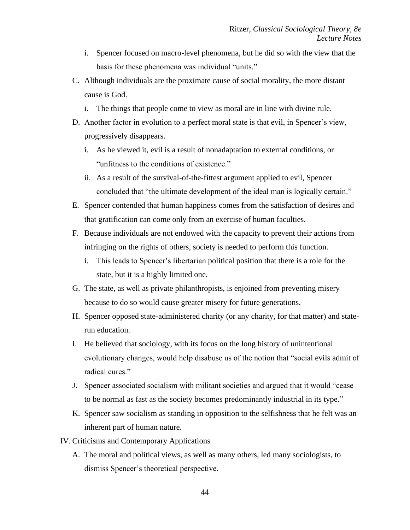- i. Spencer focused on macro-level phenomena, but he did so with the view that the basis for these phenomena was individual "units."
- C. Although individuals are the proximate cause of social morality, the more distant cause is God.
	- i. The things that people come to view as moral are in line with divine rule.
- D. Another factor in evolution to a perfect moral state is that evil, in Spencer's view, progressively disappears.
	- i. As he viewed it, evil is a result of nonadaptation to external conditions, or "unfitness to the conditions of existence."
	- ii. As a result of the survival-of-the-fittest argument applied to evil, Spencer concluded that "the ultimate development of the ideal man is logically certain."
- E. Spencer contended that human happiness comes from the satisfaction of desires and that gratification can come only from an exercise of human faculties.
- F. Because individuals are not endowed with the capacity to prevent their actions from infringing on the rights of others, society is needed to perform this function.
	- i. This leads to Spencer's libertarian political position that there is a role for the state, but it is a highly limited one.
- G. The state, as well as private philanthropists, is enjoined from preventing misery because to do so would cause greater misery for future generations.
- H. Spencer opposed state-administered charity (or any charity, for that matter) and staterun education.
- I. He believed that sociology, with its focus on the long history of unintentional evolutionary changes, would help disabuse us of the notion that "social evils admit of radical cures."
- J. Spencer associated socialism with militant societies and argued that it would "cease to be normal as fast as the society becomes predominantly industrial in its type."
- K. Spencer saw socialism as standing in opposition to the selfishness that he felt was an inherent part of human nature.
- IV. Criticisms and Contemporary Applications
	- A. The moral and political views, as well as many others, led many sociologists, to dismiss Spencer's theoretical perspective.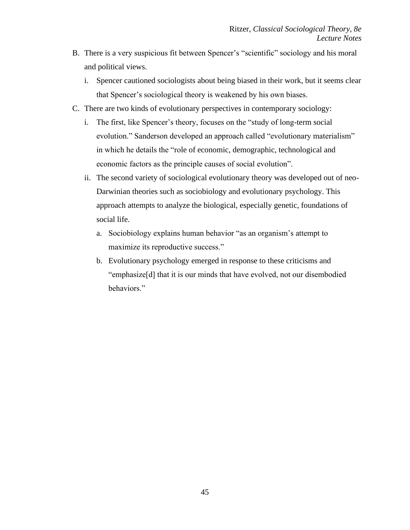- B. There is a very suspicious fit between Spencer's "scientific" sociology and his moral and political views.
	- i. Spencer cautioned sociologists about being biased in their work, but it seems clear that Spencer's sociological theory is weakened by his own biases.
- C. There are two kinds of evolutionary perspectives in contemporary sociology:
	- i. The first, like Spencer's theory, focuses on the "study of long-term social evolution." Sanderson developed an approach called "evolutionary materialism" in which he details the "role of economic, demographic, technological and economic factors as the principle causes of social evolution".
	- ii. The second variety of sociological evolutionary theory was developed out of neo-Darwinian theories such as sociobiology and evolutionary psychology. This approach attempts to analyze the biological, especially genetic, foundations of social life.
		- a. Sociobiology explains human behavior "as an organism's attempt to maximize its reproductive success."
		- b. Evolutionary psychology emerged in response to these criticisms and "emphasize[d] that it is our minds that have evolved, not our disembodied behaviors."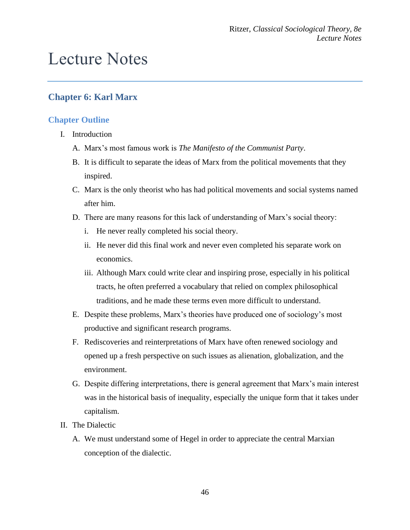# Lecture Notes

# **Chapter 6: Karl Marx**

## **Chapter Outline**

- I. Introduction
	- A. Marx's most famous work is *The Manifesto of the Communist Party*.
	- B. It is difficult to separate the ideas of Marx from the political movements that they inspired.
	- C. Marx is the only theorist who has had political movements and social systems named after him.
	- D. There are many reasons for this lack of understanding of Marx's social theory:
		- i. He never really completed his social theory.
		- ii. He never did this final work and never even completed his separate work on economics.
		- iii. Although Marx could write clear and inspiring prose, especially in his political tracts, he often preferred a vocabulary that relied on complex philosophical traditions, and he made these terms even more difficult to understand.
	- E. Despite these problems, Marx's theories have produced one of sociology's most productive and significant research programs.
	- F. Rediscoveries and reinterpretations of Marx have often renewed sociology and opened up a fresh perspective on such issues as alienation, globalization, and the environment.
	- G. Despite differing interpretations, there is general agreement that Marx's main interest was in the historical basis of inequality, especially the unique form that it takes under capitalism.
- II. The Dialectic
	- A. We must understand some of Hegel in order to appreciate the central Marxian conception of the dialectic.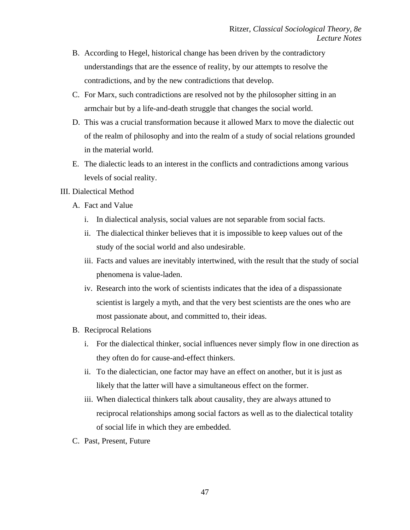- B. According to Hegel, historical change has been driven by the contradictory understandings that are the essence of reality, by our attempts to resolve the contradictions, and by the new contradictions that develop.
- C. For Marx, such contradictions are resolved not by the philosopher sitting in an armchair but by a life-and-death struggle that changes the social world.
- D. This was a crucial transformation because it allowed Marx to move the dialectic out of the realm of philosophy and into the realm of a study of social relations grounded in the material world.
- E. The dialectic leads to an interest in the conflicts and contradictions among various levels of social reality.

### III. Dialectical Method

- A. Fact and Value
	- i. In dialectical analysis, social values are not separable from social facts.
	- ii. The dialectical thinker believes that it is impossible to keep values out of the study of the social world and also undesirable.
	- iii. Facts and values are inevitably intertwined, with the result that the study of social phenomena is value-laden.
	- iv. Research into the work of scientists indicates that the idea of a dispassionate scientist is largely a myth, and that the very best scientists are the ones who are most passionate about, and committed to, their ideas.
- B. Reciprocal Relations
	- i. For the dialectical thinker, social influences never simply flow in one direction as they often do for cause-and-effect thinkers.
	- ii. To the dialectician, one factor may have an effect on another, but it is just as likely that the latter will have a simultaneous effect on the former.
	- iii. When dialectical thinkers talk about causality, they are always attuned to reciprocal relationships among social factors as well as to the dialectical totality of social life in which they are embedded.
- C. Past, Present, Future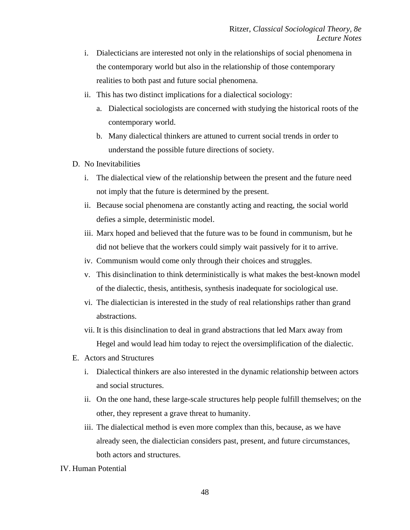- i. Dialecticians are interested not only in the relationships of social phenomena in the contemporary world but also in the relationship of those contemporary realities to both past and future social phenomena.
- ii. This has two distinct implications for a dialectical sociology:
	- a. Dialectical sociologists are concerned with studying the historical roots of the contemporary world.
	- b. Many dialectical thinkers are attuned to current social trends in order to understand the possible future directions of society.
- D. No Inevitabilities
	- i. The dialectical view of the relationship between the present and the future need not imply that the future is determined by the present.
	- ii. Because social phenomena are constantly acting and reacting, the social world defies a simple, deterministic model.
	- iii. Marx hoped and believed that the future was to be found in communism, but he did not believe that the workers could simply wait passively for it to arrive.
	- iv. Communism would come only through their choices and struggles.
	- v. This disinclination to think deterministically is what makes the best-known model of the dialectic, thesis, antithesis, synthesis inadequate for sociological use.
	- vi. The dialectician is interested in the study of real relationships rather than grand abstractions.
	- vii. It is this disinclination to deal in grand abstractions that led Marx away from Hegel and would lead him today to reject the oversimplification of the dialectic.
- E. Actors and Structures
	- i. Dialectical thinkers are also interested in the dynamic relationship between actors and social structures.
	- ii. On the one hand, these large-scale structures help people fulfill themselves; on the other, they represent a grave threat to humanity.
	- iii. The dialectical method is even more complex than this, because, as we have already seen, the dialectician considers past, present, and future circumstances, both actors and structures.
- IV. Human Potential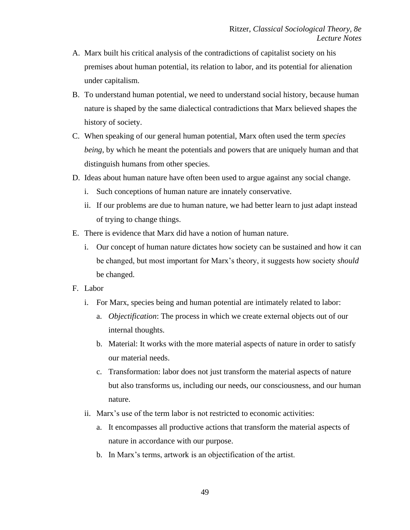- A. Marx built his critical analysis of the contradictions of capitalist society on his premises about human potential, its relation to labor, and its potential for alienation under capitalism.
- B. To understand human potential, we need to understand social history, because human nature is shaped by the same dialectical contradictions that Marx believed shapes the history of society.
- C. When speaking of our general human potential, Marx often used the term *species being*, by which he meant the potentials and powers that are uniquely human and that distinguish humans from other species.
- D. Ideas about human nature have often been used to argue against any social change.
	- i. Such conceptions of human nature are innately conservative.
	- ii. If our problems are due to human nature, we had better learn to just adapt instead of trying to change things.
- E. There is evidence that Marx did have a notion of human nature.
	- i. Our concept of human nature dictates how society can be sustained and how it can be changed, but most important for Marx's theory, it suggests how society *should* be changed.
- F. Labor
	- i. For Marx, species being and human potential are intimately related to labor:
		- a. *Objectification*: The process in which we create external objects out of our internal thoughts.
		- b. Material: It works with the more material aspects of nature in order to satisfy our material needs.
		- c. Transformation: labor does not just transform the material aspects of nature but also transforms us, including our needs, our consciousness, and our human nature.
	- ii. Marx's use of the term labor is not restricted to economic activities:
		- a. It encompasses all productive actions that transform the material aspects of nature in accordance with our purpose.
		- b. In Marx's terms, artwork is an objectification of the artist.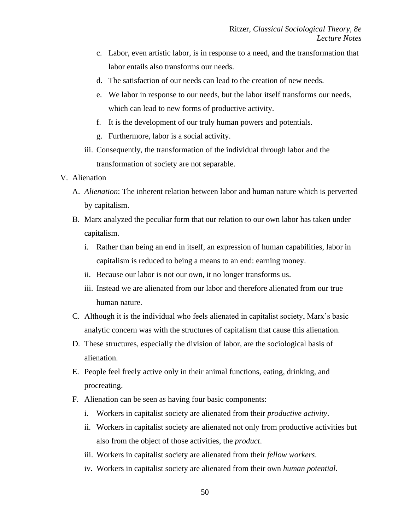- c. Labor, even artistic labor, is in response to a need, and the transformation that labor entails also transforms our needs.
- d. The satisfaction of our needs can lead to the creation of new needs.
- e. We labor in response to our needs, but the labor itself transforms our needs, which can lead to new forms of productive activity.
- f. It is the development of our truly human powers and potentials.
- g. Furthermore, labor is a social activity.
- iii. Consequently, the transformation of the individual through labor and the transformation of society are not separable.
- V. Alienation
	- A. *Alienation*: The inherent relation between labor and human nature which is perverted by capitalism.
	- B. Marx analyzed the peculiar form that our relation to our own labor has taken under capitalism.
		- i. Rather than being an end in itself, an expression of human capabilities, labor in capitalism is reduced to being a means to an end: earning money.
		- ii. Because our labor is not our own, it no longer transforms us.
		- iii. Instead we are alienated from our labor and therefore alienated from our true human nature.
	- C. Although it is the individual who feels alienated in capitalist society, Marx's basic analytic concern was with the structures of capitalism that cause this alienation.
	- D. These structures, especially the division of labor, are the sociological basis of alienation.
	- E. People feel freely active only in their animal functions, eating, drinking, and procreating.
	- F. Alienation can be seen as having four basic components:
		- i. Workers in capitalist society are alienated from their *productive activity*.
		- ii. Workers in capitalist society are alienated not only from productive activities but also from the object of those activities, the *product*.
		- iii. Workers in capitalist society are alienated from their *fellow workers*.
		- iv. Workers in capitalist society are alienated from their own *human potential*.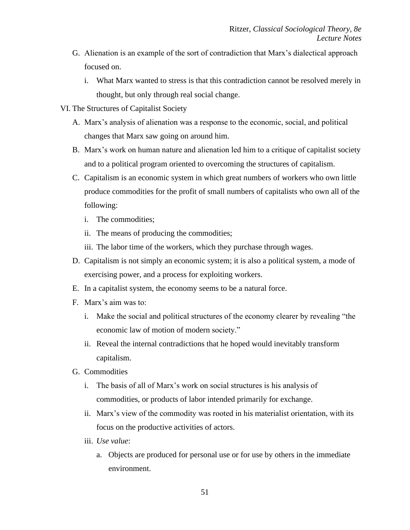- G. Alienation is an example of the sort of contradiction that Marx's dialectical approach focused on.
	- i. What Marx wanted to stress is that this contradiction cannot be resolved merely in thought, but only through real social change.
- VI. The Structures of Capitalist Society
	- A. Marx's analysis of alienation was a response to the economic, social, and political changes that Marx saw going on around him.
	- B. Marx's work on human nature and alienation led him to a critique of capitalist society and to a political program oriented to overcoming the structures of capitalism.
	- C. Capitalism is an economic system in which great numbers of workers who own little produce commodities for the profit of small numbers of capitalists who own all of the following:
		- i. The commodities;
		- ii. The means of producing the commodities;
		- iii. The labor time of the workers, which they purchase through wages.
	- D. Capitalism is not simply an economic system; it is also a political system, a mode of exercising power, and a process for exploiting workers.
	- E. In a capitalist system, the economy seems to be a natural force.
	- F. Marx's aim was to:
		- i. Make the social and political structures of the economy clearer by revealing "the economic law of motion of modern society."
		- ii. Reveal the internal contradictions that he hoped would inevitably transform capitalism.
	- G. Commodities
		- i. The basis of all of Marx's work on social structures is his analysis of commodities, or products of labor intended primarily for exchange.
		- ii. Marx's view of the commodity was rooted in his materialist orientation, with its focus on the productive activities of actors.
		- iii. *Use value*:
			- a. Objects are produced for personal use or for use by others in the immediate environment.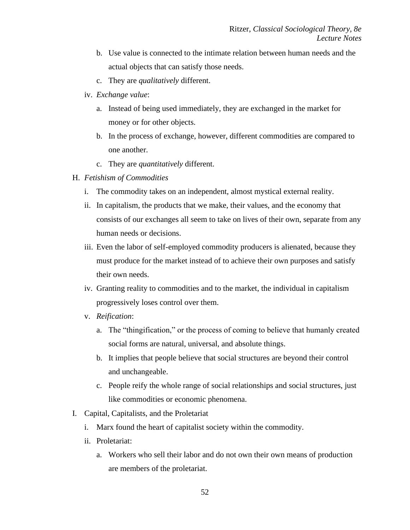- b. Use value is connected to the intimate relation between human needs and the actual objects that can satisfy those needs.
- c. They are *qualitatively* different.
- iv. *Exchange value*:
	- a. Instead of being used immediately, they are exchanged in the market for money or for other objects.
	- b. In the process of exchange, however, different commodities are compared to one another.
	- c. They are *quantitatively* different.
- H. *Fetishism of Commodities*
	- i. The commodity takes on an independent, almost mystical external reality.
	- ii. In capitalism, the products that we make, their values, and the economy that consists of our exchanges all seem to take on lives of their own, separate from any human needs or decisions.
	- iii. Even the labor of self-employed commodity producers is alienated, because they must produce for the market instead of to achieve their own purposes and satisfy their own needs.
	- iv. Granting reality to commodities and to the market, the individual in capitalism progressively loses control over them.
	- v. *Reification*:
		- a. The "thingification," or the process of coming to believe that humanly created social forms are natural, universal, and absolute things.
		- b. It implies that people believe that social structures are beyond their control and unchangeable.
		- c. People reify the whole range of social relationships and social structures, just like commodities or economic phenomena.
- I. Capital, Capitalists, and the Proletariat
	- i. Marx found the heart of capitalist society within the commodity.
	- ii. Proletariat:
		- a. Workers who sell their labor and do not own their own means of production are members of the proletariat.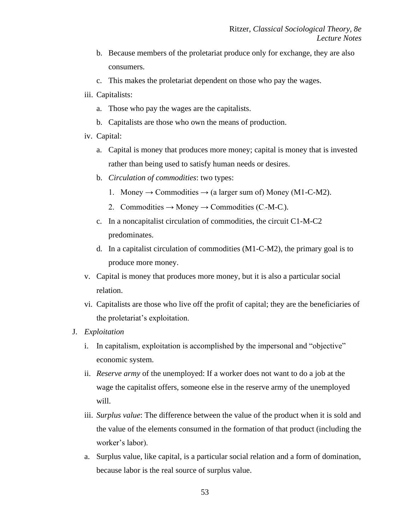- b. Because members of the proletariat produce only for exchange, they are also consumers.
- c. This makes the proletariat dependent on those who pay the wages.
- iii. Capitalists:
	- a. Those who pay the wages are the capitalists.
	- b. Capitalists are those who own the means of production.
- iv. Capital:
	- a. Capital is money that produces more money; capital is money that is invested rather than being used to satisfy human needs or desires.
	- b. *Circulation of commodities*: two types:
		- 1. Money  $\rightarrow$  Commodities  $\rightarrow$  (a larger sum of) Money (M1-C-M2).
		- 2. Commodities  $\rightarrow$  Money  $\rightarrow$  Commodities (C<sub>1</sub>-M-C<sub>2</sub>).
	- c. In a noncapitalist circulation of commodities, the circuit C1-M-C2 predominates.
	- d. In a capitalist circulation of commodities (M1-C-M2), the primary goal is to produce more money.
- v. Capital is money that produces more money, but it is also a particular social relation.
- vi. Capitalists are those who live off the profit of capital; they are the beneficiaries of the proletariat's exploitation.
- J. *Exploitation*
	- i. In capitalism, exploitation is accomplished by the impersonal and "objective" economic system.
	- ii. *Reserve army* of the unemployed: If a worker does not want to do a job at the wage the capitalist offers, someone else in the reserve army of the unemployed will.
	- iii. *Surplus value*: The difference between the value of the product when it is sold and the value of the elements consumed in the formation of that product (including the worker's labor).
	- a. Surplus value, like capital, is a particular social relation and a form of domination, because labor is the real source of surplus value.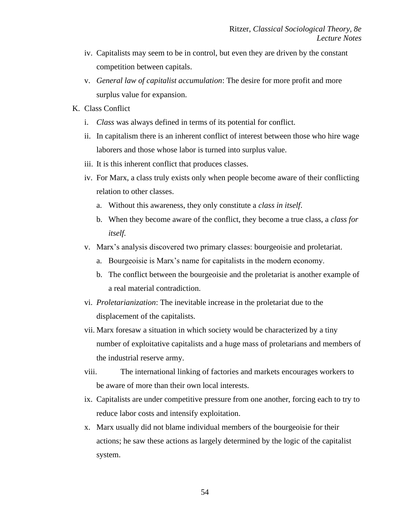- iv. Capitalists may seem to be in control, but even they are driven by the constant competition between capitals.
- v. *General law of capitalist accumulation*: The desire for more profit and more surplus value for expansion.
- K. Class Conflict
	- i. *Class* was always defined in terms of its potential for conflict.
	- ii. In capitalism there is an inherent conflict of interest between those who hire wage laborers and those whose labor is turned into surplus value.
	- iii. It is this inherent conflict that produces classes.
	- iv. For Marx, a class truly exists only when people become aware of their conflicting relation to other classes.
		- a. Without this awareness, they only constitute a *class in itself*.
		- b. When they become aware of the conflict, they become a true class, a *class for itself.*
	- v. Marx's analysis discovered two primary classes: bourgeoisie and proletariat.
		- a. Bourgeoisie is Marx's name for capitalists in the modern economy.
		- b. The conflict between the bourgeoisie and the proletariat is another example of a real material contradiction.
	- vi. *Proletarianization*: The inevitable increase in the proletariat due to the displacement of the capitalists.
	- vii. Marx foresaw a situation in which society would be characterized by a tiny number of exploitative capitalists and a huge mass of proletarians and members of the industrial reserve army.
	- viii. The international linking of factories and markets encourages workers to be aware of more than their own local interests.
	- ix. Capitalists are under competitive pressure from one another, forcing each to try to reduce labor costs and intensify exploitation.
	- x. Marx usually did not blame individual members of the bourgeoisie for their actions; he saw these actions as largely determined by the logic of the capitalist system.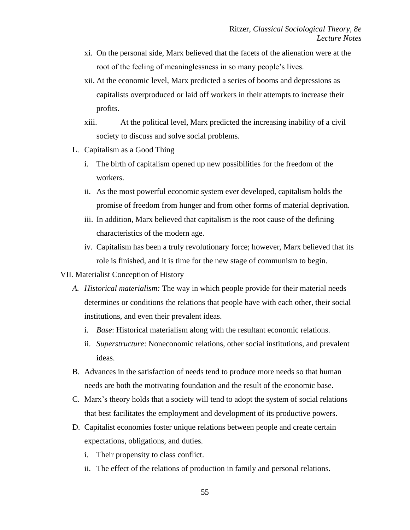- xi. On the personal side, Marx believed that the facets of the alienation were at the root of the feeling of meaninglessness in so many people's lives.
- xii. At the economic level, Marx predicted a series of booms and depressions as capitalists overproduced or laid off workers in their attempts to increase their profits.
- xiii. At the political level, Marx predicted the increasing inability of a civil society to discuss and solve social problems.
- L. Capitalism as a Good Thing
	- i. The birth of capitalism opened up new possibilities for the freedom of the workers.
	- ii. As the most powerful economic system ever developed, capitalism holds the promise of freedom from hunger and from other forms of material deprivation.
	- iii. In addition, Marx believed that capitalism is the root cause of the defining characteristics of the modern age.
	- iv. Capitalism has been a truly revolutionary force; however, Marx believed that its role is finished, and it is time for the new stage of communism to begin.

#### VII. Materialist Conception of History

- *A. Historical materialism:* The way in which people provide for their material needs determines or conditions the relations that people have with each other, their social institutions, and even their prevalent ideas.
	- i. *Base*: Historical materialism along with the resultant economic relations.
	- ii. *Superstructure*: Noneconomic relations, other social institutions, and prevalent ideas.
- B. Advances in the satisfaction of needs tend to produce more needs so that human needs are both the motivating foundation and the result of the economic base.
- C. Marx's theory holds that a society will tend to adopt the system of social relations that best facilitates the employment and development of its productive powers.
- D. Capitalist economies foster unique relations between people and create certain expectations, obligations, and duties.
	- i. Their propensity to class conflict.
	- ii. The effect of the relations of production in family and personal relations.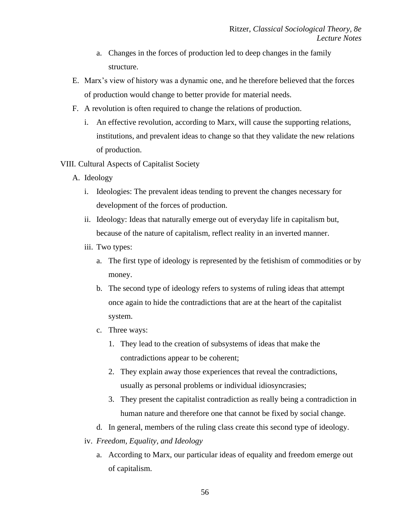- a. Changes in the forces of production led to deep changes in the family structure.
- E. Marx's view of history was a dynamic one, and he therefore believed that the forces of production would change to better provide for material needs.
- F. A revolution is often required to change the relations of production.
	- i. An effective revolution, according to Marx, will cause the supporting relations, institutions, and prevalent ideas to change so that they validate the new relations of production.
- VIII. Cultural Aspects of Capitalist Society
	- A. Ideology
		- i. Ideologies: The prevalent ideas tending to prevent the changes necessary for development of the forces of production.
		- ii. Ideology: Ideas that naturally emerge out of everyday life in capitalism but, because of the nature of capitalism, reflect reality in an inverted manner.
		- iii. Two types:
			- a. The first type of ideology is represented by the fetishism of commodities or by money.
			- b. The second type of ideology refers to systems of ruling ideas that attempt once again to hide the contradictions that are at the heart of the capitalist system.
			- c. Three ways:
				- 1. They lead to the creation of subsystems of ideas that make the contradictions appear to be coherent;
				- 2. They explain away those experiences that reveal the contradictions, usually as personal problems or individual idiosyncrasies;
				- 3. They present the capitalist contradiction as really being a contradiction in human nature and therefore one that cannot be fixed by social change.
			- d. In general, members of the ruling class create this second type of ideology.
		- iv. *Freedom, Equality, and Ideology*
			- a. According to Marx, our particular ideas of equality and freedom emerge out of capitalism.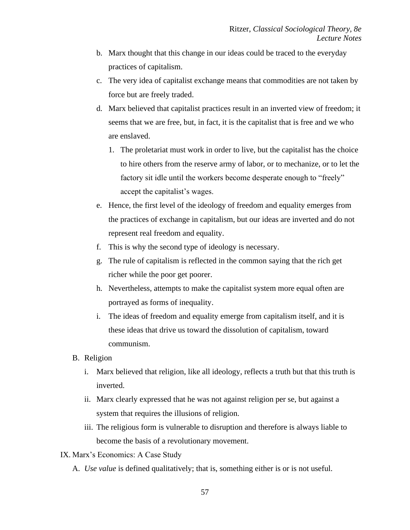- b. Marx thought that this change in our ideas could be traced to the everyday practices of capitalism.
- c. The very idea of capitalist exchange means that commodities are not taken by force but are freely traded.
- d. Marx believed that capitalist practices result in an inverted view of freedom; it seems that we are free, but, in fact, it is the capitalist that is free and we who are enslaved.
	- 1. The proletariat must work in order to live, but the capitalist has the choice to hire others from the reserve army of labor, or to mechanize, or to let the factory sit idle until the workers become desperate enough to "freely" accept the capitalist's wages.
- e. Hence, the first level of the ideology of freedom and equality emerges from the practices of exchange in capitalism, but our ideas are inverted and do not represent real freedom and equality.
- f. This is why the second type of ideology is necessary.
- g. The rule of capitalism is reflected in the common saying that the rich get richer while the poor get poorer.
- h. Nevertheless, attempts to make the capitalist system more equal often are portrayed as forms of inequality.
- i. The ideas of freedom and equality emerge from capitalism itself, and it is these ideas that drive us toward the dissolution of capitalism, toward communism.
- B. Religion
	- i. Marx believed that religion, like all ideology, reflects a truth but that this truth is inverted.
	- ii. Marx clearly expressed that he was not against religion per se, but against a system that requires the illusions of religion.
	- iii. The religious form is vulnerable to disruption and therefore is always liable to become the basis of a revolutionary movement.
- IX. Marx's Economics: A Case Study
	- A. *Use value* is defined qualitatively; that is, something either is or is not useful.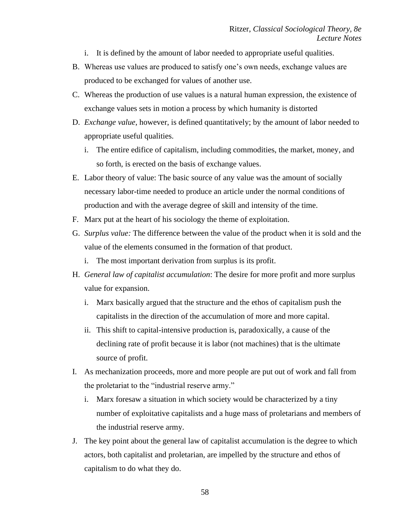- i. It is defined by the amount of labor needed to appropriate useful qualities.
- B. Whereas use values are produced to satisfy one's own needs, exchange values are produced to be exchanged for values of another use.
- C. Whereas the production of use values is a natural human expression, the existence of exchange values sets in motion a process by which humanity is distorted
- D. *Exchange value*, however, is defined quantitatively; by the amount of labor needed to appropriate useful qualities.
	- i. The entire edifice of capitalism, including commodities, the market, money, and so forth, is erected on the basis of exchange values.
- E. Labor theory of value: The basic source of any value was the amount of socially necessary labor-time needed to produce an article under the normal conditions of production and with the average degree of skill and intensity of the time.
- F. Marx put at the heart of his sociology the theme of exploitation.
- G. *Surplus value:* The difference between the value of the product when it is sold and the value of the elements consumed in the formation of that product.
	- i. The most important derivation from surplus is its profit.
- H. *General law of capitalist accumulation*: The desire for more profit and more surplus value for expansion.
	- i. Marx basically argued that the structure and the ethos of capitalism push the capitalists in the direction of the accumulation of more and more capital.
	- ii. This shift to capital-intensive production is, paradoxically, a cause of the declining rate of profit because it is labor (not machines) that is the ultimate source of profit.
- I. As mechanization proceeds, more and more people are put out of work and fall from the proletariat to the "industrial reserve army."
	- i. Marx foresaw a situation in which society would be characterized by a tiny number of exploitative capitalists and a huge mass of proletarians and members of the industrial reserve army.
- J. The key point about the general law of capitalist accumulation is the degree to which actors, both capitalist and proletarian, are impelled by the structure and ethos of capitalism to do what they do.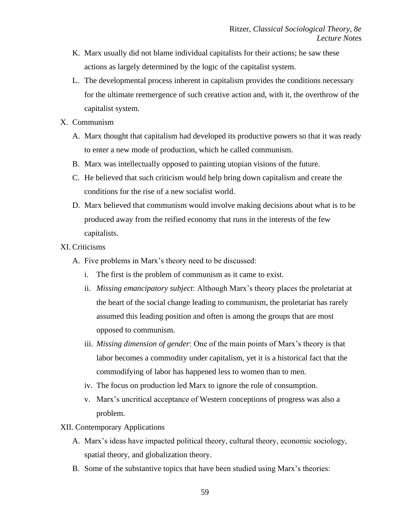- K. Marx usually did not blame individual capitalists for their actions; he saw these actions as largely determined by the logic of the capitalist system.
- L. The developmental process inherent in capitalism provides the conditions necessary for the ultimate reemergence of such creative action and, with it, the overthrow of the capitalist system.
- X. Communism
	- A. Marx thought that capitalism had developed its productive powers so that it was ready to enter a new mode of production, which he called communism.
	- B. Marx was intellectually opposed to painting utopian visions of the future.
	- C. He believed that such criticism would help bring down capitalism and create the conditions for the rise of a new socialist world.
	- D. Marx believed that communism would involve making decisions about what is to be produced away from the reified economy that runs in the interests of the few capitalists.
- XI. Criticisms
	- A. Five problems in Marx's theory need to be discussed:
		- i. The first is the problem of communism as it came to exist.
		- ii. *Missing emancipatory subject*: Although Marx's theory places the proletariat at the heart of the social change leading to communism, the proletariat has rarely assumed this leading position and often is among the groups that are most opposed to communism.
		- iii. *Missing dimension of gender*: One of the main points of Marx's theory is that labor becomes a commodity under capitalism, yet it is a historical fact that the commodifying of labor has happened less to women than to men.
		- iv. The focus on production led Marx to ignore the role of consumption.
		- v. Marx's uncritical acceptance of Western conceptions of progress was also a problem.

### XII. Contemporary Applications

- A. Marx's ideas have impacted political theory, cultural theory, economic sociology, spatial theory, and globalization theory.
- B. Some of the substantive topics that have been studied using Marx's theories: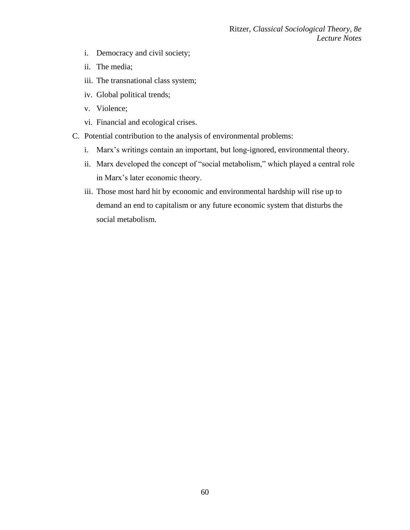- i. Democracy and civil society;
- ii. The media;
- iii. The transnational class system;
- iv. Global political trends;
- v. Violence;
- vi. Financial and ecological crises.
- C. Potential contribution to the analysis of environmental problems:
	- i. Marx's writings contain an important, but long-ignored, environmental theory.
	- ii. Marx developed the concept of "social metabolism," which played a central role in Marx's later economic theory.
	- iii. Those most hard hit by economic and environmental hardship will rise up to demand an end to capitalism or any future economic system that disturbs the social metabolism.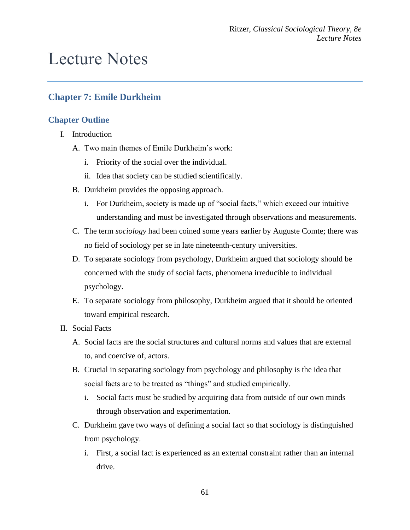# Lecture Notes

# **Chapter 7: Emile Durkheim**

## **Chapter Outline**

- I. Introduction
	- A. Two main themes of Emile Durkheim's work:
		- i. Priority of the social over the individual.
		- ii. Idea that society can be studied scientifically.
	- B. Durkheim provides the opposing approach.
		- i. For Durkheim, society is made up of "social facts," which exceed our intuitive understanding and must be investigated through observations and measurements.
	- C. The term *sociology* had been coined some years earlier by Auguste Comte; there was no field of sociology per se in late nineteenth-century universities.
	- D. To separate sociology from psychology, Durkheim argued that sociology should be concerned with the study of social facts, phenomena irreducible to individual psychology.
	- E. To separate sociology from philosophy, Durkheim argued that it should be oriented toward empirical research.
- II. Social Facts
	- A. Social facts are the social structures and cultural norms and values that are external to, and coercive of, actors.
	- B. Crucial in separating sociology from psychology and philosophy is the idea that social facts are to be treated as "things" and studied empirically.
		- i. Social facts must be studied by acquiring data from outside of our own minds through observation and experimentation.
	- C. Durkheim gave two ways of defining a social fact so that sociology is distinguished from psychology.
		- i. First, a social fact is experienced as an external constraint rather than an internal drive.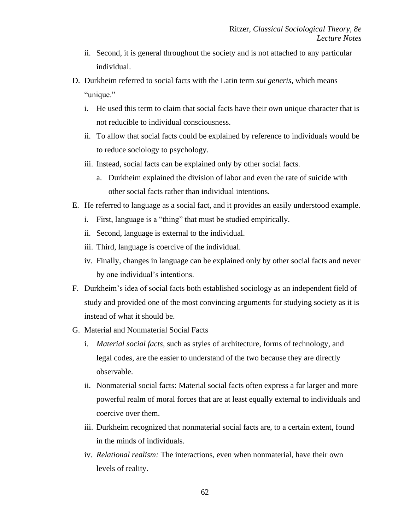- ii. Second, it is general throughout the society and is not attached to any particular individual.
- D. Durkheim referred to social facts with the Latin term *sui generis,* which means "unique."
	- i. He used this term to claim that social facts have their own unique character that is not reducible to individual consciousness.
	- ii. To allow that social facts could be explained by reference to individuals would be to reduce sociology to psychology.
	- iii. Instead, social facts can be explained only by other social facts.
		- a. Durkheim explained the division of labor and even the rate of suicide with other social facts rather than individual intentions.
- E. He referred to language as a social fact, and it provides an easily understood example.
	- i. First, language is a "thing" that must be studied empirically.
	- ii. Second, language is external to the individual.
	- iii. Third, language is coercive of the individual.
	- iv. Finally, changes in language can be explained only by other social facts and never by one individual's intentions.
- F. Durkheim's idea of social facts both established sociology as an independent field of study and provided one of the most convincing arguments for studying society as it is instead of what it should be.
- G. Material and Nonmaterial Social Facts
	- i. *Material social facts,* such as styles of architecture, forms of technology, and legal codes, are the easier to understand of the two because they are directly observable.
	- ii. Nonmaterial social facts: Material social facts often express a far larger and more powerful realm of moral forces that are at least equally external to individuals and coercive over them.
	- iii. Durkheim recognized that nonmaterial social facts are, to a certain extent, found in the minds of individuals.
	- iv. *Relational realism:* The interactions, even when nonmaterial, have their own levels of reality.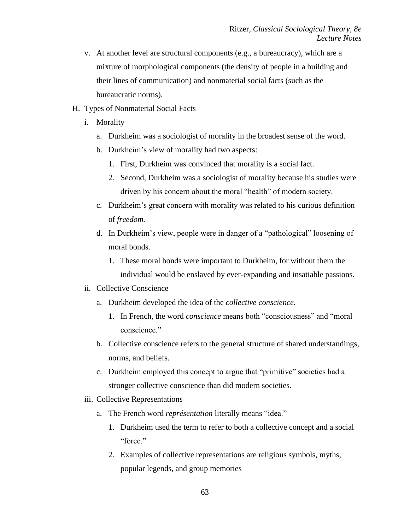- v. At another level are structural components (e.g., a bureaucracy), which are a mixture of morphological components (the density of people in a building and their lines of communication) and nonmaterial social facts (such as the bureaucratic norms).
- H. Types of Nonmaterial Social Facts
	- i. Morality
		- a. Durkheim was a sociologist of morality in the broadest sense of the word.
		- b. Durkheim's view of morality had two aspects:
			- 1. First, Durkheim was convinced that morality is a social fact.
			- 2. Second, Durkheim was a sociologist of morality because his studies were driven by his concern about the moral "health" of modern society.
		- c. Durkheim's great concern with morality was related to his curious definition of *freedom.*
		- d. In Durkheim's view, people were in danger of a "pathological" loosening of moral bonds.
			- 1. These moral bonds were important to Durkheim, for without them the individual would be enslaved by ever-expanding and insatiable passions.
	- ii. Collective Conscience
		- a. Durkheim developed the idea of the *collective conscience.*
			- 1. In French, the word *conscience* means both "consciousness" and "moral conscience."
		- b. Collective conscience refers to the general structure of shared understandings, norms, and beliefs.
		- c. Durkheim employed this concept to argue that "primitive" societies had a stronger collective conscience than did modern societies.
	- iii. Collective Representations
		- a. The French word *représentation* literally means "idea."
			- 1. Durkheim used the term to refer to both a collective concept and a social "force."
			- 2. Examples of collective representations are religious symbols, myths, popular legends, and group memories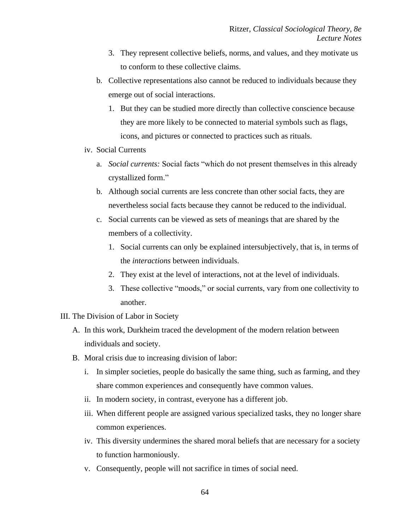- 3. They represent collective beliefs, norms, and values, and they motivate us to conform to these collective claims.
- b. Collective representations also cannot be reduced to individuals because they emerge out of social interactions.
	- 1. But they can be studied more directly than collective conscience because they are more likely to be connected to material symbols such as flags, icons, and pictures or connected to practices such as rituals.
- iv. Social Currents
	- a. *Social currents:* Social facts "which do not present themselves in this already crystallized form."
	- b. Although social currents are less concrete than other social facts, they are nevertheless social facts because they cannot be reduced to the individual.
	- c. Social currents can be viewed as sets of meanings that are shared by the members of a collectivity.
		- 1. Social currents can only be explained intersubjectively, that is, in terms of the *interactions* between individuals.
		- 2. They exist at the level of interactions, not at the level of individuals.
		- 3. These collective "moods," or social currents, vary from one collectivity to another.
- III. The Division of Labor in Society
	- A. In this work, Durkheim traced the development of the modern relation between individuals and society.
	- B. Moral crisis due to increasing division of labor:
		- i. In simpler societies, people do basically the same thing, such as farming, and they share common experiences and consequently have common values.
		- ii. In modern society, in contrast, everyone has a different job.
		- iii. When different people are assigned various specialized tasks, they no longer share common experiences.
		- iv. This diversity undermines the shared moral beliefs that are necessary for a society to function harmoniously.
		- v. Consequently, people will not sacrifice in times of social need.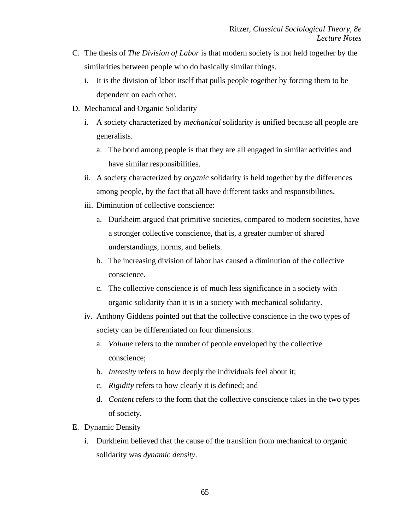- C. The thesis of *The Division of Labor* is that modern society is not held together by the similarities between people who do basically similar things.
	- i. It is the division of labor itself that pulls people together by forcing them to be dependent on each other.
- D. Mechanical and Organic Solidarity
	- i. A society characterized by *mechanical* solidarity is unified because all people are generalists.
		- a. The bond among people is that they are all engaged in similar activities and have similar responsibilities.
	- ii. A society characterized by *organic* solidarity is held together by the differences among people, by the fact that all have different tasks and responsibilities.
	- iii. Diminution of collective conscience:
		- a. Durkheim argued that primitive societies, compared to modern societies, have a stronger collective conscience, that is, a greater number of shared understandings, norms, and beliefs.
		- b. The increasing division of labor has caused a diminution of the collective conscience.
		- c. The collective conscience is of much less significance in a society with organic solidarity than it is in a society with mechanical solidarity.
	- iv. Anthony Giddens pointed out that the collective conscience in the two types of society can be differentiated on four dimensions.
		- a. *Volume* refers to the number of people enveloped by the collective conscience;
		- b. *Intensity* refers to how deeply the individuals feel about it;
		- c. *Rigidity* refers to how clearly it is defined; and
		- d. *Content* refers to the form that the collective conscience takes in the two types of society.
- E. Dynamic Density
	- i. Durkheim believed that the cause of the transition from mechanical to organic solidarity was *dynamic density*.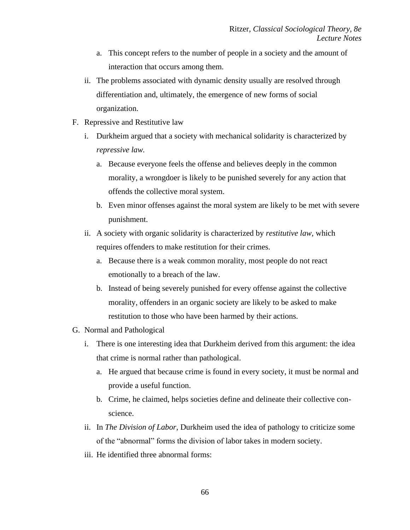- a. This concept refers to the number of people in a society and the amount of interaction that occurs among them.
- ii. The problems associated with dynamic density usually are resolved through differentiation and, ultimately, the emergence of new forms of social organization.
- F. Repressive and Restitutive law
	- i. Durkheim argued that a society with mechanical solidarity is characterized by *repressive law.*
		- a. Because everyone feels the offense and believes deeply in the common morality, a wrongdoer is likely to be punished severely for any action that offends the collective moral system.
		- b. Even minor offenses against the moral system are likely to be met with severe punishment.
	- ii. A society with organic solidarity is characterized by *restitutive law,* which requires offenders to make restitution for their crimes.
		- a. Because there is a weak common morality, most people do not react emotionally to a breach of the law.
		- b. Instead of being severely punished for every offense against the collective morality, offenders in an organic society are likely to be asked to make restitution to those who have been harmed by their actions.
- G. Normal and Pathological
	- i. There is one interesting idea that Durkheim derived from this argument: the idea that crime is normal rather than pathological.
		- a. He argued that because crime is found in every society, it must be normal and provide a useful function.
		- b. Crime, he claimed, helps societies define and delineate their collective conscience.
	- ii. In *The Division of Labor,* Durkheim used the idea of pathology to criticize some of the "abnormal" forms the division of labor takes in modern society.
	- iii. He identified three abnormal forms: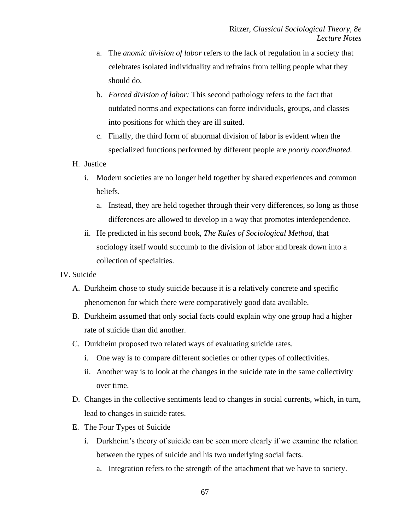- a. The *anomic division of labor* refers to the lack of regulation in a society that celebrates isolated individuality and refrains from telling people what they should do.
- b. *Forced division of labor:* This second pathology refers to the fact that outdated norms and expectations can force individuals, groups, and classes into positions for which they are ill suited.
- c. Finally, the third form of abnormal division of labor is evident when the specialized functions performed by different people are *poorly coordinated.*
- H. Justice
	- i. Modern societies are no longer held together by shared experiences and common beliefs.
		- a. Instead, they are held together through their very differences, so long as those differences are allowed to develop in a way that promotes interdependence.
	- ii. He predicted in his second book, *The Rules of Sociological Method,* that sociology itself would succumb to the division of labor and break down into a collection of specialties.

#### IV. Suicide

- A. Durkheim chose to study suicide because it is a relatively concrete and specific phenomenon for which there were comparatively good data available.
- B. Durkheim assumed that only social facts could explain why one group had a higher rate of suicide than did another.
- C. Durkheim proposed two related ways of evaluating suicide rates.
	- i. One way is to compare different societies or other types of collectivities.
	- ii. Another way is to look at the changes in the suicide rate in the same collectivity over time.
- D. Changes in the collective sentiments lead to changes in social currents, which, in turn, lead to changes in suicide rates.
- E. The Four Types of Suicide
	- i. Durkheim's theory of suicide can be seen more clearly if we examine the relation between the types of suicide and his two underlying social facts.
		- a. Integration refers to the strength of the attachment that we have to society.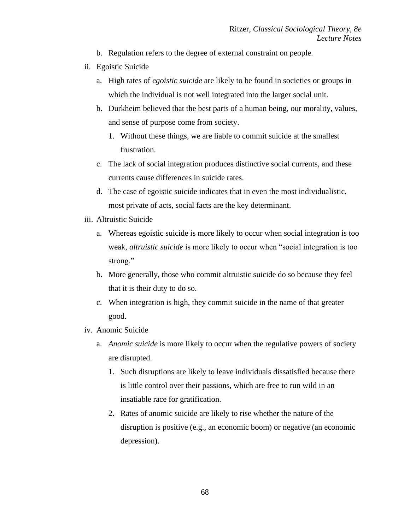- b. Regulation refers to the degree of external constraint on people.
- ii. Egoistic Suicide
	- a. High rates of *egoistic suicide* are likely to be found in societies or groups in which the individual is not well integrated into the larger social unit.
	- b. Durkheim believed that the best parts of a human being, our morality, values, and sense of purpose come from society.
		- 1. Without these things, we are liable to commit suicide at the smallest frustration.
	- c. The lack of social integration produces distinctive social currents, and these currents cause differences in suicide rates.
	- d. The case of egoistic suicide indicates that in even the most individualistic, most private of acts, social facts are the key determinant.
- iii. Altruistic Suicide
	- a. Whereas egoistic suicide is more likely to occur when social integration is too weak, *altruistic suicide* is more likely to occur when "social integration is too strong."
	- b. More generally, those who commit altruistic suicide do so because they feel that it is their duty to do so.
	- c. When integration is high, they commit suicide in the name of that greater good.
- iv. Anomic Suicide
	- a. *Anomic suicide* is more likely to occur when the regulative powers of society are disrupted.
		- 1. Such disruptions are likely to leave individuals dissatisfied because there is little control over their passions, which are free to run wild in an insatiable race for gratification.
		- 2. Rates of anomic suicide are likely to rise whether the nature of the disruption is positive (e.g., an economic boom) or negative (an economic depression).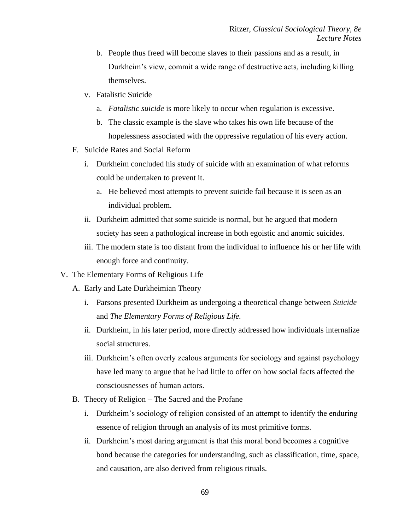- b. People thus freed will become slaves to their passions and as a result, in Durkheim's view, commit a wide range of destructive acts, including killing themselves.
- v. Fatalistic Suicide
	- a. *Fatalistic suicide* is more likely to occur when regulation is excessive.
	- b. The classic example is the slave who takes his own life because of the hopelessness associated with the oppressive regulation of his every action.
- F. Suicide Rates and Social Reform
	- i. Durkheim concluded his study of suicide with an examination of what reforms could be undertaken to prevent it.
		- a. He believed most attempts to prevent suicide fail because it is seen as an individual problem.
	- ii. Durkheim admitted that some suicide is normal, but he argued that modern society has seen a pathological increase in both egoistic and anomic suicides.
	- iii. The modern state is too distant from the individual to influence his or her life with enough force and continuity.
- V. The Elementary Forms of Religious Life
	- A. Early and Late Durkheimian Theory
		- i. Parsons presented Durkheim as undergoing a theoretical change between *Suicide*  and *The Elementary Forms of Religious Life.*
		- ii. Durkheim, in his later period, more directly addressed how individuals internalize social structures.
		- iii. Durkheim's often overly zealous arguments for sociology and against psychology have led many to argue that he had little to offer on how social facts affected the consciousnesses of human actors.
	- B. Theory of Religion The Sacred and the Profane
		- i. Durkheim's sociology of religion consisted of an attempt to identify the enduring essence of religion through an analysis of its most primitive forms.
		- ii. Durkheim's most daring argument is that this moral bond becomes a cognitive bond because the categories for understanding, such as classification, time, space, and causation, are also derived from religious rituals.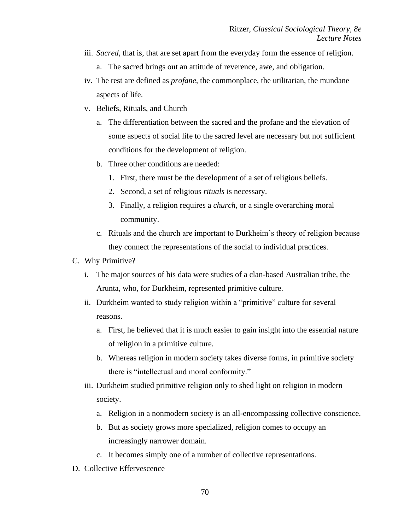- iii. *Sacred*, that is, that are set apart from the everyday form the essence of religion.
	- a. The sacred brings out an attitude of reverence, awe, and obligation.
- iv. The rest are defined as *profane*, the commonplace, the utilitarian, the mundane aspects of life.
- v. Beliefs, Rituals, and Church
	- a. The differentiation between the sacred and the profane and the elevation of some aspects of social life to the sacred level are necessary but not sufficient conditions for the development of religion.
	- b. Three other conditions are needed:
		- 1. First, there must be the development of a set of religious beliefs.
		- 2. Second, a set of religious *rituals* is necessary.
		- 3. Finally, a religion requires a *church,* or a single overarching moral community.
	- c. Rituals and the church are important to Durkheim's theory of religion because they connect the representations of the social to individual practices.
- C. Why Primitive?
	- i. The major sources of his data were studies of a clan-based Australian tribe, the Arunta, who, for Durkheim, represented primitive culture.
	- ii. Durkheim wanted to study religion within a "primitive" culture for several reasons.
		- a. First, he believed that it is much easier to gain insight into the essential nature of religion in a primitive culture.
		- b. Whereas religion in modern society takes diverse forms, in primitive society there is "intellectual and moral conformity."
	- iii. Durkheim studied primitive religion only to shed light on religion in modern society.
		- a. Religion in a nonmodern society is an all-encompassing collective conscience.
		- b. But as society grows more specialized, religion comes to occupy an increasingly narrower domain.
		- c. It becomes simply one of a number of collective representations.
- D. Collective Effervescence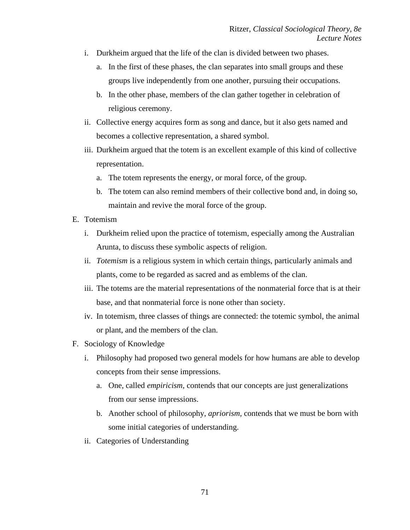- i. Durkheim argued that the life of the clan is divided between two phases.
	- a. In the first of these phases, the clan separates into small groups and these groups live independently from one another, pursuing their occupations.
	- b. In the other phase, members of the clan gather together in celebration of religious ceremony.
- ii. Collective energy acquires form as song and dance, but it also gets named and becomes a collective representation, a shared symbol.
- iii. Durkheim argued that the totem is an excellent example of this kind of collective representation.
	- a. The totem represents the energy, or moral force, of the group.
	- b. The totem can also remind members of their collective bond and, in doing so, maintain and revive the moral force of the group.
- E. Totemism
	- i. Durkheim relied upon the practice of totemism, especially among the Australian Arunta, to discuss these symbolic aspects of religion.
	- ii. *Totemism* is a religious system in which certain things, particularly animals and plants, come to be regarded as sacred and as emblems of the clan.
	- iii. The totems are the material representations of the nonmaterial force that is at their base, and that nonmaterial force is none other than society.
	- iv. In totemism, three classes of things are connected: the totemic symbol, the animal or plant, and the members of the clan.
- F. Sociology of Knowledge
	- i. Philosophy had proposed two general models for how humans are able to develop concepts from their sense impressions.
		- a. One, called *empiricism,* contends that our concepts are just generalizations from our sense impressions.
		- b. Another school of philosophy, *apriorism,* contends that we must be born with some initial categories of understanding.
	- ii. Categories of Understanding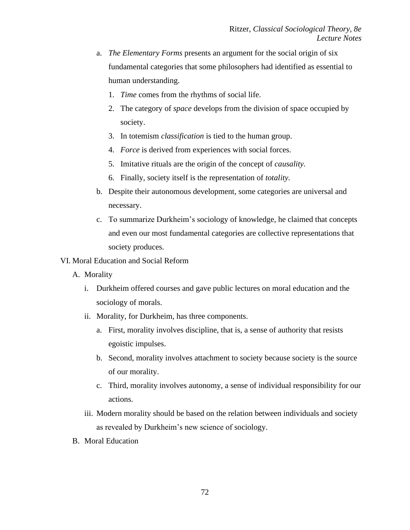- a. *The Elementary Forms* presents an argument for the social origin of six fundamental categories that some philosophers had identified as essential to human understanding.
	- 1. *Time* comes from the rhythms of social life.
	- 2. The category of *space* develops from the division of space occupied by society.
	- 3. In totemism *classification* is tied to the human group.
	- 4. *Force* is derived from experiences with social forces.
	- 5. Imitative rituals are the origin of the concept of *causality.*
	- 6. Finally, society itself is the representation of *totality.*
- b. Despite their autonomous development, some categories are universal and necessary.
- c. To summarize Durkheim's sociology of knowledge, he claimed that concepts and even our most fundamental categories are collective representations that society produces.

#### VI. Moral Education and Social Reform

- A. Morality
	- i. Durkheim offered courses and gave public lectures on moral education and the sociology of morals.
	- ii. Morality, for Durkheim, has three components.
		- a. First, morality involves discipline, that is, a sense of authority that resists egoistic impulses.
		- b. Second, morality involves attachment to society because society is the source of our morality.
		- c. Third, morality involves autonomy, a sense of individual responsibility for our actions.
	- iii. Modern morality should be based on the relation between individuals and society as revealed by Durkheim's new science of sociology.
- B. Moral Education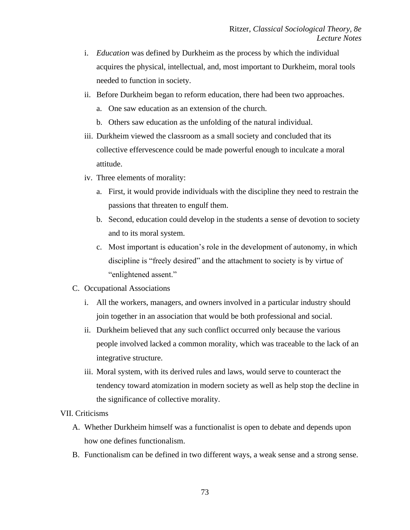- i. *Education* was defined by Durkheim as the process by which the individual acquires the physical, intellectual, and, most important to Durkheim, moral tools needed to function in society.
- ii. Before Durkheim began to reform education, there had been two approaches.
	- a. One saw education as an extension of the church.
	- b. Others saw education as the unfolding of the natural individual.
- iii. Durkheim viewed the classroom as a small society and concluded that its collective effervescence could be made powerful enough to inculcate a moral attitude.
- iv. Three elements of morality:
	- a. First, it would provide individuals with the discipline they need to restrain the passions that threaten to engulf them.
	- b. Second, education could develop in the students a sense of devotion to society and to its moral system.
	- c. Most important is education's role in the development of autonomy, in which discipline is "freely desired" and the attachment to society is by virtue of "enlightened assent."
- C. Occupational Associations
	- i. All the workers, managers, and owners involved in a particular industry should join together in an association that would be both professional and social.
	- ii. Durkheim believed that any such conflict occurred only because the various people involved lacked a common morality, which was traceable to the lack of an integrative structure.
	- iii. Moral system, with its derived rules and laws, would serve to counteract the tendency toward atomization in modern society as well as help stop the decline in the significance of collective morality.

### VII. Criticisms

- A. Whether Durkheim himself was a functionalist is open to debate and depends upon how one defines functionalism.
- B. Functionalism can be defined in two different ways, a weak sense and a strong sense.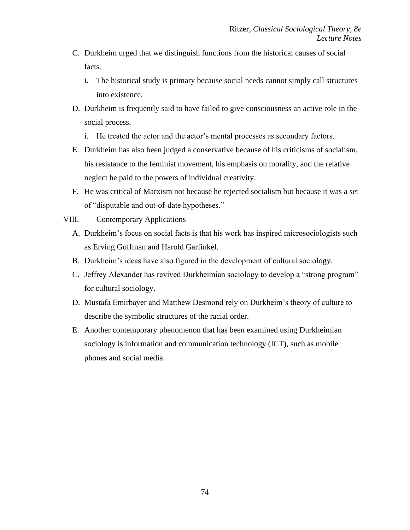- C. Durkheim urged that we distinguish functions from the historical causes of social facts.
	- i. The historical study is primary because social needs cannot simply call structures into existence.
- D. Durkheim is frequently said to have failed to give consciousness an active role in the social process.
	- i. He treated the actor and the actor's mental processes as secondary factors.
- E. Durkheim has also been judged a conservative because of his criticisms of socialism, his resistance to the feminist movement, his emphasis on morality, and the relative neglect he paid to the powers of individual creativity.
- F. He was critical of Marxism not because he rejected socialism but because it was a set of "disputable and out-of-date hypotheses."
- VIII. Contemporary Applications
	- A. Durkheim's focus on social facts is that his work has inspired microsociologists such as Erving Goffman and Harold Garfinkel.
	- B. Durkheim's ideas have also figured in the development of cultural sociology.
	- C. Jeffrey Alexander has revived Durkheimian sociology to develop a "strong program" for cultural sociology.
	- D. Mustafa Emirbayer and Matthew Desmond rely on Durkheim's theory of culture to describe the symbolic structures of the racial order.
	- E. Another contemporary phenomenon that has been examined using Durkheimian sociology is information and communication technology (ICT), such as mobile phones and social media.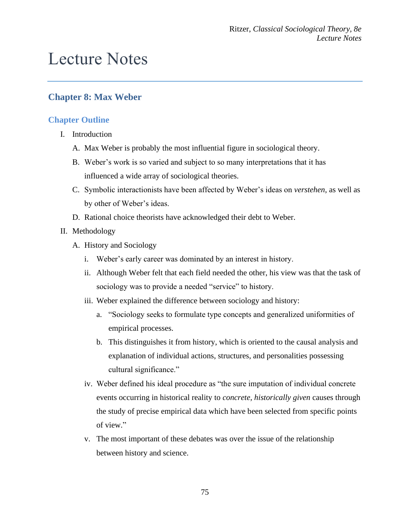# Lecture Notes

# **Chapter 8: Max Weber**

## **Chapter Outline**

- I. Introduction
	- A. Max Weber is probably the most influential figure in sociological theory.
	- B. Weber's work is so varied and subject to so many interpretations that it has influenced a wide array of sociological theories.
	- C. Symbolic interactionists have been affected by Weber's ideas on *verstehen*, as well as by other of Weber's ideas.
	- D. Rational choice theorists have acknowledged their debt to Weber.
- II. Methodology
	- A. History and Sociology
		- i. Weber's early career was dominated by an interest in history.
		- ii. Although Weber felt that each field needed the other, his view was that the task of sociology was to provide a needed "service" to history.
		- iii. Weber explained the difference between sociology and history:
			- a. "Sociology seeks to formulate type concepts and generalized uniformities of empirical processes.
			- b. This distinguishes it from history, which is oriented to the causal analysis and explanation of individual actions, structures, and personalities possessing cultural significance."
		- iv. Weber defined his ideal procedure as "the sure imputation of individual concrete events occurring in historical reality to *concrete, historically given* causes through the study of precise empirical data which have been selected from specific points of view."
		- v. The most important of these debates was over the issue of the relationship between history and science.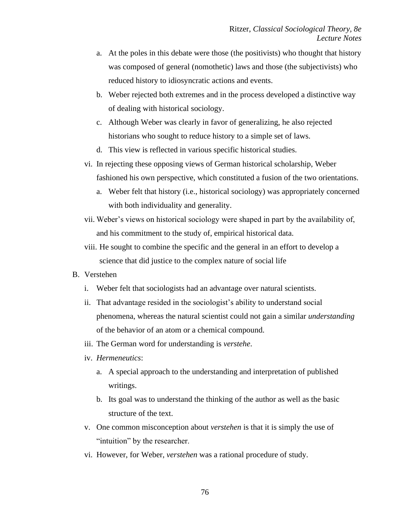- a. At the poles in this debate were those (the positivists) who thought that history was composed of general (nomothetic) laws and those (the subjectivists) who reduced history to idiosyncratic actions and events.
- b. Weber rejected both extremes and in the process developed a distinctive way of dealing with historical sociology.
- c. Although Weber was clearly in favor of generalizing, he also rejected historians who sought to reduce history to a simple set of laws.
- d. This view is reflected in various specific historical studies.
- vi. In rejecting these opposing views of German historical scholarship, Weber fashioned his own perspective, which constituted a fusion of the two orientations.
	- a. Weber felt that history (i.e., historical sociology) was appropriately concerned with both individuality and generality.
- vii. Weber's views on historical sociology were shaped in part by the availability of, and his commitment to the study of, empirical historical data.
- viii. He sought to combine the specific and the general in an effort to develop a science that did justice to the complex nature of social life
- B. Verstehen
	- i. Weber felt that sociologists had an advantage over natural scientists.
	- ii. That advantage resided in the sociologist's ability to understand social phenomena, whereas the natural scientist could not gain a similar *understanding* of the behavior of an atom or a chemical compound.
	- iii. The German word for understanding is *verstehe*.
	- iv. *Hermeneutics*:
		- a. A special approach to the understanding and interpretation of published writings.
		- b. Its goal was to understand the thinking of the author as well as the basic structure of the text.
	- v. One common misconception about *verstehen* is that it is simply the use of "intuition" by the researcher.
	- vi. However, for Weber, *verstehen* was a rational procedure of study.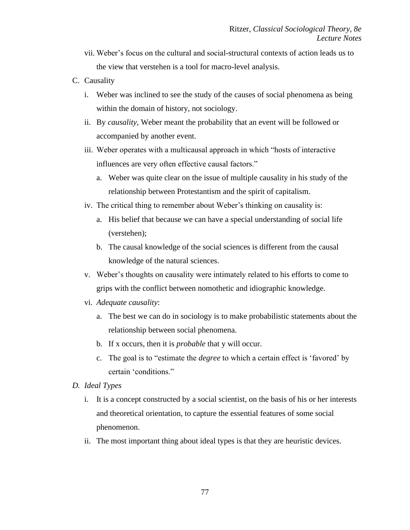- vii. Weber's focus on the cultural and social-structural contexts of action leads us to the view that verstehen is a tool for macro-level analysis.
- C. Causality
	- i. Weber was inclined to see the study of the causes of social phenomena as being within the domain of history, not sociology.
	- ii. By *causality,* Weber meant the probability that an event will be followed or accompanied by another event.
	- iii. Weber operates with a multicausal approach in which "hosts of interactive influences are very often effective causal factors."
		- a. Weber was quite clear on the issue of multiple causality in his study of the relationship between Protestantism and the spirit of capitalism.
	- iv. The critical thing to remember about Weber's thinking on causality is:
		- a. His belief that because we can have a special understanding of social life (verstehen);
		- b. The causal knowledge of the social sciences is different from the causal knowledge of the natural sciences.
	- v. Weber's thoughts on causality were intimately related to his efforts to come to grips with the conflict between nomothetic and idiographic knowledge.
	- vi. *Adequate causality*:
		- a. The best we can do in sociology is to make probabilistic statements about the relationship between social phenomena.
		- b. If x occurs, then it is *probable* that y will occur.
		- c. The goal is to "estimate the *degree* to which a certain effect is 'favored' by certain 'conditions."
- *D. Ideal Types*
	- i. It is a concept constructed by a social scientist, on the basis of his or her interests and theoretical orientation, to capture the essential features of some social phenomenon.
	- ii. The most important thing about ideal types is that they are heuristic devices.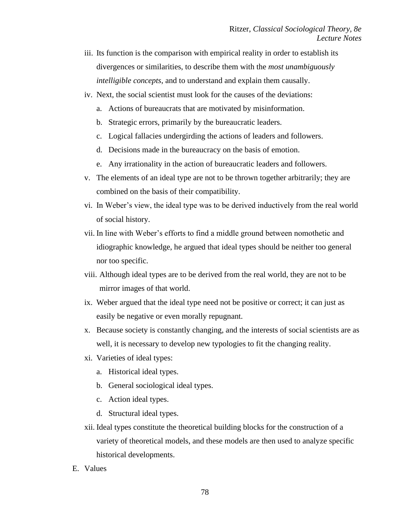- iii. Its function is the comparison with empirical reality in order to establish its divergences or similarities, to describe them with the *most unambiguously intelligible concepts*, and to understand and explain them causally.
- iv. Next, the social scientist must look for the causes of the deviations:
	- a. Actions of bureaucrats that are motivated by misinformation.
	- b. Strategic errors, primarily by the bureaucratic leaders.
	- c. Logical fallacies undergirding the actions of leaders and followers.
	- d. Decisions made in the bureaucracy on the basis of emotion.
	- e. Any irrationality in the action of bureaucratic leaders and followers.
- v. The elements of an ideal type are not to be thrown together arbitrarily; they are combined on the basis of their compatibility.
- vi. In Weber's view, the ideal type was to be derived inductively from the real world of social history.
- vii. In line with Weber's efforts to find a middle ground between nomothetic and idiographic knowledge, he argued that ideal types should be neither too general nor too specific.
- viii. Although ideal types are to be derived from the real world, they are not to be mirror images of that world.
- ix. Weber argued that the ideal type need not be positive or correct; it can just as easily be negative or even morally repugnant.
- x. Because society is constantly changing, and the interests of social scientists are as well, it is necessary to develop new typologies to fit the changing reality.
- xi. Varieties of ideal types:
	- a. Historical ideal types.
	- b. General sociological ideal types.
	- c. Action ideal types.
	- d. Structural ideal types.
- xii. Ideal types constitute the theoretical building blocks for the construction of a variety of theoretical models, and these models are then used to analyze specific historical developments.
- E. Values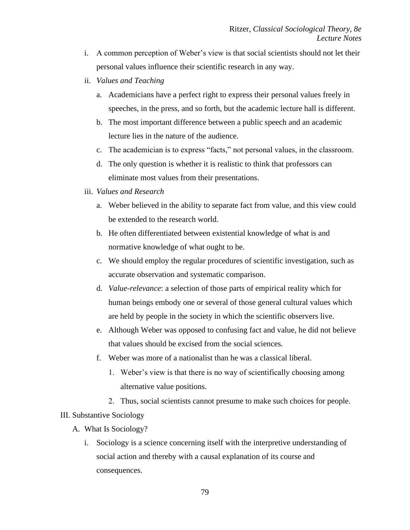- i. A common perception of Weber's view is that social scientists should not let their personal values influence their scientific research in any way.
- ii. *Values and Teaching*
	- a. Academicians have a perfect right to express their personal values freely in speeches, in the press, and so forth, but the academic lecture hall is different.
	- b. The most important difference between a public speech and an academic lecture lies in the nature of the audience.
	- c. The academician is to express "facts," not personal values, in the classroom.
	- d. The only question is whether it is realistic to think that professors can eliminate most values from their presentations.
- iii. *Values and Research*
	- a. Weber believed in the ability to separate fact from value, and this view could be extended to the research world.
	- b. He often differentiated between existential knowledge of what is and normative knowledge of what ought to be.
	- c. We should employ the regular procedures of scientific investigation, such as accurate observation and systematic comparison.
	- d. *Value-relevance*: a selection of those parts of empirical reality which for human beings embody one or several of those general cultural values which are held by people in the society in which the scientific observers live.
	- e. Although Weber was opposed to confusing fact and value, he did not believe that values should be excised from the social sciences.
	- f. Weber was more of a nationalist than he was a classical liberal.
		- Weber's view is that there is no way of scientifically choosing among alternative value positions.
		- Thus, social scientists cannot presume to make such choices for people.

#### III. Substantive Sociology

- A. What Is Sociology?
	- i. Sociology is a science concerning itself with the interpretive understanding of social action and thereby with a causal explanation of its course and consequences.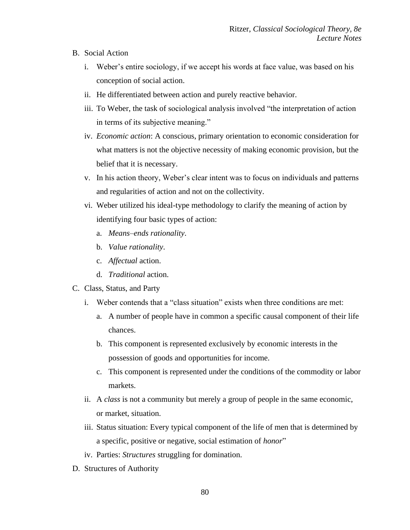- B. Social Action
	- i. Weber's entire sociology, if we accept his words at face value, was based on his conception of social action.
	- ii. He differentiated between action and purely reactive behavior.
	- iii. To Weber, the task of sociological analysis involved "the interpretation of action in terms of its subjective meaning."
	- iv. *Economic action*: A conscious, primary orientation to economic consideration for what matters is not the objective necessity of making economic provision, but the belief that it is necessary.
	- v. In his action theory, Weber's clear intent was to focus on individuals and patterns and regularities of action and not on the collectivity.
	- vi. Weber utilized his ideal-type methodology to clarify the meaning of action by identifying four basic types of action:
		- a. *Means–ends rationality*.
		- b. *Value rationality*.
		- c. *Affectual* action.
		- d. *Traditional* action.
- C. Class, Status, and Party
	- i. Weber contends that a "class situation" exists when three conditions are met:
		- a. A number of people have in common a specific causal component of their life chances.
		- b. This component is represented exclusively by economic interests in the possession of goods and opportunities for income.
		- c. This component is represented under the conditions of the commodity or labor markets.
	- ii. A *class* is not a community but merely a group of people in the same economic, or market, situation.
	- iii. Status situation: Every typical component of the life of men that is determined by a specific, positive or negative, social estimation of *honor*"
	- iv. Parties: *Structures* struggling for domination.
- D. Structures of Authority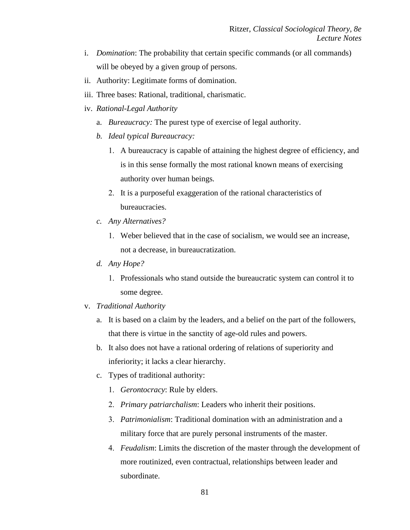- i. *Domination*: The probability that certain specific commands (or all commands) will be obeyed by a given group of persons.
- ii. Authority: Legitimate forms of domination.
- iii. Three bases: Rational, traditional, charismatic.
- iv. *Rational-Legal Authority*
	- a. *Bureaucracy:* The purest type of exercise of legal authority.
	- *b. Ideal typical Bureaucracy:*
		- A bureaucracy is capable of attaining the highest degree of efficiency, and is in this sense formally the most rational known means of exercising authority over human beings*.*
		- 2. It is a purposeful exaggeration of the rational characteristics of bureaucracies.
	- *c. Any Alternatives?*
		- Weber believed that in the case of socialism, we would see an increase, not a decrease, in bureaucratization.
	- *d. Any Hope?*
		- Professionals who stand outside the bureaucratic system can control it to some degree.
- v. *Traditional Authority*
	- a. It is based on a claim by the leaders, and a belief on the part of the followers, that there is virtue in the sanctity of age-old rules and powers.
	- b. It also does not have a rational ordering of relations of superiority and inferiority; it lacks a clear hierarchy.
	- c. Types of traditional authority:
		- *Gerontocracy*: Rule by elders.
		- *Primary patriarchalism*: Leaders who inherit their positions.
		- *Patrimonialism*: Traditional domination with an administration and a military force that are purely personal instruments of the master.
		- *Feudalism*: Limits the discretion of the master through the development of more routinized, even contractual, relationships between leader and subordinate.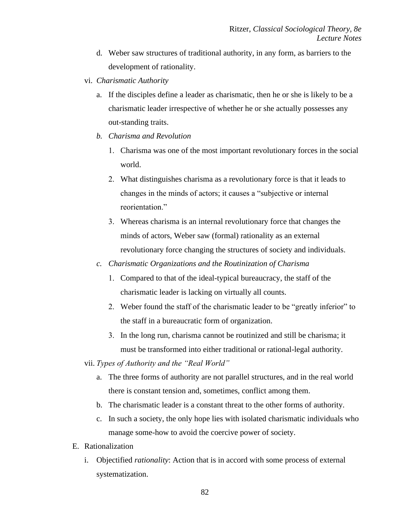- d. Weber saw structures of traditional authority, in any form, as barriers to the development of rationality.
- vi. *Charismatic Authority*
	- a. If the disciples define a leader as charismatic, then he or she is likely to be a charismatic leader irrespective of whether he or she actually possesses any out-standing traits.
	- *b. Charisma and Revolution*
		- Charisma was one of the most important revolutionary forces in the social world.
		- What distinguishes charisma as a revolutionary force is that it leads to changes in the minds of actors; it causes a "subjective or internal reorientation."
		- Whereas charisma is an internal revolutionary force that changes the minds of actors, Weber saw (formal) rationality as an external revolutionary force changing the structures of society and individuals.
	- *c. Charismatic Organizations and the Routinization of Charisma*
		- Compared to that of the ideal-typical bureaucracy, the staff of the charismatic leader is lacking on virtually all counts.
		- Weber found the staff of the charismatic leader to be "greatly inferior" to the staff in a bureaucratic form of organization.
		- In the long run, charisma cannot be routinized and still be charisma; it must be transformed into either traditional or rational-legal authority.
- vii. *Types of Authority and the "Real World"*
	- a. The three forms of authority are not parallel structures, and in the real world there is constant tension and, sometimes, conflict among them.
	- b. The charismatic leader is a constant threat to the other forms of authority.
	- c. In such a society, the only hope lies with isolated charismatic individuals who manage some-how to avoid the coercive power of society.
- E. Rationalization
	- i. Objectified *rationality*: Action that is in accord with some process of external systematization.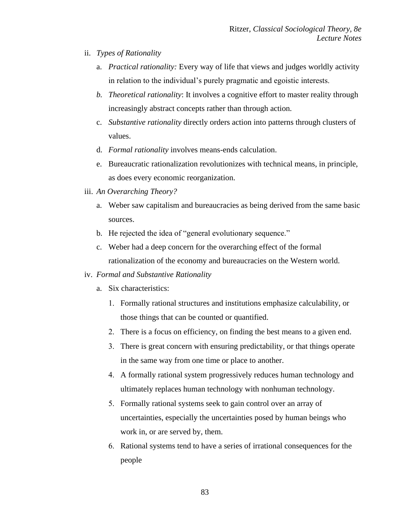- ii. *Types of Rationality*
	- a. *Practical rationality:* Every way of life that views and judges worldly activity in relation to the individual's purely pragmatic and egoistic interests.
	- *b. Theoretical rationality*: It involves a cognitive effort to master reality through increasingly abstract concepts rather than through action*.*
	- c. *Substantive rationality* directly orders action into patterns through clusters of values.
	- d. *Formal rationality* involves means-ends calculation.
	- e. Bureaucratic rationalization revolutionizes with technical means, in principle, as does every economic reorganization.
- iii. *An Overarching Theory?*
	- a. Weber saw capitalism and bureaucracies as being derived from the same basic sources.
	- b. He rejected the idea of "general evolutionary sequence."
	- c. Weber had a deep concern for the overarching effect of the formal rationalization of the economy and bureaucracies on the Western world.

### iv. *Formal and Substantive Rationality*

- a. Six characteristics:
	- Formally rational structures and institutions emphasize calculability, or those things that can be counted or quantified.
	- There is a focus on efficiency, on finding the best means to a given end.
	- There is great concern with ensuring predictability, or that things operate in the same way from one time or place to another.
	- A formally rational system progressively reduces human technology and ultimately replaces human technology with nonhuman technology.
	- Formally rational systems seek to gain control over an array of uncertainties, especially the uncertainties posed by human beings who work in, or are served by, them.
	- Rational systems tend to have a series of irrational consequences for the people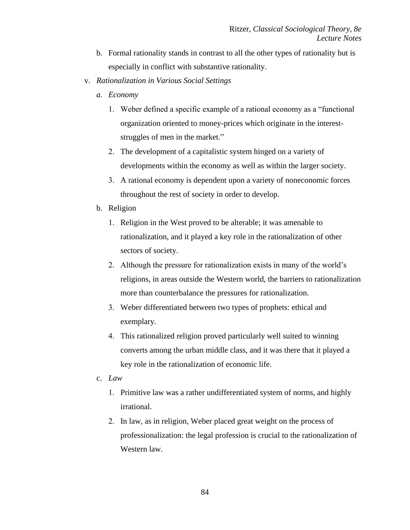- b. Formal rationality stands in contrast to all the other types of rationality but is especially in conflict with substantive rationality.
- v. *Rationalization in Various Social Settings*
	- *a. Economy*
		- Weber defined a specific example of a rational economy as a "functional organization oriented to money-prices which originate in the intereststruggles of men in the market."
		- 2. The development of a capitalistic system hinged on a variety of developments within the economy as well as within the larger society.
		- A rational economy is dependent upon a variety of noneconomic forces throughout the rest of society in order to develop.
	- b. Religion
		- 1. Religion in the West proved to be alterable; it was amenable to rationalization, and it played a key role in the rationalization of other sectors of society.
		- Although the pressure for rationalization exists in many of the world's religions, in areas outside the Western world, the barriers to rationalization more than counterbalance the pressures for rationalization.
		- Weber differentiated between two types of prophets: ethical and exemplary.
		- This rationalized religion proved particularly well suited to winning converts among the urban middle class, and it was there that it played a key role in the rationalization of economic life.
	- c. *Law*
		- Primitive law was a rather undifferentiated system of norms, and highly irrational.
		- 2. In law, as in religion, Weber placed great weight on the process of professionalization: the legal profession is crucial to the rationalization of Western law.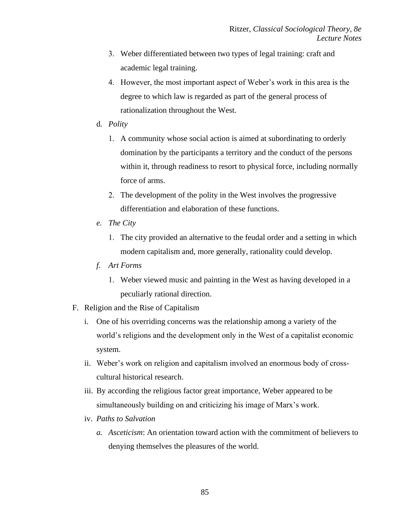- Weber differentiated between two types of legal training: craft and academic legal training.
- However, the most important aspect of Weber's work in this area is the degree to which law is regarded as part of the general process of rationalization throughout the West.
- d. *Polity*
	- A community whose social action is aimed at subordinating to orderly domination by the participants a territory and the conduct of the persons within it, through readiness to resort to physical force, including normally force of arms.
	- 2. The development of the polity in the West involves the progressive differentiation and elaboration of these functions.
- *e. The City*
	- 1. The city provided an alternative to the feudal order and a setting in which modern capitalism and, more generally, rationality could develop.
- *f. Art Forms*
	- Weber viewed music and painting in the West as having developed in a peculiarly rational direction.
- F. Religion and the Rise of Capitalism
	- i. One of his overriding concerns was the relationship among a variety of the world's religions and the development only in the West of a capitalist economic system.
	- ii. Weber's work on religion and capitalism involved an enormous body of crosscultural historical research.
	- iii. By according the religious factor great importance, Weber appeared to be simultaneously building on and criticizing his image of Marx's work.
	- iv. *Paths to Salvation*
		- *a. Asceticism*: An orientation toward action with the commitment of believers to denying themselves the pleasures of the world*.*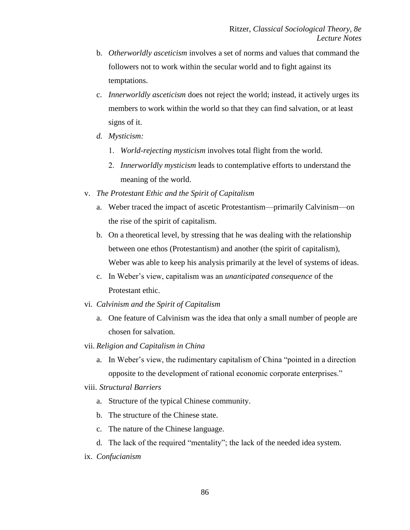- b. *Otherworldly asceticism* involves a set of norms and values that command the followers not to work within the secular world and to fight against its temptations.
- c. *Innerworldly asceticism* does not reject the world; instead, it actively urges its members to work within the world so that they can find salvation, or at least signs of it.
- *d. Mysticism:*
	- *World-rejecting mysticism* involves total flight from the world.
	- *Innerworldly mysticism* leads to contemplative efforts to understand the meaning of the world.
- v. *The Protestant Ethic and the Spirit of Capitalism*
	- a. Weber traced the impact of ascetic Protestantism—primarily Calvinism—on the rise of the spirit of capitalism.
	- b. On a theoretical level, by stressing that he was dealing with the relationship between one ethos (Protestantism) and another (the spirit of capitalism), Weber was able to keep his analysis primarily at the level of systems of ideas.
	- c. In Weber's view, capitalism was an *unanticipated consequence* of the Protestant ethic.
- vi. *Calvinism and the Spirit of Capitalism*
	- a. One feature of Calvinism was the idea that only a small number of people are chosen for salvation.
- vii. *Religion and Capitalism in China*
	- a. In Weber's view, the rudimentary capitalism of China "pointed in a direction opposite to the development of rational economic corporate enterprises."
- viii. *Structural Barriers*
	- a. Structure of the typical Chinese community.
	- b. The structure of the Chinese state.
	- c. The nature of the Chinese language.
	- d. The lack of the required "mentality"; the lack of the needed idea system.
- ix. *Confucianism*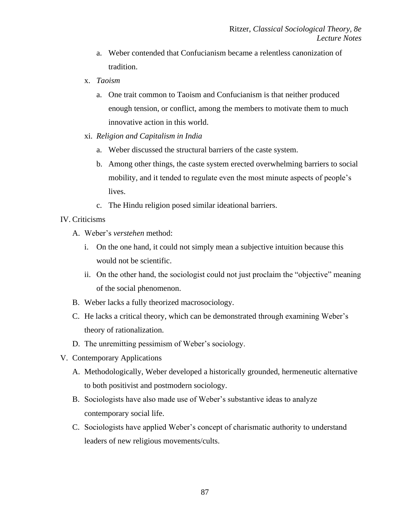- a. Weber contended that Confucianism became a relentless canonization of tradition.
- x. *Taoism*
	- a. One trait common to Taoism and Confucianism is that neither produced enough tension, or conflict, among the members to motivate them to much innovative action in this world.
- xi. *Religion and Capitalism in India*
	- a. Weber discussed the structural barriers of the caste system.
	- b. Among other things, the caste system erected overwhelming barriers to social mobility, and it tended to regulate even the most minute aspects of people's lives.
	- c. The Hindu religion posed similar ideational barriers.

## IV. Criticisms

- A. Weber's *verstehen* method:
	- i. On the one hand, it could not simply mean a subjective intuition because this would not be scientific.
	- ii. On the other hand, the sociologist could not just proclaim the "objective" meaning of the social phenomenon.
- B. Weber lacks a fully theorized macrosociology.
- C. He lacks a critical theory, which can be demonstrated through examining Weber's theory of rationalization.
- D. The unremitting pessimism of Weber's sociology.
- V. Contemporary Applications
	- A. Methodologically, Weber developed a historically grounded, hermeneutic alternative to both positivist and postmodern sociology.
	- B. Sociologists have also made use of Weber's substantive ideas to analyze contemporary social life.
	- C. Sociologists have applied Weber's concept of charismatic authority to understand leaders of new religious movements/cults.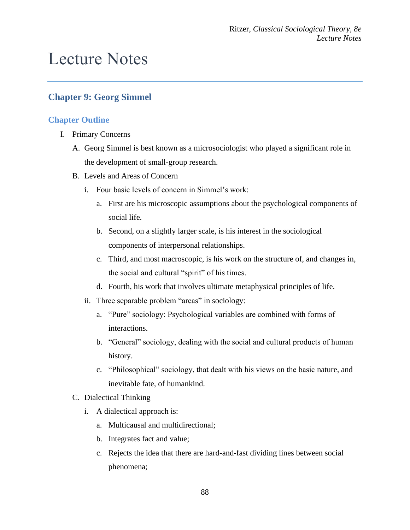# Lecture Notes

# **Chapter 9: Georg Simmel**

# **Chapter Outline**

- I. Primary Concerns
	- A. Georg Simmel is best known as a microsociologist who played a significant role in the development of small-group research.
	- B. Levels and Areas of Concern
		- i. Four basic levels of concern in Simmel's work:
			- a. First are his microscopic assumptions about the psychological components of social life.
			- b. Second, on a slightly larger scale, is his interest in the sociological components of interpersonal relationships.
			- c. Third, and most macroscopic, is his work on the structure of, and changes in, the social and cultural "spirit" of his times.
			- d. Fourth, his work that involves ultimate metaphysical principles of life.
		- ii. Three separable problem "areas" in sociology:
			- a. "Pure" sociology: Psychological variables are combined with forms of interactions.
			- b. "General" sociology, dealing with the social and cultural products of human history.
			- c. "Philosophical" sociology, that dealt with his views on the basic nature, and inevitable fate, of humankind.
	- C. Dialectical Thinking
		- i. A dialectical approach is:
			- a. Multicausal and multidirectional;
			- b. Integrates fact and value;
			- c. Rejects the idea that there are hard-and-fast dividing lines between social phenomena;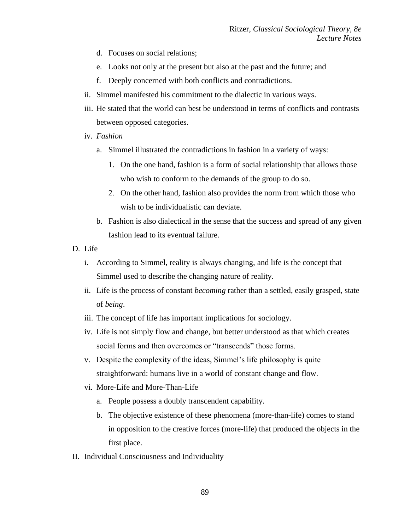- d. Focuses on social relations;
- e. Looks not only at the present but also at the past and the future; and
- f. Deeply concerned with both conflicts and contradictions.
- ii. Simmel manifested his commitment to the dialectic in various ways.
- iii. He stated that the world can best be understood in terms of conflicts and contrasts between opposed categories.
- iv. *Fashion*
	- a. Simmel illustrated the contradictions in fashion in a variety of ways:
		- On the one hand, fashion is a form of social relationship that allows those who wish to conform to the demands of the group to do so.
		- On the other hand, fashion also provides the norm from which those who wish to be individualistic can deviate.
	- b. Fashion is also dialectical in the sense that the success and spread of any given fashion lead to its eventual failure.
- D. Life
	- i. According to Simmel, reality is always changing, and life is the concept that Simmel used to describe the changing nature of reality.
	- ii. Life is the process of constant *becoming* rather than a settled, easily grasped, state of *being*.
	- iii. The concept of life has important implications for sociology.
	- iv. Life is not simply flow and change, but better understood as that which creates social forms and then overcomes or "transcends" those forms.
	- v. Despite the complexity of the ideas, Simmel's life philosophy is quite straightforward: humans live in a world of constant change and flow.
	- vi. More-Life and More-Than-Life
		- a. People possess a doubly transcendent capability.
		- b. The objective existence of these phenomena (more-than-life) comes to stand in opposition to the creative forces (more-life) that produced the objects in the first place.
- II. Individual Consciousness and Individuality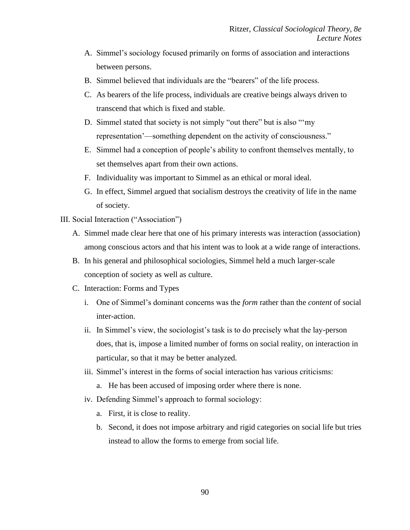- A. Simmel's sociology focused primarily on forms of association and interactions between persons.
- B. Simmel believed that individuals are the "bearers" of the life process.
- C. As bearers of the life process, individuals are creative beings always driven to transcend that which is fixed and stable.
- D. Simmel stated that society is not simply "out there" but is also "'my representation'—something dependent on the activity of consciousness."
- E. Simmel had a conception of people's ability to confront themselves mentally, to set themselves apart from their own actions.
- F. Individuality was important to Simmel as an ethical or moral ideal.
- G. In effect, Simmel argued that socialism destroys the creativity of life in the name of society.
- III. Social Interaction ("Association")
	- A. Simmel made clear here that one of his primary interests was interaction (association) among conscious actors and that his intent was to look at a wide range of interactions.
	- B. In his general and philosophical sociologies, Simmel held a much larger-scale conception of society as well as culture.
	- C. Interaction: Forms and Types
		- i. One of Simmel's dominant concerns was the *form* rather than the *content* of social inter-action.
		- ii. In Simmel's view, the sociologist's task is to do precisely what the lay-person does, that is, impose a limited number of forms on social reality, on interaction in particular, so that it may be better analyzed.
		- iii. Simmel's interest in the forms of social interaction has various criticisms:
			- a. He has been accused of imposing order where there is none.
		- iv. Defending Simmel's approach to formal sociology:
			- a. First, it is close to reality.
			- b. Second, it does not impose arbitrary and rigid categories on social life but tries instead to allow the forms to emerge from social life.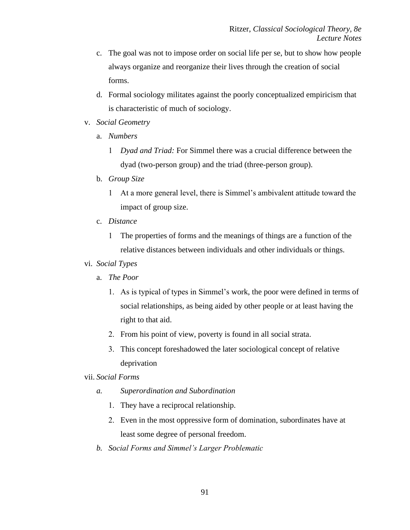- c. The goal was not to impose order on social life per se, but to show how people always organize and reorganize their lives through the creation of social forms.
- d. Formal sociology militates against the poorly conceptualized empiricism that is characteristic of much of sociology.
- v. *Social Geometry*
	- a. *Numbers*
		- *Dyad and Triad:* For Simmel there was a crucial difference between the dyad (two-person group) and the triad (three-person group).
	- b. *Group Size*
		- At a more general level, there is Simmel's ambivalent attitude toward the impact of group size.
	- c. *Distance*
		- The properties of forms and the meanings of things are a function of the relative distances between individuals and other individuals or things.
- vi. *Social Types*
	- a. *The Poor*
		- As is typical of types in Simmel's work, the poor were defined in terms of social relationships, as being aided by other people or at least having the right to that aid.
		- 2. From his point of view, poverty is found in all social strata.
		- This concept foreshadowed the later sociological concept of relative deprivation

vii. *Social Forms*

- *a. Superordination and Subordination*
	- 1. They have a reciprocal relationship.
	- Even in the most oppressive form of domination, subordinates have at least some degree of personal freedom.
- *b. Social Forms and Simmel's Larger Problematic*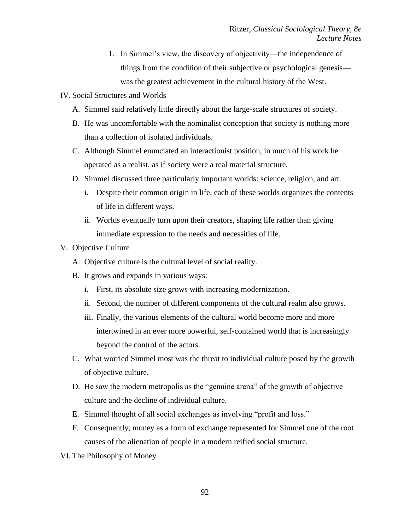In Simmel's view, the discovery of objectivity—the independence of things from the condition of their subjective or psychological genesis was the greatest achievement in the cultural history of the West.

### IV. Social Structures and Worlds

- A. Simmel said relatively little directly about the large-scale structures of society.
- B. He was uncomfortable with the nominalist conception that society is nothing more than a collection of isolated individuals.
- C. Although Simmel enunciated an interactionist position, in much of his work he operated as a realist, as if society were a real material structure.
- D. Simmel discussed three particularly important worlds: science, religion, and art.
	- i. Despite their common origin in life, each of these worlds organizes the contents of life in different ways.
	- ii. Worlds eventually turn upon their creators, shaping life rather than giving immediate expression to the needs and necessities of life.
- V. Objective Culture
	- A. Objective culture is the cultural level of social reality.
	- B. It grows and expands in various ways:
		- i. First, its absolute size grows with increasing modernization.
		- ii. Second, the number of different components of the cultural realm also grows.
		- iii. Finally, the various elements of the cultural world become more and more intertwined in an ever more powerful, self-contained world that is increasingly beyond the control of the actors.
	- C. What worried Simmel most was the threat to individual culture posed by the growth of objective culture.
	- D. He saw the modern metropolis as the "genuine arena" of the growth of objective culture and the decline of individual culture.
	- E. Simmel thought of all social exchanges as involving "profit and loss."
	- F. Consequently, money as a form of exchange represented for Simmel one of the root causes of the alienation of people in a modern reified social structure.
- VI. The Philosophy of Money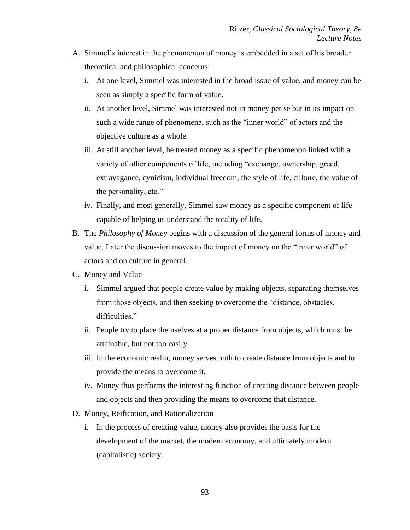- A. Simmel's interest in the phenomenon of money is embedded in a set of his broader theoretical and philosophical concerns:
	- i. At one level, Simmel was interested in the broad issue of value, and money can be seen as simply a specific form of value.
	- ii. At another level, Simmel was interested not in money per se but in its impact on such a wide range of phenomena, such as the "inner world" of actors and the objective culture as a whole.
	- iii. At still another level, he treated money as a specific phenomenon linked with a variety of other components of life, including "exchange, ownership, greed, extravagance, cynicism, individual freedom, the style of life, culture, the value of the personality, etc."
	- iv. Finally, and most generally, Simmel saw money as a specific component of life capable of helping us understand the totality of life.
- B. The *Philosophy of Money* begins with a discussion of the general forms of money and value. Later the discussion moves to the impact of money on the "inner world" of actors and on culture in general.
- C. Money and Value
	- i. Simmel argued that people create value by making objects, separating themselves from those objects, and then seeking to overcome the "distance, obstacles, difficulties."
	- ii. People try to place themselves at a proper distance from objects, which must be attainable, but not too easily.
	- iii. In the economic realm, money serves both to create distance from objects and to provide the means to overcome it.
	- iv. Money thus performs the interesting function of creating distance between people and objects and then providing the means to overcome that distance.
- D. Money, Reification, and Rationalization
	- i. In the process of creating value, money also provides the basis for the development of the market, the modern economy, and ultimately modern (capitalistic) society.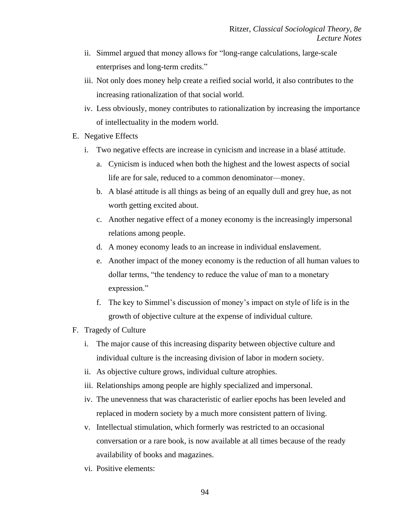- ii. Simmel argued that money allows for "long-range calculations, large-scale enterprises and long-term credits."
- iii. Not only does money help create a reified social world, it also contributes to the increasing rationalization of that social world.
- iv. Less obviously, money contributes to rationalization by increasing the importance of intellectuality in the modern world.
- E. Negative Effects
	- i. Two negative effects are increase in cynicism and increase in a blasé attitude.
		- a. Cynicism is induced when both the highest and the lowest aspects of social life are for sale, reduced to a common denominator—money.
		- b. A blasé attitude is all things as being of an equally dull and grey hue, as not worth getting excited about.
		- c. Another negative effect of a money economy is the increasingly impersonal relations among people.
		- d. A money economy leads to an increase in individual enslavement.
		- e. Another impact of the money economy is the reduction of all human values to dollar terms, "the tendency to reduce the value of man to a monetary expression."
		- f. The key to Simmel's discussion of money's impact on style of life is in the growth of objective culture at the expense of individual culture.
- F. Tragedy of Culture
	- i. The major cause of this increasing disparity between objective culture and individual culture is the increasing division of labor in modern society.
	- ii. As objective culture grows, individual culture atrophies.
	- iii. Relationships among people are highly specialized and impersonal.
	- iv. The unevenness that was characteristic of earlier epochs has been leveled and replaced in modern society by a much more consistent pattern of living.
	- v. Intellectual stimulation, which formerly was restricted to an occasional conversation or a rare book, is now available at all times because of the ready availability of books and magazines.
	- vi. Positive elements: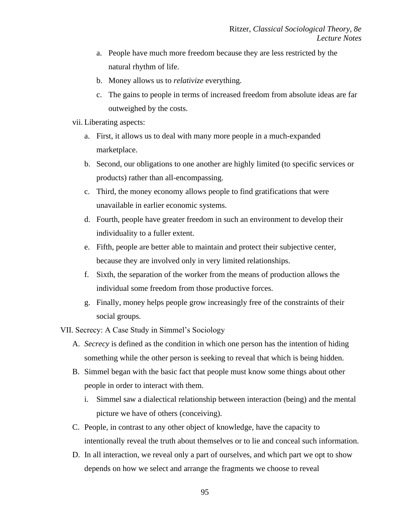- a. People have much more freedom because they are less restricted by the natural rhythm of life.
- b. Money allows us to *relativize* everything.
- c. The gains to people in terms of increased freedom from absolute ideas are far outweighed by the costs.
- vii. Liberating aspects:
	- a. First, it allows us to deal with many more people in a much-expanded marketplace.
	- b. Second, our obligations to one another are highly limited (to specific services or products) rather than all-encompassing.
	- c. Third, the money economy allows people to find gratifications that were unavailable in earlier economic systems.
	- d. Fourth, people have greater freedom in such an environment to develop their individuality to a fuller extent.
	- e. Fifth, people are better able to maintain and protect their subjective center, because they are involved only in very limited relationships.
	- f. Sixth, the separation of the worker from the means of production allows the individual some freedom from those productive forces.
	- g. Finally, money helps people grow increasingly free of the constraints of their social groups.

VII. Secrecy: A Case Study in Simmel's Sociology

- A. *Secrecy* is defined as the condition in which one person has the intention of hiding something while the other person is seeking to reveal that which is being hidden.
- B. Simmel began with the basic fact that people must know some things about other people in order to interact with them.
	- i. Simmel saw a dialectical relationship between interaction (being) and the mental picture we have of others (conceiving).
- C. People, in contrast to any other object of knowledge, have the capacity to intentionally reveal the truth about themselves or to lie and conceal such information.
- D. In all interaction, we reveal only a part of ourselves, and which part we opt to show depends on how we select and arrange the fragments we choose to reveal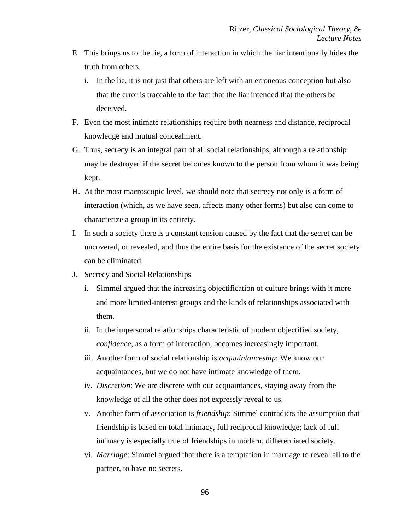- E. This brings us to the lie, a form of interaction in which the liar intentionally hides the truth from others.
	- i. In the lie, it is not just that others are left with an erroneous conception but also that the error is traceable to the fact that the liar intended that the others be deceived.
- F. Even the most intimate relationships require both nearness and distance, reciprocal knowledge and mutual concealment.
- G. Thus, secrecy is an integral part of all social relationships, although a relationship may be destroyed if the secret becomes known to the person from whom it was being kept.
- H. At the most macroscopic level, we should note that secrecy not only is a form of interaction (which, as we have seen, affects many other forms) but also can come to characterize a group in its entirety.
- I. In such a society there is a constant tension caused by the fact that the secret can be uncovered, or revealed, and thus the entire basis for the existence of the secret society can be eliminated.
- J. Secrecy and Social Relationships
	- i. Simmel argued that the increasing objectification of culture brings with it more and more limited-interest groups and the kinds of relationships associated with them.
	- ii. In the impersonal relationships characteristic of modern objectified society, *confidence*, as a form of interaction, becomes increasingly important.
	- iii. Another form of social relationship is *acquaintanceship*: We know our acquaintances, but we do not have intimate knowledge of them.
	- iv. *Discretion*: We are discrete with our acquaintances, staying away from the knowledge of all the other does not expressly reveal to us.
	- v. Another form of association is *friendship*: Simmel contradicts the assumption that friendship is based on total intimacy, full reciprocal knowledge; lack of full intimacy is especially true of friendships in modern, differentiated society.
	- vi. *Marriage*: Simmel argued that there is a temptation in marriage to reveal all to the partner, to have no secrets.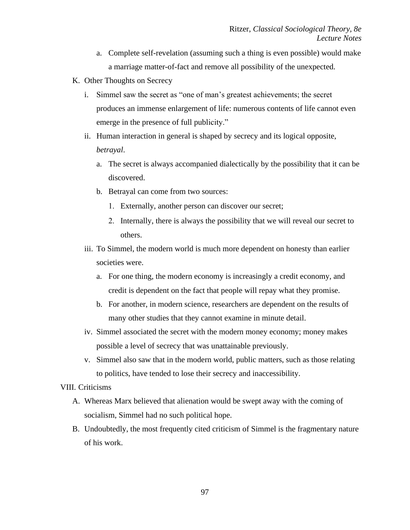- a. Complete self-revelation (assuming such a thing is even possible) would make a marriage matter-of-fact and remove all possibility of the unexpected.
- K. Other Thoughts on Secrecy
	- i. Simmel saw the secret as "one of man's greatest achievements; the secret produces an immense enlargement of life: numerous contents of life cannot even emerge in the presence of full publicity."
	- ii. Human interaction in general is shaped by secrecy and its logical opposite, *betrayal*.
		- a. The secret is always accompanied dialectically by the possibility that it can be discovered.
		- b. Betrayal can come from two sources:
			- Externally, another person can discover our secret;
			- 2. Internally, there is always the possibility that we will reveal our secret to others.
	- iii. To Simmel, the modern world is much more dependent on honesty than earlier societies were.
		- a. For one thing, the modern economy is increasingly a credit economy, and credit is dependent on the fact that people will repay what they promise.
		- b. For another, in modern science, researchers are dependent on the results of many other studies that they cannot examine in minute detail.
	- iv. Simmel associated the secret with the modern money economy; money makes possible a level of secrecy that was unattainable previously.
	- v. Simmel also saw that in the modern world, public matters, such as those relating to politics, have tended to lose their secrecy and inaccessibility.
- VIII. Criticisms
	- A. Whereas Marx believed that alienation would be swept away with the coming of socialism, Simmel had no such political hope.
	- B. Undoubtedly, the most frequently cited criticism of Simmel is the fragmentary nature of his work.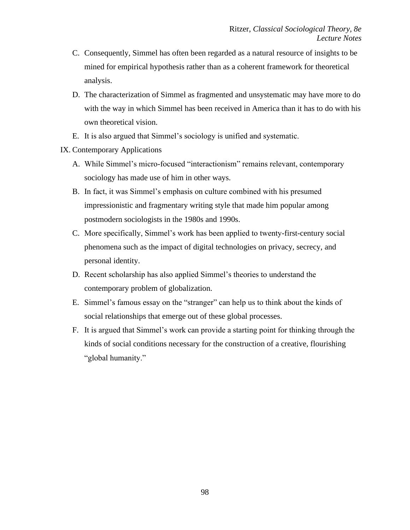- C. Consequently, Simmel has often been regarded as a natural resource of insights to be mined for empirical hypothesis rather than as a coherent framework for theoretical analysis.
- D. The characterization of Simmel as fragmented and unsystematic may have more to do with the way in which Simmel has been received in America than it has to do with his own theoretical vision.
- E. It is also argued that Simmel's sociology is unified and systematic.
- IX. Contemporary Applications
	- A. While Simmel's micro-focused "interactionism" remains relevant, contemporary sociology has made use of him in other ways.
	- B. In fact, it was Simmel's emphasis on culture combined with his presumed impressionistic and fragmentary writing style that made him popular among postmodern sociologists in the 1980s and 1990s.
	- C. More specifically, Simmel's work has been applied to twenty-first-century social phenomena such as the impact of digital technologies on privacy, secrecy, and personal identity.
	- D. Recent scholarship has also applied Simmel's theories to understand the contemporary problem of globalization.
	- E. Simmel's famous essay on the "stranger" can help us to think about the kinds of social relationships that emerge out of these global processes.
	- F. It is argued that Simmel's work can provide a starting point for thinking through the kinds of social conditions necessary for the construction of a creative, flourishing "global humanity."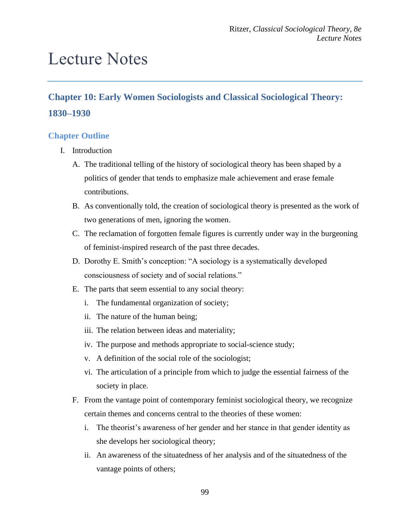# Lecture Notes

# **Chapter 10: Early Women Sociologists and Classical Sociological Theory: 1830–1930**

## **Chapter Outline**

- I. Introduction
	- A. The traditional telling of the history of sociological theory has been shaped by a politics of gender that tends to emphasize male achievement and erase female contributions.
	- B. As conventionally told, the creation of sociological theory is presented as the work of two generations of men, ignoring the women.
	- C. The reclamation of forgotten female figures is currently under way in the burgeoning of feminist-inspired research of the past three decades.
	- D. Dorothy E. Smith's conception: "A sociology is a systematically developed consciousness of society and of social relations."
	- E. The parts that seem essential to any social theory:
		- i. The fundamental organization of society;
		- ii. The nature of the human being;
		- iii. The relation between ideas and materiality;
		- iv. The purpose and methods appropriate to social-science study;
		- v. A definition of the social role of the sociologist;
		- vi. The articulation of a principle from which to judge the essential fairness of the society in place.
	- F. From the vantage point of contemporary feminist sociological theory, we recognize certain themes and concerns central to the theories of these women:
		- i. The theorist's awareness of her gender and her stance in that gender identity as she develops her sociological theory;
		- ii. An awareness of the situatedness of her analysis and of the situatedness of the vantage points of others;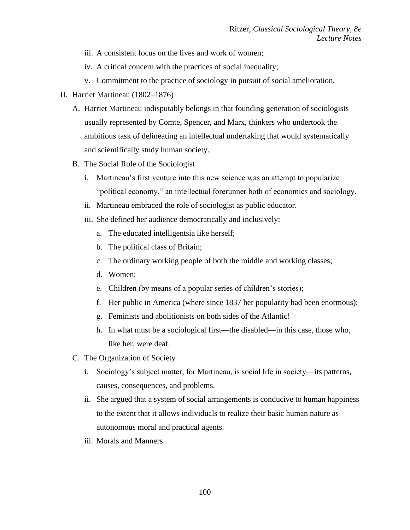- iii. A consistent focus on the lives and work of women;
- iv. A critical concern with the practices of social inequality;
- v. Commitment to the practice of sociology in pursuit of social amelioration.
- II. Harriet Martineau (1802–1876)
	- A. Harriet Martineau indisputably belongs in that founding generation of sociologists usually represented by Comte, Spencer, and Marx, thinkers who undertook the ambitious task of delineating an intellectual undertaking that would systematically and scientifically study human society.
	- B. The Social Role of the Sociologist
		- i. Martineau's first venture into this new science was an attempt to popularize "political economy," an intellectual forerunner both of economics and sociology.
		- ii. Martineau embraced the role of sociologist as public educator.
		- iii. She defined her audience democratically and inclusively:
			- a. The educated intelligentsia like herself;
			- b. The political class of Britain;
			- c. The ordinary working people of both the middle and working classes;
			- d. Women;
			- e. Children (by means of a popular series of children's stories);
			- f. Her public in America (where since 1837 her popularity had been enormous);
			- g. Feminists and abolitionists on both sides of the Atlantic!
			- h. In what must be a sociological first—the disabled—in this case, those who, like her, were deaf.
	- C. The Organization of Society
		- i. Sociology's subject matter, for Martineau, is social life in society—its patterns, causes, consequences, and problems.
		- ii. She argued that a system of social arrangements is conducive to human happiness to the extent that it allows individuals to realize their basic human nature as autonomous moral and practical agents.
		- iii. Morals and Manners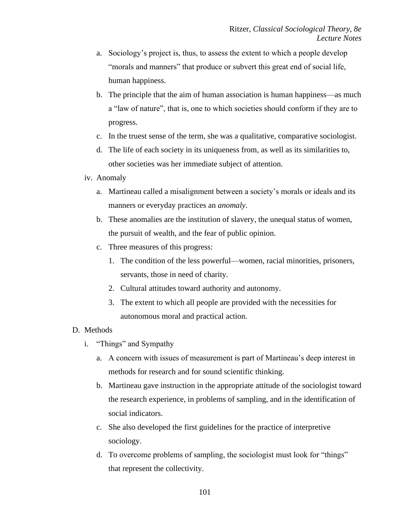- a. Sociology's project is, thus, to assess the extent to which a people develop "morals and manners" that produce or subvert this great end of social life, human happiness.
- b. The principle that the aim of human association is human happiness—as much a "law of nature", that is, one to which societies should conform if they are to progress.
- c. In the truest sense of the term, she was a qualitative, comparative sociologist.
- d. The life of each society in its uniqueness from, as well as its similarities to, other societies was her immediate subject of attention.
- iv. Anomaly
	- a. Martineau called a misalignment between a society's morals or ideals and its manners or everyday practices an *anomaly*.
	- b. These anomalies are the institution of slavery, the unequal status of women, the pursuit of wealth, and the fear of public opinion.
	- c. Three measures of this progress:
		- 1. The condition of the less powerful—women, racial minorities, prisoners, servants, those in need of charity.
		- 2. Cultural attitudes toward authority and autonomy.
		- 3. The extent to which all people are provided with the necessities for autonomous moral and practical action.

### D. Methods

- i. "Things" and Sympathy
	- a. A concern with issues of measurement is part of Martineau's deep interest in methods for research and for sound scientific thinking.
	- b. Martineau gave instruction in the appropriate attitude of the sociologist toward the research experience, in problems of sampling, and in the identification of social indicators.
	- c. She also developed the first guidelines for the practice of interpretive sociology.
	- d. To overcome problems of sampling, the sociologist must look for "things" that represent the collectivity.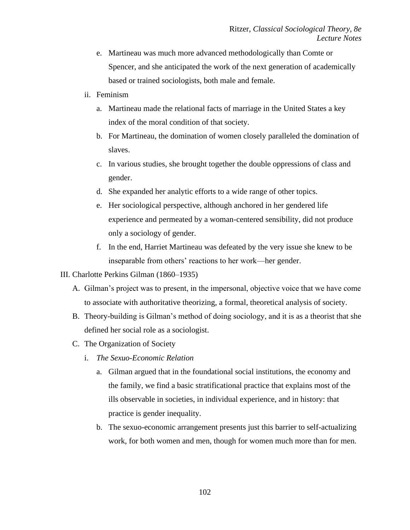- e. Martineau was much more advanced methodologically than Comte or Spencer, and she anticipated the work of the next generation of academically based or trained sociologists, both male and female.
- ii. Feminism
	- a. Martineau made the relational facts of marriage in the United States a key index of the moral condition of that society.
	- b. For Martineau, the domination of women closely paralleled the domination of slaves.
	- c. In various studies, she brought together the double oppressions of class and gender.
	- d. She expanded her analytic efforts to a wide range of other topics.
	- e. Her sociological perspective, although anchored in her gendered life experience and permeated by a woman-centered sensibility, did not produce only a sociology of gender.
	- f. In the end, Harriet Martineau was defeated by the very issue she knew to be inseparable from others' reactions to her work—her gender.
- III. Charlotte Perkins Gilman (1860–1935)
	- A. Gilman's project was to present, in the impersonal, objective voice that we have come to associate with authoritative theorizing, a formal, theoretical analysis of society.
	- B. Theory-building is Gilman's method of doing sociology, and it is as a theorist that she defined her social role as a sociologist.
	- C. The Organization of Society
		- i. *The Sexuo-Economic Relation*
			- a. Gilman argued that in the foundational social institutions, the economy and the family, we find a basic stratificational practice that explains most of the ills observable in societies, in individual experience, and in history: that practice is gender inequality.
			- b. The sexuo-economic arrangement presents just this barrier to self-actualizing work, for both women and men, though for women much more than for men.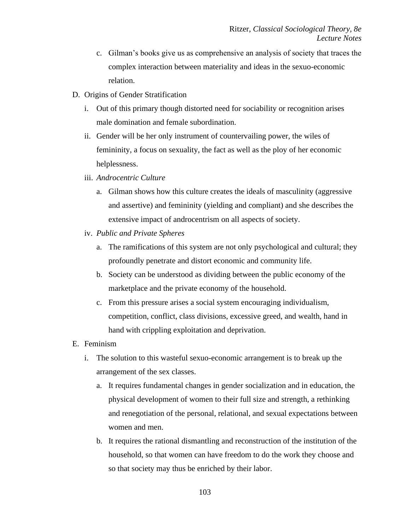- c. Gilman's books give us as comprehensive an analysis of society that traces the complex interaction between materiality and ideas in the sexuo-economic relation.
- D. Origins of Gender Stratification
	- i. Out of this primary though distorted need for sociability or recognition arises male domination and female subordination.
	- ii. Gender will be her only instrument of countervailing power, the wiles of femininity, a focus on sexuality, the fact as well as the ploy of her economic helplessness.
	- iii. *Androcentric Culture*
		- a. Gilman shows how this culture creates the ideals of masculinity (aggressive and assertive) and femininity (yielding and compliant) and she describes the extensive impact of androcentrism on all aspects of society.
	- iv. *Public and Private Spheres*
		- a. The ramifications of this system are not only psychological and cultural; they profoundly penetrate and distort economic and community life.
		- b. Society can be understood as dividing between the public economy of the marketplace and the private economy of the household.
		- c. From this pressure arises a social system encouraging individualism, competition, conflict, class divisions, excessive greed, and wealth, hand in hand with crippling exploitation and deprivation.
- E. Feminism
	- i. The solution to this wasteful sexuo-economic arrangement is to break up the arrangement of the sex classes.
		- a. It requires fundamental changes in gender socialization and in education, the physical development of women to their full size and strength, a rethinking and renegotiation of the personal, relational, and sexual expectations between women and men.
		- b. It requires the rational dismantling and reconstruction of the institution of the household, so that women can have freedom to do the work they choose and so that society may thus be enriched by their labor.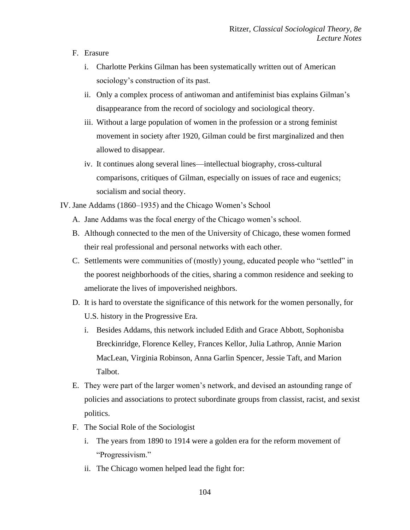- F. Erasure
	- i. Charlotte Perkins Gilman has been systematically written out of American sociology's construction of its past.
	- ii. Only a complex process of antiwoman and antifeminist bias explains Gilman's disappearance from the record of sociology and sociological theory.
	- iii. Without a large population of women in the profession or a strong feminist movement in society after 1920, Gilman could be first marginalized and then allowed to disappear.
	- iv. It continues along several lines—intellectual biography, cross-cultural comparisons, critiques of Gilman, especially on issues of race and eugenics; socialism and social theory.

IV. Jane Addams (1860–1935) and the Chicago Women's School

- A. Jane Addams was the focal energy of the Chicago women's school.
- B. Although connected to the men of the University of Chicago, these women formed their real professional and personal networks with each other.
- C. Settlements were communities of (mostly) young, educated people who "settled" in the poorest neighborhoods of the cities, sharing a common residence and seeking to ameliorate the lives of impoverished neighbors.
- D. It is hard to overstate the significance of this network for the women personally, for U.S. history in the Progressive Era.
	- i. Besides Addams, this network included Edith and Grace Abbott, Sophonisba Breckinridge, Florence Kelley, Frances Kellor, Julia Lathrop, Annie Marion MacLean, Virginia Robinson, Anna Garlin Spencer, Jessie Taft, and Marion Talbot.
- E. They were part of the larger women's network, and devised an astounding range of policies and associations to protect subordinate groups from classist, racist, and sexist politics.
- F. The Social Role of the Sociologist
	- i. The years from 1890 to 1914 were a golden era for the reform movement of "Progressivism."
	- ii. The Chicago women helped lead the fight for: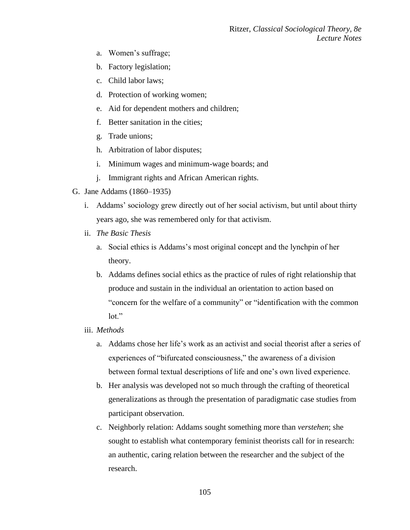- a. Women's suffrage;
- b. Factory legislation;
- c. Child labor laws;
- d. Protection of working women;
- e. Aid for dependent mothers and children;
- f. Better sanitation in the cities;
- g. Trade unions;
- h. Arbitration of labor disputes;
- i. Minimum wages and minimum-wage boards; and
- j. Immigrant rights and African American rights.
- G. Jane Addams (1860–1935)
	- i. Addams' sociology grew directly out of her social activism, but until about thirty years ago, she was remembered only for that activism.
	- ii. *The Basic Thesis*
		- a. Social ethics is Addams's most original concept and the lynchpin of her theory.
		- b. Addams defines social ethics as the practice of rules of right relationship that produce and sustain in the individual an orientation to action based on "concern for the welfare of a community" or "identification with the common  $\text{lot.}$ "
	- iii. *Methods*
		- a. Addams chose her life's work as an activist and social theorist after a series of experiences of "bifurcated consciousness," the awareness of a division between formal textual descriptions of life and one's own lived experience.
		- b. Her analysis was developed not so much through the crafting of theoretical generalizations as through the presentation of paradigmatic case studies from participant observation.
		- c. Neighborly relation: Addams sought something more than *verstehen*; she sought to establish what contemporary feminist theorists call for in research: an authentic, caring relation between the researcher and the subject of the research.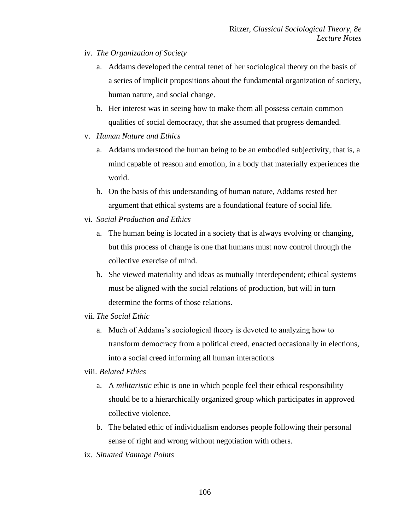- iv. *The Organization of Society*
	- a. Addams developed the central tenet of her sociological theory on the basis of a series of implicit propositions about the fundamental organization of society, human nature, and social change.
	- b. Her interest was in seeing how to make them all possess certain common qualities of social democracy, that she assumed that progress demanded.
- v. *Human Nature and Ethics*
	- a. Addams understood the human being to be an embodied subjectivity, that is, a mind capable of reason and emotion, in a body that materially experiences the world.
	- b. On the basis of this understanding of human nature, Addams rested her argument that ethical systems are a foundational feature of social life.
- vi. *Social Production and Ethics*
	- a. The human being is located in a society that is always evolving or changing, but this process of change is one that humans must now control through the collective exercise of mind.
	- b. She viewed materiality and ideas as mutually interdependent; ethical systems must be aligned with the social relations of production, but will in turn determine the forms of those relations.
- vii. *The Social Ethic*
	- a. Much of Addams's sociological theory is devoted to analyzing how to transform democracy from a political creed, enacted occasionally in elections, into a social creed informing all human interactions
- viii. *Belated Ethics*
	- a. A *militaristic* ethic is one in which people feel their ethical responsibility should be to a hierarchically organized group which participates in approved collective violence.
	- b. The belated ethic of individualism endorses people following their personal sense of right and wrong without negotiation with others.
- ix. *Situated Vantage Points*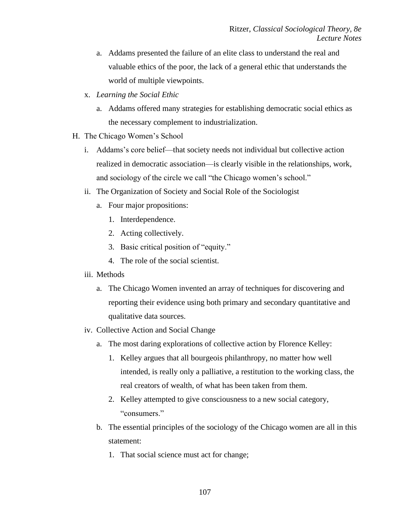- a. Addams presented the failure of an elite class to understand the real and valuable ethics of the poor, the lack of a general ethic that understands the world of multiple viewpoints.
- x. *Learning the Social Ethic*
	- a. Addams offered many strategies for establishing democratic social ethics as the necessary complement to industrialization.
- H. The Chicago Women's School
	- i. Addams's core belief—that society needs not individual but collective action realized in democratic association—is clearly visible in the relationships, work, and sociology of the circle we call "the Chicago women's school."
	- ii. The Organization of Society and Social Role of the Sociologist
		- a. Four major propositions:
			- 1. Interdependence.
			- 2. Acting collectively.
			- 3. Basic critical position of "equity."
			- 4. The role of the social scientist.
	- iii. Methods
		- a. The Chicago Women invented an array of techniques for discovering and reporting their evidence using both primary and secondary quantitative and qualitative data sources.
	- iv. Collective Action and Social Change
		- a. The most daring explorations of collective action by Florence Kelley:
			- 1. Kelley argues that all bourgeois philanthropy, no matter how well intended, is really only a palliative, a restitution to the working class, the real creators of wealth, of what has been taken from them.
			- 2. Kelley attempted to give consciousness to a new social category, "consumers."
		- b. The essential principles of the sociology of the Chicago women are all in this statement:
			- 1. That social science must act for change;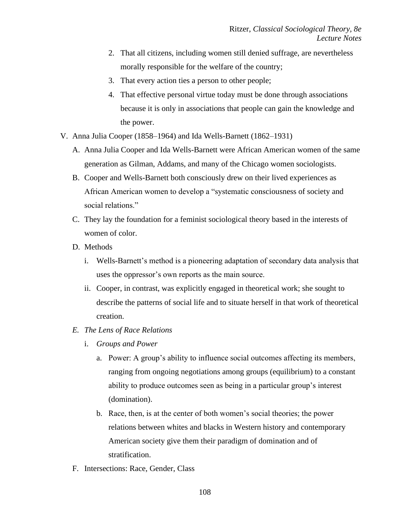- 2. That all citizens, including women still denied suffrage, are nevertheless morally responsible for the welfare of the country;
- 3. That every action ties a person to other people;
- 4. That effective personal virtue today must be done through associations because it is only in associations that people can gain the knowledge and the power.
- V. Anna Julia Cooper (1858–1964) and Ida Wells-Barnett (1862–1931)
	- A. Anna Julia Cooper and Ida Wells-Barnett were African American women of the same generation as Gilman, Addams, and many of the Chicago women sociologists.
	- B. Cooper and Wells-Barnett both consciously drew on their lived experiences as African American women to develop a "systematic consciousness of society and social relations."
	- C. They lay the foundation for a feminist sociological theory based in the interests of women of color.
	- D. Methods
		- i. Wells-Barnett's method is a pioneering adaptation of secondary data analysis that uses the oppressor's own reports as the main source.
		- ii. Cooper, in contrast, was explicitly engaged in theoretical work; she sought to describe the patterns of social life and to situate herself in that work of theoretical creation.
	- *E. The Lens of Race Relations*
		- i. *Groups and Power*
			- a. Power: A group's ability to influence social outcomes affecting its members, ranging from ongoing negotiations among groups (equilibrium) to a constant ability to produce outcomes seen as being in a particular group's interest (domination).
			- b. Race, then, is at the center of both women's social theories; the power relations between whites and blacks in Western history and contemporary American society give them their paradigm of domination and of stratification.
	- F. Intersections: Race, Gender, Class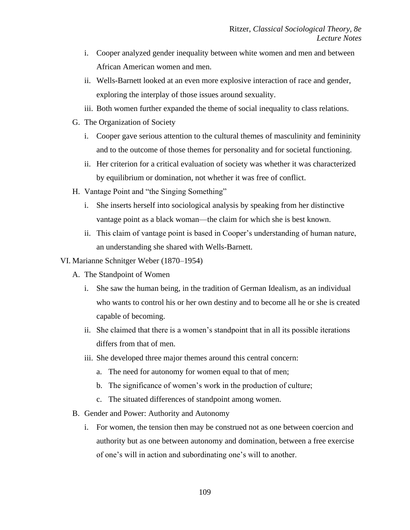- i. Cooper analyzed gender inequality between white women and men and between African American women and men.
- ii. Wells-Barnett looked at an even more explosive interaction of race and gender, exploring the interplay of those issues around sexuality.
- iii. Both women further expanded the theme of social inequality to class relations.
- G. The Organization of Society
	- i. Cooper gave serious attention to the cultural themes of masculinity and femininity and to the outcome of those themes for personality and for societal functioning.
	- ii. Her criterion for a critical evaluation of society was whether it was characterized by equilibrium or domination, not whether it was free of conflict.
- H. Vantage Point and "the Singing Something"
	- i. She inserts herself into sociological analysis by speaking from her distinctive vantage point as a black woman—the claim for which she is best known.
	- ii. This claim of vantage point is based in Cooper's understanding of human nature, an understanding she shared with Wells-Barnett.

VI. Marianne Schnitger Weber (1870–1954)

- A. The Standpoint of Women
	- i. She saw the human being, in the tradition of German Idealism, as an individual who wants to control his or her own destiny and to become all he or she is created capable of becoming.
	- ii. She claimed that there is a women's standpoint that in all its possible iterations differs from that of men.
	- iii. She developed three major themes around this central concern:
		- a. The need for autonomy for women equal to that of men;
		- b. The significance of women's work in the production of culture;
		- c. The situated differences of standpoint among women.
- B. Gender and Power: Authority and Autonomy
	- i. For women, the tension then may be construed not as one between coercion and authority but as one between autonomy and domination, between a free exercise of one's will in action and subordinating one's will to another.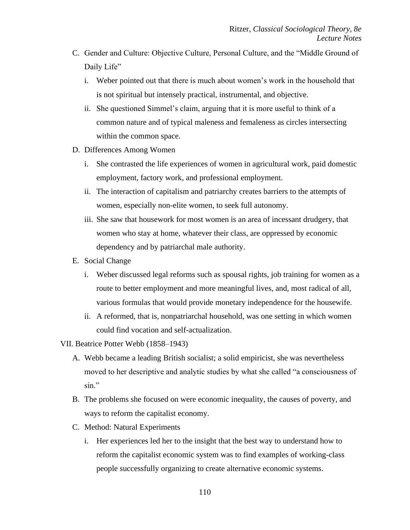- C. Gender and Culture: Objective Culture, Personal Culture, and the "Middle Ground of Daily Life"
	- i. Weber pointed out that there is much about women's work in the household that is not spiritual but intensely practical, instrumental, and objective.
	- ii. She questioned Simmel's claim, arguing that it is more useful to think of a common nature and of typical maleness and femaleness as circles intersecting within the common space.
- D. Differences Among Women
	- i. She contrasted the life experiences of women in agricultural work, paid domestic employment, factory work, and professional employment.
	- ii. The interaction of capitalism and patriarchy creates barriers to the attempts of women, especially non-elite women, to seek full autonomy.
	- iii. She saw that housework for most women is an area of incessant drudgery, that women who stay at home, whatever their class, are oppressed by economic dependency and by patriarchal male authority.
- E. Social Change
	- i. Weber discussed legal reforms such as spousal rights, job training for women as a route to better employment and more meaningful lives, and, most radical of all, various formulas that would provide monetary independence for the housewife.
	- ii. A reformed, that is, nonpatriarchal household, was one setting in which women could find vocation and self-actualization.
- VII. Beatrice Potter Webb (1858–1943)
	- A. Webb became a leading British socialist; a solid empiricist, she was nevertheless moved to her descriptive and analytic studies by what she called "a consciousness of sin."
	- B. The problems she focused on were economic inequality, the causes of poverty, and ways to reform the capitalist economy.
	- C. Method: Natural Experiments
		- i. Her experiences led her to the insight that the best way to understand how to reform the capitalist economic system was to find examples of working-class people successfully organizing to create alternative economic systems.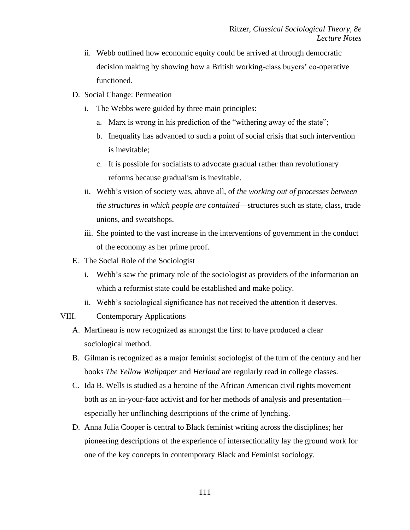- ii. Webb outlined how economic equity could be arrived at through democratic decision making by showing how a British working-class buyers' co-operative functioned.
- D. Social Change: Permeation
	- i. The Webbs were guided by three main principles:
		- a. Marx is wrong in his prediction of the "withering away of the state";
		- b. Inequality has advanced to such a point of social crisis that such intervention is inevitable;
		- c. It is possible for socialists to advocate gradual rather than revolutionary reforms because gradualism is inevitable.
	- ii. Webb's vision of society was, above all, of *the working out of processes between the structures in which people are contained*—structures such as state, class, trade unions, and sweatshops.
	- iii. She pointed to the vast increase in the interventions of government in the conduct of the economy as her prime proof.
- E. The Social Role of the Sociologist
	- i. Webb's saw the primary role of the sociologist as providers of the information on which a reformist state could be established and make policy.
	- ii. Webb's sociological significance has not received the attention it deserves.
- VIII. Contemporary Applications
	- A. Martineau is now recognized as amongst the first to have produced a clear sociological method.
	- B. Gilman is recognized as a major feminist sociologist of the turn of the century and her books *The Yellow Wallpaper* and *Herland* are regularly read in college classes.
	- C. Ida B. Wells is studied as a heroine of the African American civil rights movement both as an in-your-face activist and for her methods of analysis and presentation especially her unflinching descriptions of the crime of lynching.
	- D. Anna Julia Cooper is central to Black feminist writing across the disciplines; her pioneering descriptions of the experience of intersectionality lay the ground work for one of the key concepts in contemporary Black and Feminist sociology.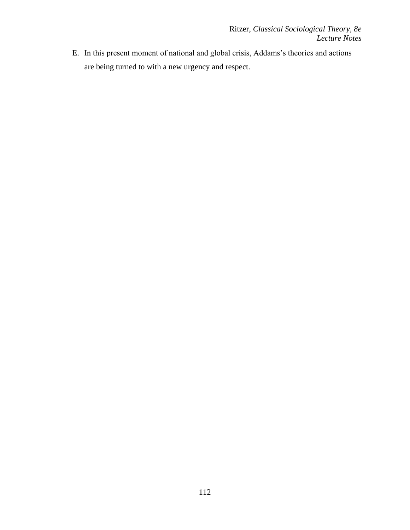E. In this present moment of national and global crisis, Addams's theories and actions are being turned to with a new urgency and respect.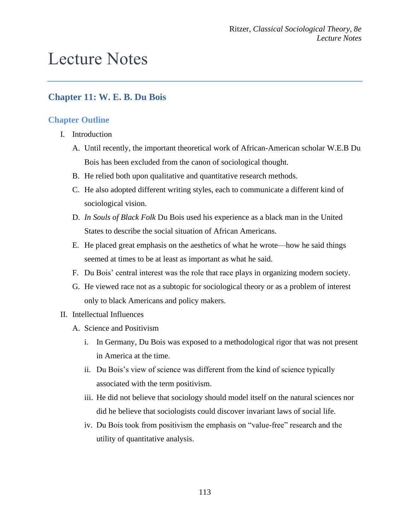# Lecture Notes

## **Chapter 11: W. E. B. Du Bois**

### **Chapter Outline**

- I. Introduction
	- A. Until recently, the important theoretical work of African-American scholar W.E.B Du Bois has been excluded from the canon of sociological thought.
	- B. He relied both upon qualitative and quantitative research methods.
	- C. He also adopted different writing styles, each to communicate a different kind of sociological vision.
	- D. *In Souls of Black Folk* Du Bois used his experience as a black man in the United States to describe the social situation of African Americans.
	- E. He placed great emphasis on the aesthetics of what he wrote—how he said things seemed at times to be at least as important as what he said.
	- F. Du Bois' central interest was the role that race plays in organizing modern society.
	- G. He viewed race not as a subtopic for sociological theory or as a problem of interest only to black Americans and policy makers.
- II. Intellectual Influences
	- A. Science and Positivism
		- i. In Germany, Du Bois was exposed to a methodological rigor that was not present in America at the time.
		- ii. Du Bois's view of science was different from the kind of science typically associated with the term positivism.
		- iii. He did not believe that sociology should model itself on the natural sciences nor did he believe that sociologists could discover invariant laws of social life.
		- iv. Du Bois took from positivism the emphasis on "value-free" research and the utility of quantitative analysis.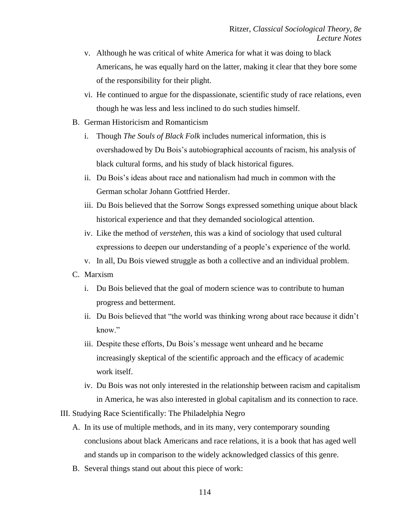- v. Although he was critical of white America for what it was doing to black Americans, he was equally hard on the latter, making it clear that they bore some of the responsibility for their plight.
- vi. He continued to argue for the dispassionate, scientific study of race relations, even though he was less and less inclined to do such studies himself.
- B. German Historicism and Romanticism
	- i. Though *The Souls of Black Folk* includes numerical information, this is overshadowed by Du Bois's autobiographical accounts of racism, his analysis of black cultural forms, and his study of black historical figures.
	- ii. Du Bois's ideas about race and nationalism had much in common with the German scholar Johann Gottfried Herder.
	- iii. Du Bois believed that the Sorrow Songs expressed something unique about black historical experience and that they demanded sociological attention.
	- iv. Like the method of *verstehen*, this was a kind of sociology that used cultural expressions to deepen our understanding of a people's experience of the world.
	- v. In all, Du Bois viewed struggle as both a collective and an individual problem.
- C. Marxism
	- i. Du Bois believed that the goal of modern science was to contribute to human progress and betterment.
	- ii. Du Bois believed that "the world was thinking wrong about race because it didn't know."
	- iii. Despite these efforts, Du Bois's message went unheard and he became increasingly skeptical of the scientific approach and the efficacy of academic work itself.
	- iv. Du Bois was not only interested in the relationship between racism and capitalism in America, he was also interested in global capitalism and its connection to race.

#### III. Studying Race Scientifically: The Philadelphia Negro

- A. In its use of multiple methods, and in its many, very contemporary sounding conclusions about black Americans and race relations, it is a book that has aged well and stands up in comparison to the widely acknowledged classics of this genre.
- B. Several things stand out about this piece of work: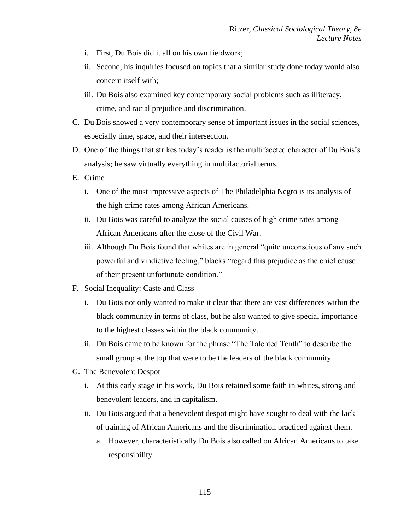- i. First, Du Bois did it all on his own fieldwork;
- ii. Second, his inquiries focused on topics that a similar study done today would also concern itself with;
- iii. Du Bois also examined key contemporary social problems such as illiteracy, crime, and racial prejudice and discrimination.
- C. Du Bois showed a very contemporary sense of important issues in the social sciences, especially time, space, and their intersection.
- D. One of the things that strikes today's reader is the multifaceted character of Du Bois's analysis; he saw virtually everything in multifactorial terms.
- E. Crime
	- i. One of the most impressive aspects of The Philadelphia Negro is its analysis of the high crime rates among African Americans.
	- ii. Du Bois was careful to analyze the social causes of high crime rates among African Americans after the close of the Civil War.
	- iii. Although Du Bois found that whites are in general "quite unconscious of any such powerful and vindictive feeling," blacks "regard this prejudice as the chief cause of their present unfortunate condition."
- F. Social Inequality: Caste and Class
	- i. Du Bois not only wanted to make it clear that there are vast differences within the black community in terms of class, but he also wanted to give special importance to the highest classes within the black community.
	- ii. Du Bois came to be known for the phrase "The Talented Tenth" to describe the small group at the top that were to be the leaders of the black community.
- G. The Benevolent Despot
	- i. At this early stage in his work, Du Bois retained some faith in whites, strong and benevolent leaders, and in capitalism.
	- ii. Du Bois argued that a benevolent despot might have sought to deal with the lack of training of African Americans and the discrimination practiced against them.
		- a. However, characteristically Du Bois also called on African Americans to take responsibility.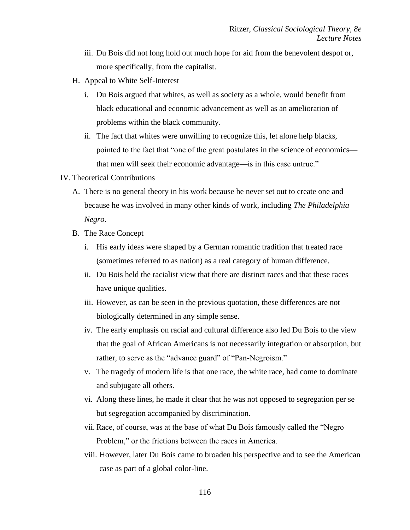- iii. Du Bois did not long hold out much hope for aid from the benevolent despot or, more specifically, from the capitalist.
- H. Appeal to White Self-Interest
	- i. Du Bois argued that whites, as well as society as a whole, would benefit from black educational and economic advancement as well as an amelioration of problems within the black community.
	- ii. The fact that whites were unwilling to recognize this, let alone help blacks, pointed to the fact that "one of the great postulates in the science of economics that men will seek their economic advantage—is in this case untrue."
- IV. Theoretical Contributions
	- A. There is no general theory in his work because he never set out to create one and because he was involved in many other kinds of work, including *The Philadelphia Negro*.
	- B. The Race Concept
		- i. His early ideas were shaped by a German romantic tradition that treated race (sometimes referred to as nation) as a real category of human difference.
		- ii. Du Bois held the racialist view that there are distinct races and that these races have unique qualities.
		- iii. However, as can be seen in the previous quotation, these differences are not biologically determined in any simple sense.
		- iv. The early emphasis on racial and cultural difference also led Du Bois to the view that the goal of African Americans is not necessarily integration or absorption, but rather, to serve as the "advance guard" of "Pan-Negroism."
		- v. The tragedy of modern life is that one race, the white race, had come to dominate and subjugate all others.
		- vi. Along these lines, he made it clear that he was not opposed to segregation per se but segregation accompanied by discrimination.
		- vii. Race, of course, was at the base of what Du Bois famously called the "Negro Problem," or the frictions between the races in America.
		- viii. However, later Du Bois came to broaden his perspective and to see the American case as part of a global color-line.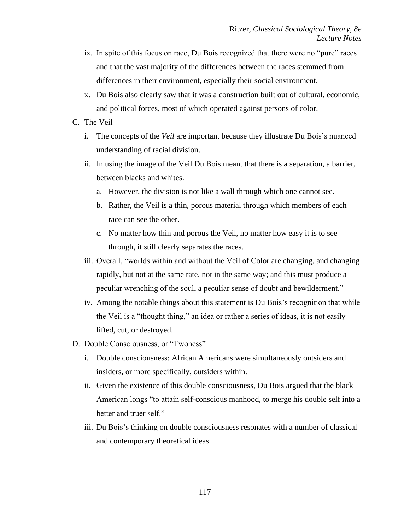- ix. In spite of this focus on race, Du Bois recognized that there were no "pure" races and that the vast majority of the differences between the races stemmed from differences in their environment, especially their social environment.
- x. Du Bois also clearly saw that it was a construction built out of cultural, economic, and political forces, most of which operated against persons of color.
- C. The Veil
	- i. The concepts of the *Veil* are important because they illustrate Du Bois's nuanced understanding of racial division.
	- ii. In using the image of the Veil Du Bois meant that there is a separation, a barrier, between blacks and whites.
		- a. However, the division is not like a wall through which one cannot see.
		- b. Rather, the Veil is a thin, porous material through which members of each race can see the other.
		- c. No matter how thin and porous the Veil, no matter how easy it is to see through, it still clearly separates the races.
	- iii. Overall, "worlds within and without the Veil of Color are changing, and changing rapidly, but not at the same rate, not in the same way; and this must produce a peculiar wrenching of the soul, a peculiar sense of doubt and bewilderment."
	- iv. Among the notable things about this statement is Du Bois's recognition that while the Veil is a "thought thing," an idea or rather a series of ideas, it is not easily lifted, cut, or destroyed.
- D. Double Consciousness, or "Twoness"
	- i. Double consciousness: African Americans were simultaneously outsiders and insiders, or more specifically, outsiders within.
	- ii. Given the existence of this double consciousness, Du Bois argued that the black American longs "to attain self-conscious manhood, to merge his double self into a better and truer self."
	- iii. Du Bois's thinking on double consciousness resonates with a number of classical and contemporary theoretical ideas.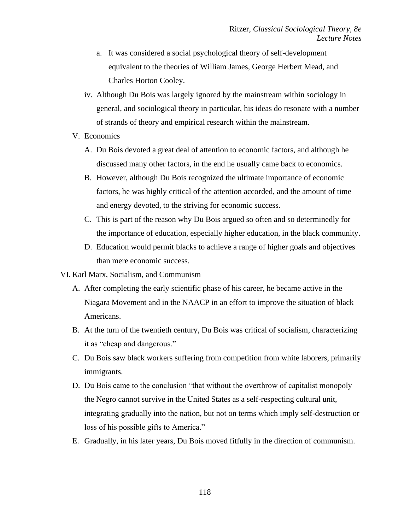- a. It was considered a social psychological theory of self-development equivalent to the theories of William James, George Herbert Mead, and Charles Horton Cooley.
- iv. Although Du Bois was largely ignored by the mainstream within sociology in general, and sociological theory in particular, his ideas do resonate with a number of strands of theory and empirical research within the mainstream.
- V. Economics
	- A. Du Bois devoted a great deal of attention to economic factors, and although he discussed many other factors, in the end he usually came back to economics.
	- B. However, although Du Bois recognized the ultimate importance of economic factors, he was highly critical of the attention accorded, and the amount of time and energy devoted, to the striving for economic success.
	- C. This is part of the reason why Du Bois argued so often and so determinedly for the importance of education, especially higher education, in the black community.
	- D. Education would permit blacks to achieve a range of higher goals and objectives than mere economic success.

#### VI. Karl Marx, Socialism, and Communism

- A. After completing the early scientific phase of his career, he became active in the Niagara Movement and in the NAACP in an effort to improve the situation of black Americans.
- B. At the turn of the twentieth century, Du Bois was critical of socialism, characterizing it as "cheap and dangerous."
- C. Du Bois saw black workers suffering from competition from white laborers, primarily immigrants.
- D. Du Bois came to the conclusion "that without the overthrow of capitalist monopoly the Negro cannot survive in the United States as a self-respecting cultural unit, integrating gradually into the nation, but not on terms which imply self-destruction or loss of his possible gifts to America."
- E. Gradually, in his later years, Du Bois moved fitfully in the direction of communism.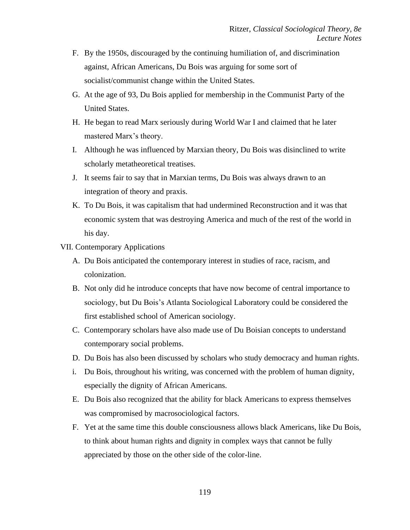- F. By the 1950s, discouraged by the continuing humiliation of, and discrimination against, African Americans, Du Bois was arguing for some sort of socialist/communist change within the United States.
- G. At the age of 93, Du Bois applied for membership in the Communist Party of the United States.
- H. He began to read Marx seriously during World War I and claimed that he later mastered Marx's theory.
- I. Although he was influenced by Marxian theory, Du Bois was disinclined to write scholarly metatheoretical treatises.
- J. It seems fair to say that in Marxian terms, Du Bois was always drawn to an integration of theory and praxis.
- K. To Du Bois, it was capitalism that had undermined Reconstruction and it was that economic system that was destroying America and much of the rest of the world in his day.

VII. Contemporary Applications

- A. Du Bois anticipated the contemporary interest in studies of race, racism, and colonization.
- B. Not only did he introduce concepts that have now become of central importance to sociology, but Du Bois's Atlanta Sociological Laboratory could be considered the first established school of American sociology.
- C. Contemporary scholars have also made use of Du Boisian concepts to understand contemporary social problems.
- D. Du Bois has also been discussed by scholars who study democracy and human rights.
- i. Du Bois, throughout his writing, was concerned with the problem of human dignity, especially the dignity of African Americans.
- E. Du Bois also recognized that the ability for black Americans to express themselves was compromised by macrosociological factors.
- F. Yet at the same time this double consciousness allows black Americans, like Du Bois, to think about human rights and dignity in complex ways that cannot be fully appreciated by those on the other side of the color-line.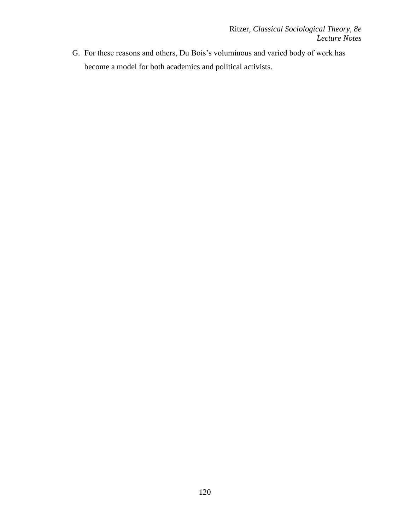G. For these reasons and others, Du Bois's voluminous and varied body of work has become a model for both academics and political activists.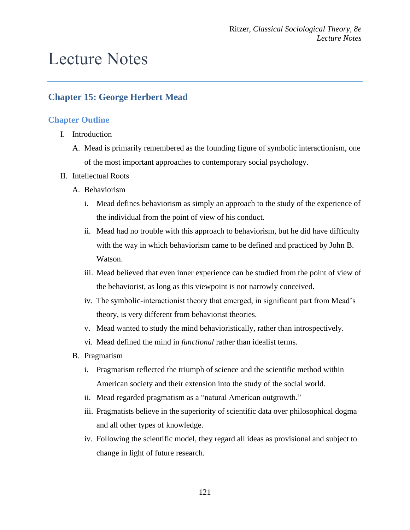# Lecture Notes

## **Chapter 15: George Herbert Mead**

### **Chapter Outline**

- I. Introduction
	- A. Mead is primarily remembered as the founding figure of symbolic interactionism, one of the most important approaches to contemporary social psychology.
- II. Intellectual Roots
	- A. Behaviorism
		- i. Mead defines behaviorism as simply an approach to the study of the experience of the individual from the point of view of his conduct.
		- ii. Mead had no trouble with this approach to behaviorism, but he did have difficulty with the way in which behaviorism came to be defined and practiced by John B. Watson.
		- iii. Mead believed that even inner experience can be studied from the point of view of the behaviorist, as long as this viewpoint is not narrowly conceived.
		- iv. The symbolic-interactionist theory that emerged, in significant part from Mead's theory, is very different from behaviorist theories.
		- v. Mead wanted to study the mind behavioristically, rather than introspectively.
		- vi. Mead defined the mind in *functional* rather than idealist terms.
	- B. Pragmatism
		- i. Pragmatism reflected the triumph of science and the scientific method within American society and their extension into the study of the social world.
		- ii. Mead regarded pragmatism as a "natural American outgrowth."
		- iii. Pragmatists believe in the superiority of scientific data over philosophical dogma and all other types of knowledge.
		- iv. Following the scientific model, they regard all ideas as provisional and subject to change in light of future research.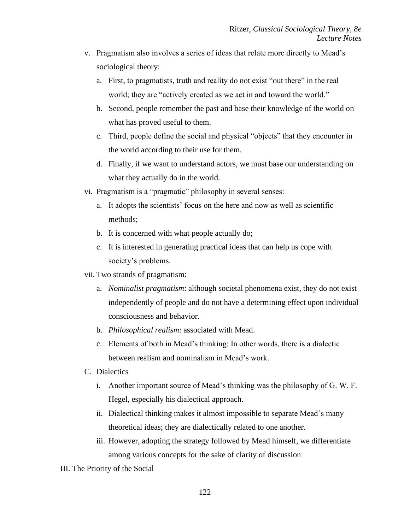- v. Pragmatism also involves a series of ideas that relate more directly to Mead's sociological theory:
	- a. First, to pragmatists, truth and reality do not exist "out there" in the real world; they are "actively created as we act in and toward the world."
	- b. Second, people remember the past and base their knowledge of the world on what has proved useful to them.
	- c. Third, people define the social and physical "objects" that they encounter in the world according to their use for them.
	- d. Finally, if we want to understand actors, we must base our understanding on what they actually do in the world.
- vi. Pragmatism is a "pragmatic" philosophy in several senses:
	- a. It adopts the scientists' focus on the here and now as well as scientific methods;
	- b. It is concerned with what people actually do;
	- c. It is interested in generating practical ideas that can help us cope with society's problems.
- vii. Two strands of pragmatism:
	- a. *Nominalist pragmatism*: although societal phenomena exist, they do not exist independently of people and do not have a determining effect upon individual consciousness and behavior.
	- b. *Philosophical realism*: associated with Mead.
	- c. Elements of both in Mead's thinking: In other words, there is a dialectic between realism and nominalism in Mead's work.
- C. Dialectics
	- i. Another important source of Mead's thinking was the philosophy of G. W. F. Hegel, especially his dialectical approach.
	- ii. Dialectical thinking makes it almost impossible to separate Mead's many theoretical ideas; they are dialectically related to one another.
	- iii. However, adopting the strategy followed by Mead himself, we differentiate among various concepts for the sake of clarity of discussion
- III. The Priority of the Social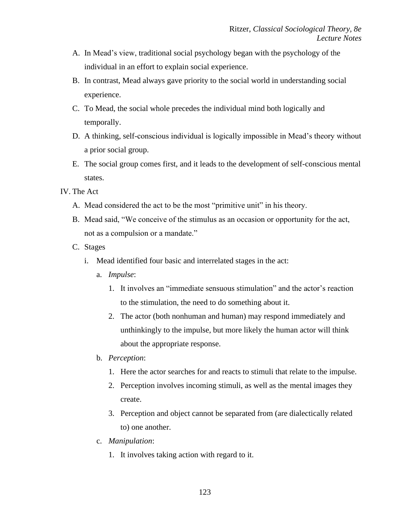- A. In Mead's view, traditional social psychology began with the psychology of the individual in an effort to explain social experience.
- B. In contrast, Mead always gave priority to the social world in understanding social experience.
- C. To Mead, the social whole precedes the individual mind both logically and temporally.
- D. A thinking, self-conscious individual is logically impossible in Mead's theory without a prior social group.
- E. The social group comes first, and it leads to the development of self-conscious mental states.

IV. The Act

- A. Mead considered the act to be the most "primitive unit" in his theory.
- B. Mead said, "We conceive of the stimulus as an occasion or opportunity for the act, not as a compulsion or a mandate."
- C. Stages
	- i. Mead identified four basic and interrelated stages in the act:
		- a. *Impulse*:
			- 1. It involves an "immediate sensuous stimulation" and the actor's reaction to the stimulation, the need to do something about it.
			- 2. The actor (both nonhuman and human) may respond immediately and unthinkingly to the impulse, but more likely the human actor will think about the appropriate response.
		- b. *Perception*:
			- 1. Here the actor searches for and reacts to stimuli that relate to the impulse.
			- 2. Perception involves incoming stimuli, as well as the mental images they create.
			- 3. Perception and object cannot be separated from (are dialectically related to) one another.
		- c. *Manipulation*:
			- 1. It involves taking action with regard to it.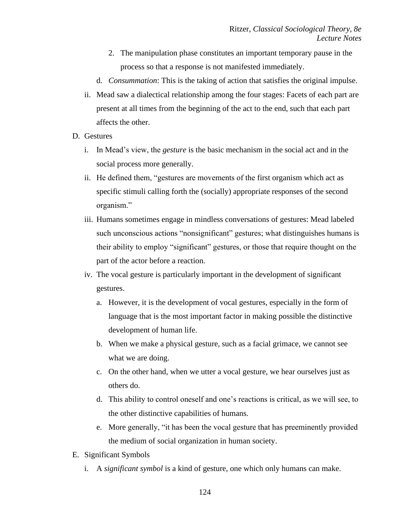- 2. The manipulation phase constitutes an important temporary pause in the process so that a response is not manifested immediately.
- d. *Consummation*: This is the taking of action that satisfies the original impulse.
- ii. Mead saw a dialectical relationship among the four stages: Facets of each part are present at all times from the beginning of the act to the end, such that each part affects the other.
- D. Gestures
	- i. In Mead's view, the *gesture* is the basic mechanism in the social act and in the social process more generally.
	- ii. He defined them, "gestures are movements of the first organism which act as specific stimuli calling forth the (socially) appropriate responses of the second organism."
	- iii. Humans sometimes engage in mindless conversations of gestures: Mead labeled such unconscious actions "nonsignificant" gestures; what distinguishes humans is their ability to employ "significant" gestures, or those that require thought on the part of the actor before a reaction.
	- iv. The vocal gesture is particularly important in the development of significant gestures.
		- a. However, it is the development of vocal gestures, especially in the form of language that is the most important factor in making possible the distinctive development of human life.
		- b. When we make a physical gesture, such as a facial grimace, we cannot see what we are doing.
		- c. On the other hand, when we utter a vocal gesture, we hear ourselves just as others do.
		- d. This ability to control oneself and one's reactions is critical, as we will see, to the other distinctive capabilities of humans.
		- e. More generally, "it has been the vocal gesture that has preeminently provided the medium of social organization in human society.
- E. Significant Symbols
	- i. A *significant symbol* is a kind of gesture, one which only humans can make.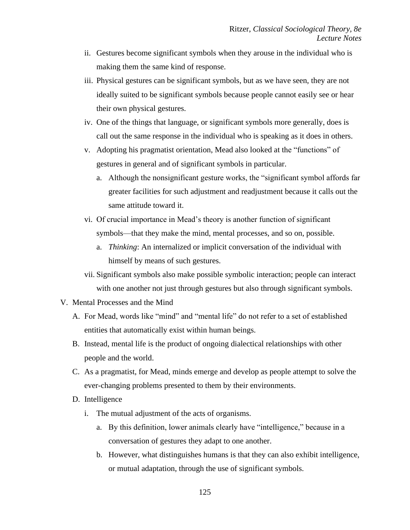- ii. Gestures become significant symbols when they arouse in the individual who is making them the same kind of response.
- iii. Physical gestures can be significant symbols, but as we have seen, they are not ideally suited to be significant symbols because people cannot easily see or hear their own physical gestures.
- iv. One of the things that language, or significant symbols more generally, does is call out the same response in the individual who is speaking as it does in others.
- v. Adopting his pragmatist orientation, Mead also looked at the "functions" of gestures in general and of significant symbols in particular.
	- a. Although the nonsignificant gesture works, the "significant symbol affords far greater facilities for such adjustment and readjustment because it calls out the same attitude toward it.
- vi. Of crucial importance in Mead's theory is another function of significant symbols—that they make the mind, mental processes, and so on, possible.
	- a. *Thinking*: An internalized or implicit conversation of the individual with himself by means of such gestures.
- vii. Significant symbols also make possible symbolic interaction; people can interact with one another not just through gestures but also through significant symbols.
- V. Mental Processes and the Mind
	- A. For Mead, words like "mind" and "mental life" do not refer to a set of established entities that automatically exist within human beings.
	- B. Instead, mental life is the product of ongoing dialectical relationships with other people and the world.
	- C. As a pragmatist, for Mead, minds emerge and develop as people attempt to solve the ever-changing problems presented to them by their environments.
	- D. Intelligence
		- i. The mutual adjustment of the acts of organisms.
			- a. By this definition, lower animals clearly have "intelligence," because in a conversation of gestures they adapt to one another.
			- b. However, what distinguishes humans is that they can also exhibit intelligence, or mutual adaptation, through the use of significant symbols.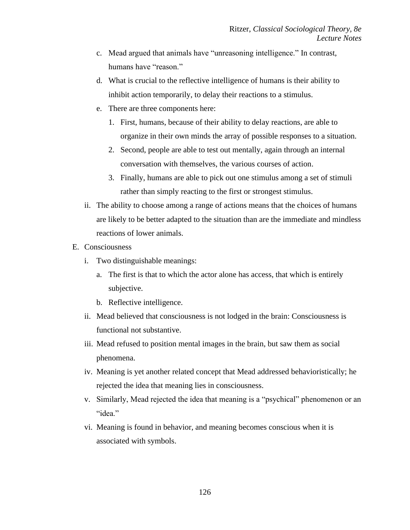- c. Mead argued that animals have "unreasoning intelligence." In contrast, humans have "reason."
- d. What is crucial to the reflective intelligence of humans is their ability to inhibit action temporarily, to delay their reactions to a stimulus.
- e. There are three components here:
	- 1. First, humans, because of their ability to delay reactions, are able to organize in their own minds the array of possible responses to a situation.
	- 2. Second, people are able to test out mentally, again through an internal conversation with themselves, the various courses of action.
	- 3. Finally, humans are able to pick out one stimulus among a set of stimuli rather than simply reacting to the first or strongest stimulus.
- ii. The ability to choose among a range of actions means that the choices of humans are likely to be better adapted to the situation than are the immediate and mindless reactions of lower animals.
- E. Consciousness
	- i. Two distinguishable meanings:
		- a. The first is that to which the actor alone has access, that which is entirely subjective.
		- b. Reflective intelligence.
	- ii. Mead believed that consciousness is not lodged in the brain: Consciousness is functional not substantive.
	- iii. Mead refused to position mental images in the brain, but saw them as social phenomena.
	- iv. Meaning is yet another related concept that Mead addressed behavioristically; he rejected the idea that meaning lies in consciousness.
	- v. Similarly, Mead rejected the idea that meaning is a "psychical" phenomenon or an "idea."
	- vi. Meaning is found in behavior, and meaning becomes conscious when it is associated with symbols.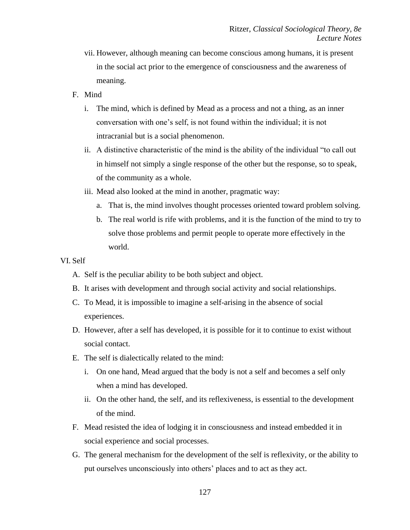- vii. However, although meaning can become conscious among humans, it is present in the social act prior to the emergence of consciousness and the awareness of meaning.
- F. Mind
	- i. The mind, which is defined by Mead as a process and not a thing, as an inner conversation with one's self, is not found within the individual; it is not intracranial but is a social phenomenon.
	- ii. A distinctive characteristic of the mind is the ability of the individual "to call out in himself not simply a single response of the other but the response, so to speak, of the community as a whole.
	- iii. Mead also looked at the mind in another, pragmatic way:
		- a. That is, the mind involves thought processes oriented toward problem solving.
		- b. The real world is rife with problems, and it is the function of the mind to try to solve those problems and permit people to operate more effectively in the world.

#### VI. Self

- A. Self is the peculiar ability to be both subject and object.
- B. It arises with development and through social activity and social relationships.
- C. To Mead, it is impossible to imagine a self-arising in the absence of social experiences.
- D. However, after a self has developed, it is possible for it to continue to exist without social contact.
- E. The self is dialectically related to the mind:
	- i. On one hand, Mead argued that the body is not a self and becomes a self only when a mind has developed.
	- ii. On the other hand, the self, and its reflexiveness, is essential to the development of the mind.
- F. Mead resisted the idea of lodging it in consciousness and instead embedded it in social experience and social processes.
- G. The general mechanism for the development of the self is reflexivity, or the ability to put ourselves unconsciously into others' places and to act as they act.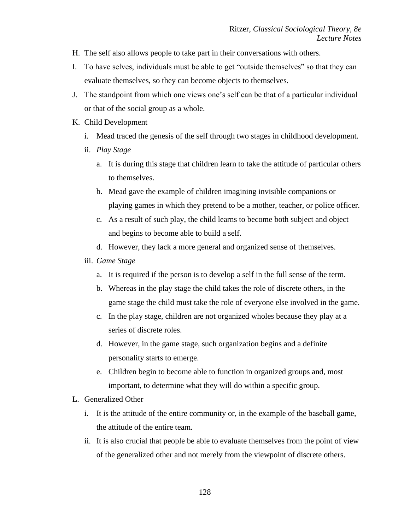- H. The self also allows people to take part in their conversations with others.
- I. To have selves, individuals must be able to get "outside themselves" so that they can evaluate themselves, so they can become objects to themselves.
- J. The standpoint from which one views one's self can be that of a particular individual or that of the social group as a whole.
- K. Child Development
	- i. Mead traced the genesis of the self through two stages in childhood development.
	- ii. *Play Stage*
		- a. It is during this stage that children learn to take the attitude of particular others to themselves.
		- b. Mead gave the example of children imagining invisible companions or playing games in which they pretend to be a mother, teacher, or police officer.
		- c. As a result of such play, the child learns to become both subject and object and begins to become able to build a self.
		- d. However, they lack a more general and organized sense of themselves.
	- iii. *Game Stage*
		- a. It is required if the person is to develop a self in the full sense of the term.
		- b. Whereas in the play stage the child takes the role of discrete others, in the game stage the child must take the role of everyone else involved in the game.
		- c. In the play stage, children are not organized wholes because they play at a series of discrete roles.
		- d. However, in the game stage, such organization begins and a definite personality starts to emerge.
		- e. Children begin to become able to function in organized groups and, most important, to determine what they will do within a specific group.
- L. Generalized Other
	- i. It is the attitude of the entire community or, in the example of the baseball game, the attitude of the entire team.
	- ii. It is also crucial that people be able to evaluate themselves from the point of view of the generalized other and not merely from the viewpoint of discrete others.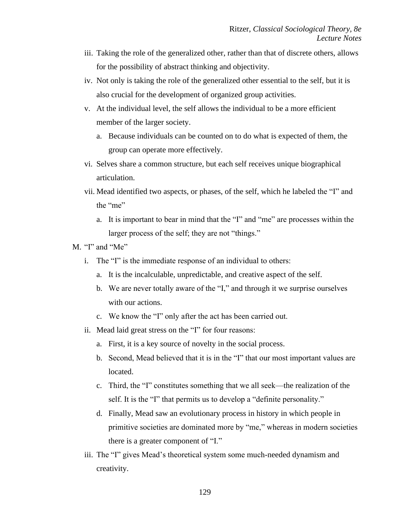- iii. Taking the role of the generalized other, rather than that of discrete others, allows for the possibility of abstract thinking and objectivity.
- iv. Not only is taking the role of the generalized other essential to the self, but it is also crucial for the development of organized group activities.
- v. At the individual level, the self allows the individual to be a more efficient member of the larger society.
	- a. Because individuals can be counted on to do what is expected of them, the group can operate more effectively.
- vi. Selves share a common structure, but each self receives unique biographical articulation.
- vii. Mead identified two aspects, or phases, of the self, which he labeled the "I" and the "me"
	- a. It is important to bear in mind that the "I" and "me" are processes within the larger process of the self; they are not "things."
- M. "I" and "Me"
	- i. The "I" is the immediate response of an individual to others:
		- a. It is the incalculable, unpredictable, and creative aspect of the self.
		- b. We are never totally aware of the "I," and through it we surprise ourselves with our actions.
		- c. We know the "I" only after the act has been carried out.
	- ii. Mead laid great stress on the "I" for four reasons:
		- a. First, it is a key source of novelty in the social process.
		- b. Second, Mead believed that it is in the "I" that our most important values are located.
		- c. Third, the "I" constitutes something that we all seek—the realization of the self. It is the "I" that permits us to develop a "definite personality."
		- d. Finally, Mead saw an evolutionary process in history in which people in primitive societies are dominated more by "me," whereas in modern societies there is a greater component of "I."
	- iii. The "I" gives Mead's theoretical system some much-needed dynamism and creativity.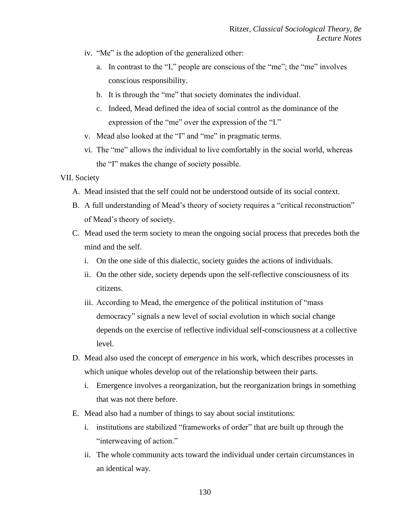- iv. "Me" is the adoption of the generalized other:
	- a. In contrast to the "I," people are conscious of the "me"; the "me" involves conscious responsibility.
	- b. It is through the "me" that society dominates the individual.
	- c. Indeed, Mead defined the idea of social control as the dominance of the expression of the "me" over the expression of the "I."
- v. Mead also looked at the "I" and "me" in pragmatic terms.
- vi. The "me" allows the individual to live comfortably in the social world, whereas the "I" makes the change of society possible.

VII. Society

- A. Mead insisted that the self could not be understood outside of its social context.
- B. A full understanding of Mead's theory of society requires a "critical reconstruction" of Mead's theory of society.
- C. Mead used the term society to mean the ongoing social process that precedes both the mind and the self.
	- i. On the one side of this dialectic, society guides the actions of individuals.
	- ii. On the other side, society depends upon the self-reflective consciousness of its citizens.
	- iii. According to Mead, the emergence of the political institution of "mass democracy" signals a new level of social evolution in which social change depends on the exercise of reflective individual self-consciousness at a collective level.
- D. Mead also used the concept of *emergence* in his work, which describes processes in which unique wholes develop out of the relationship between their parts.
	- i. Emergence involves a reorganization, but the reorganization brings in something that was not there before.
- E. Mead also had a number of things to say about social institutions:
	- i. institutions are stabilized "frameworks of order" that are built up through the "interweaving of action."
	- ii. The whole community acts toward the individual under certain circumstances in an identical way.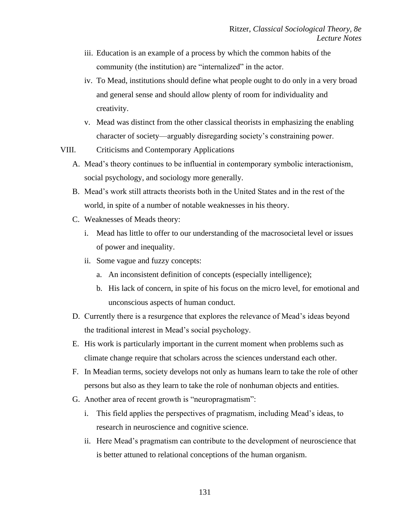- iii. Education is an example of a process by which the common habits of the community (the institution) are "internalized" in the actor.
- iv. To Mead, institutions should define what people ought to do only in a very broad and general sense and should allow plenty of room for individuality and creativity.
- v. Mead was distinct from the other classical theorists in emphasizing the enabling character of society—arguably disregarding society's constraining power.
- VIII. Criticisms and Contemporary Applications
	- A. Mead's theory continues to be influential in contemporary symbolic interactionism, social psychology, and sociology more generally.
	- B. Mead's work still attracts theorists both in the United States and in the rest of the world, in spite of a number of notable weaknesses in his theory.
	- C. Weaknesses of Meads theory:
		- i. Mead has little to offer to our understanding of the macrosocietal level or issues of power and inequality.
		- ii. Some vague and fuzzy concepts:
			- a. An inconsistent definition of concepts (especially intelligence);
			- b. His lack of concern, in spite of his focus on the micro level, for emotional and unconscious aspects of human conduct.
	- D. Currently there is a resurgence that explores the relevance of Mead's ideas beyond the traditional interest in Mead's social psychology.
	- E. His work is particularly important in the current moment when problems such as climate change require that scholars across the sciences understand each other.
	- F. In Meadian terms, society develops not only as humans learn to take the role of other persons but also as they learn to take the role of nonhuman objects and entities.
	- G. Another area of recent growth is "neuropragmatism":
		- i. This field applies the perspectives of pragmatism, including Mead's ideas, to research in neuroscience and cognitive science.
		- ii. Here Mead's pragmatism can contribute to the development of neuroscience that is better attuned to relational conceptions of the human organism.